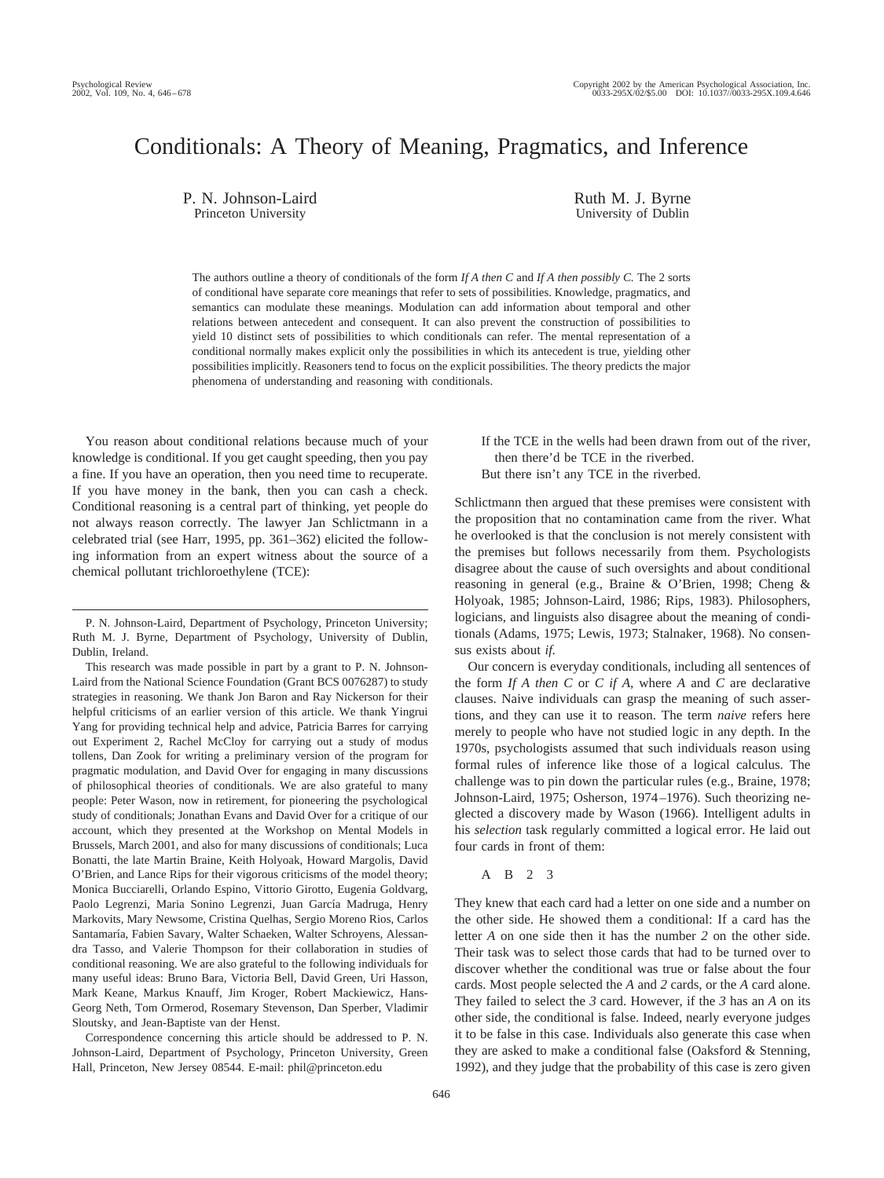# Conditionals: A Theory of Meaning, Pragmatics, and Inference

P. N. Johnson-Laird Princeton University

Ruth M. J. Byrne University of Dublin

The authors outline a theory of conditionals of the form *If A then C* and *If A then possibly C.* The 2 sorts of conditional have separate core meanings that refer to sets of possibilities. Knowledge, pragmatics, and semantics can modulate these meanings. Modulation can add information about temporal and other relations between antecedent and consequent. It can also prevent the construction of possibilities to yield 10 distinct sets of possibilities to which conditionals can refer. The mental representation of a conditional normally makes explicit only the possibilities in which its antecedent is true, yielding other possibilities implicitly. Reasoners tend to focus on the explicit possibilities. The theory predicts the major phenomena of understanding and reasoning with conditionals.

You reason about conditional relations because much of your knowledge is conditional. If you get caught speeding, then you pay a fine. If you have an operation, then you need time to recuperate. If you have money in the bank, then you can cash a check. Conditional reasoning is a central part of thinking, yet people do not always reason correctly. The lawyer Jan Schlictmann in a celebrated trial (see Harr, 1995, pp. 361–362) elicited the following information from an expert witness about the source of a chemical pollutant trichloroethylene (TCE):

This research was made possible in part by a grant to P. N. Johnson-Laird from the National Science Foundation (Grant BCS 0076287) to study strategies in reasoning. We thank Jon Baron and Ray Nickerson for their helpful criticisms of an earlier version of this article. We thank Yingrui Yang for providing technical help and advice, Patricia Barres for carrying out Experiment 2, Rachel McCloy for carrying out a study of modus tollens, Dan Zook for writing a preliminary version of the program for pragmatic modulation, and David Over for engaging in many discussions of philosophical theories of conditionals. We are also grateful to many people: Peter Wason, now in retirement, for pioneering the psychological study of conditionals; Jonathan Evans and David Over for a critique of our account, which they presented at the Workshop on Mental Models in Brussels, March 2001, and also for many discussions of conditionals; Luca Bonatti, the late Martin Braine, Keith Holyoak, Howard Margolis, David O'Brien, and Lance Rips for their vigorous criticisms of the model theory; Monica Bucciarelli, Orlando Espino, Vittorio Girotto, Eugenia Goldvarg, Paolo Legrenzi, Maria Sonino Legrenzi, Juan García Madruga, Henry Markovits, Mary Newsome, Cristina Quelhas, Sergio Moreno Rios, Carlos Santamaría, Fabien Savary, Walter Schaeken, Walter Schroyens, Alessandra Tasso, and Valerie Thompson for their collaboration in studies of conditional reasoning. We are also grateful to the following individuals for many useful ideas: Bruno Bara, Victoria Bell, David Green, Uri Hasson, Mark Keane, Markus Knauff, Jim Kroger, Robert Mackiewicz, Hans-Georg Neth, Tom Ormerod, Rosemary Stevenson, Dan Sperber, Vladimir Sloutsky, and Jean-Baptiste van der Henst.

Correspondence concerning this article should be addressed to P. N. Johnson-Laird, Department of Psychology, Princeton University, Green Hall, Princeton, New Jersey 08544. E-mail: phil@princeton.edu

If the TCE in the wells had been drawn from out of the river, then there'd be TCE in the riverbed. But there isn't any TCE in the riverbed.

Schlictmann then argued that these premises were consistent with the proposition that no contamination came from the river. What he overlooked is that the conclusion is not merely consistent with the premises but follows necessarily from them. Psychologists disagree about the cause of such oversights and about conditional reasoning in general (e.g., Braine & O'Brien, 1998; Cheng & Holyoak, 1985; Johnson-Laird, 1986; Rips, 1983). Philosophers, logicians, and linguists also disagree about the meaning of conditionals (Adams, 1975; Lewis, 1973; Stalnaker, 1968). No consensus exists about *if.*

Our concern is everyday conditionals, including all sentences of the form *If A then C* or *C if A,* where *A* and *C* are declarative clauses. Naive individuals can grasp the meaning of such assertions, and they can use it to reason. The term *naive* refers here merely to people who have not studied logic in any depth. In the 1970s, psychologists assumed that such individuals reason using formal rules of inference like those of a logical calculus. The challenge was to pin down the particular rules (e.g., Braine, 1978; Johnson-Laird, 1975; Osherson, 1974–1976). Such theorizing neglected a discovery made by Wason (1966). Intelligent adults in his *selection* task regularly committed a logical error. He laid out four cards in front of them:

AB23

They knew that each card had a letter on one side and a number on the other side. He showed them a conditional: If a card has the letter *A* on one side then it has the number *2* on the other side. Their task was to select those cards that had to be turned over to discover whether the conditional was true or false about the four cards. Most people selected the *A* and *2* cards, or the *A* card alone. They failed to select the *3* card. However, if the *3* has an *A* on its other side, the conditional is false. Indeed, nearly everyone judges it to be false in this case. Individuals also generate this case when they are asked to make a conditional false (Oaksford & Stenning, 1992), and they judge that the probability of this case is zero given

P. N. Johnson-Laird, Department of Psychology, Princeton University; Ruth M. J. Byrne, Department of Psychology, University of Dublin, Dublin, Ireland.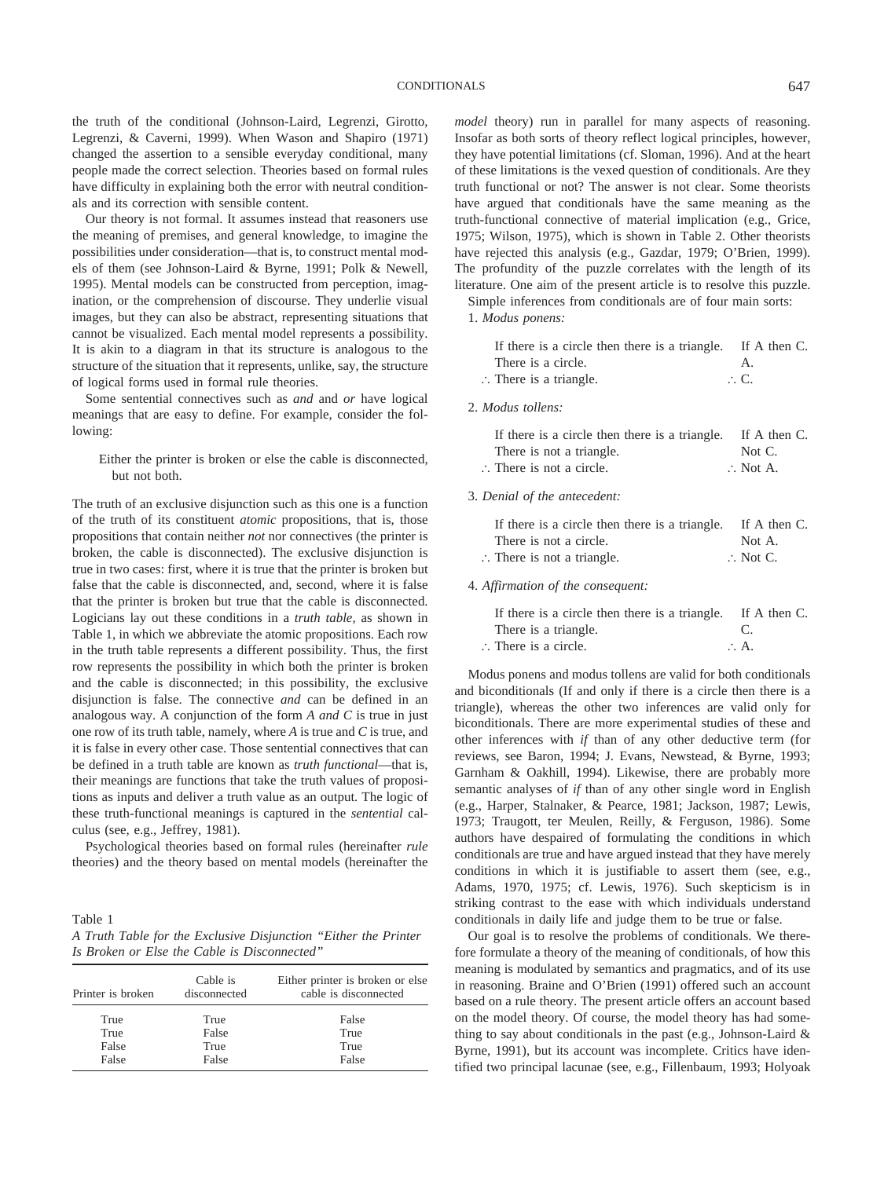the truth of the conditional (Johnson-Laird, Legrenzi, Girotto, Legrenzi, & Caverni, 1999). When Wason and Shapiro (1971) changed the assertion to a sensible everyday conditional, many people made the correct selection. Theories based on formal rules have difficulty in explaining both the error with neutral conditionals and its correction with sensible content.

Our theory is not formal. It assumes instead that reasoners use the meaning of premises, and general knowledge, to imagine the possibilities under consideration—that is, to construct mental models of them (see Johnson-Laird & Byrne, 1991; Polk & Newell, 1995). Mental models can be constructed from perception, imagination, or the comprehension of discourse. They underlie visual images, but they can also be abstract, representing situations that cannot be visualized. Each mental model represents a possibility. It is akin to a diagram in that its structure is analogous to the structure of the situation that it represents, unlike, say, the structure of logical forms used in formal rule theories.

Some sentential connectives such as *and* and *or* have logical meanings that are easy to define. For example, consider the following:

Either the printer is broken or else the cable is disconnected, but not both.

The truth of an exclusive disjunction such as this one is a function of the truth of its constituent *atomic* propositions, that is, those propositions that contain neither *not* nor connectives (the printer is broken, the cable is disconnected). The exclusive disjunction is true in two cases: first, where it is true that the printer is broken but false that the cable is disconnected, and, second, where it is false that the printer is broken but true that the cable is disconnected. Logicians lay out these conditions in a *truth table,* as shown in Table 1, in which we abbreviate the atomic propositions. Each row in the truth table represents a different possibility. Thus, the first row represents the possibility in which both the printer is broken and the cable is disconnected; in this possibility, the exclusive disjunction is false. The connective *and* can be defined in an analogous way. A conjunction of the form *A and C* is true in just one row of its truth table, namely, where *A* is true and *C* is true, and it is false in every other case. Those sentential connectives that can be defined in a truth table are known as *truth functional*—that is, their meanings are functions that take the truth values of propositions as inputs and deliver a truth value as an output. The logic of these truth-functional meanings is captured in the *sentential* calculus (see, e.g., Jeffrey, 1981).

Psychological theories based on formal rules (hereinafter *rule* theories) and the theory based on mental models (hereinafter the

Table 1 *A Truth Table for the Exclusive Disjunction "Either the Printer Is Broken or Else the Cable is Disconnected"*

| Printer is broken | Cable is<br>disconnected | Either printer is broken or else<br>cable is disconnected |
|-------------------|--------------------------|-----------------------------------------------------------|
| True              | True                     | False                                                     |
| True              | False                    | True                                                      |
| False             | True                     | True                                                      |
| False             | False                    | False                                                     |

*model* theory) run in parallel for many aspects of reasoning. Insofar as both sorts of theory reflect logical principles, however, they have potential limitations (cf. Sloman, 1996). And at the heart of these limitations is the vexed question of conditionals. Are they truth functional or not? The answer is not clear. Some theorists have argued that conditionals have the same meaning as the truth-functional connective of material implication (e.g., Grice, 1975; Wilson, 1975), which is shown in Table 2. Other theorists have rejected this analysis (e.g., Gazdar, 1979; O'Brien, 1999). The profundity of the puzzle correlates with the length of its literature. One aim of the present article is to resolve this puzzle. Simple inferences from conditionals are of four main sorts:

1. *Modus ponens:*

| If there is a circle then there is a triangle. If A then C. |                 |
|-------------------------------------------------------------|-----------------|
| There is a circle.                                          |                 |
| $\therefore$ There is a triangle.                           | $\therefore$ C. |

2. *Modus tollens:*

| If there is a circle then there is a triangle. If A then C. |                     |
|-------------------------------------------------------------|---------------------|
| There is not a triangle.                                    | Not C.              |
| $\therefore$ There is not a circle.                         | $\therefore$ Not A. |

#### 3. *Denial of the antecedent:*

| If there is a circle then there is a triangle. If A then C. |                     |
|-------------------------------------------------------------|---------------------|
| There is not a circle.                                      | Not A.              |
| $\therefore$ There is not a triangle.                       | $\therefore$ Not C. |

4. *Affirmation of the consequent:*

| If there is a circle then there is a triangle. If A then C. |                 |
|-------------------------------------------------------------|-----------------|
| There is a triangle.                                        |                 |
| $\therefore$ There is a circle.                             | $\therefore$ A. |

Modus ponens and modus tollens are valid for both conditionals and biconditionals (If and only if there is a circle then there is a triangle), whereas the other two inferences are valid only for biconditionals. There are more experimental studies of these and other inferences with *if* than of any other deductive term (for reviews, see Baron, 1994; J. Evans, Newstead, & Byrne, 1993; Garnham & Oakhill, 1994). Likewise, there are probably more semantic analyses of *if* than of any other single word in English (e.g., Harper, Stalnaker, & Pearce, 1981; Jackson, 1987; Lewis, 1973; Traugott, ter Meulen, Reilly, & Ferguson, 1986). Some authors have despaired of formulating the conditions in which conditionals are true and have argued instead that they have merely conditions in which it is justifiable to assert them (see, e.g., Adams, 1970, 1975; cf. Lewis, 1976). Such skepticism is in striking contrast to the ease with which individuals understand conditionals in daily life and judge them to be true or false.

Our goal is to resolve the problems of conditionals. We therefore formulate a theory of the meaning of conditionals, of how this meaning is modulated by semantics and pragmatics, and of its use in reasoning. Braine and O'Brien (1991) offered such an account based on a rule theory. The present article offers an account based on the model theory. Of course, the model theory has had something to say about conditionals in the past (e.g., Johnson-Laird & Byrne, 1991), but its account was incomplete. Critics have identified two principal lacunae (see, e.g., Fillenbaum, 1993; Holyoak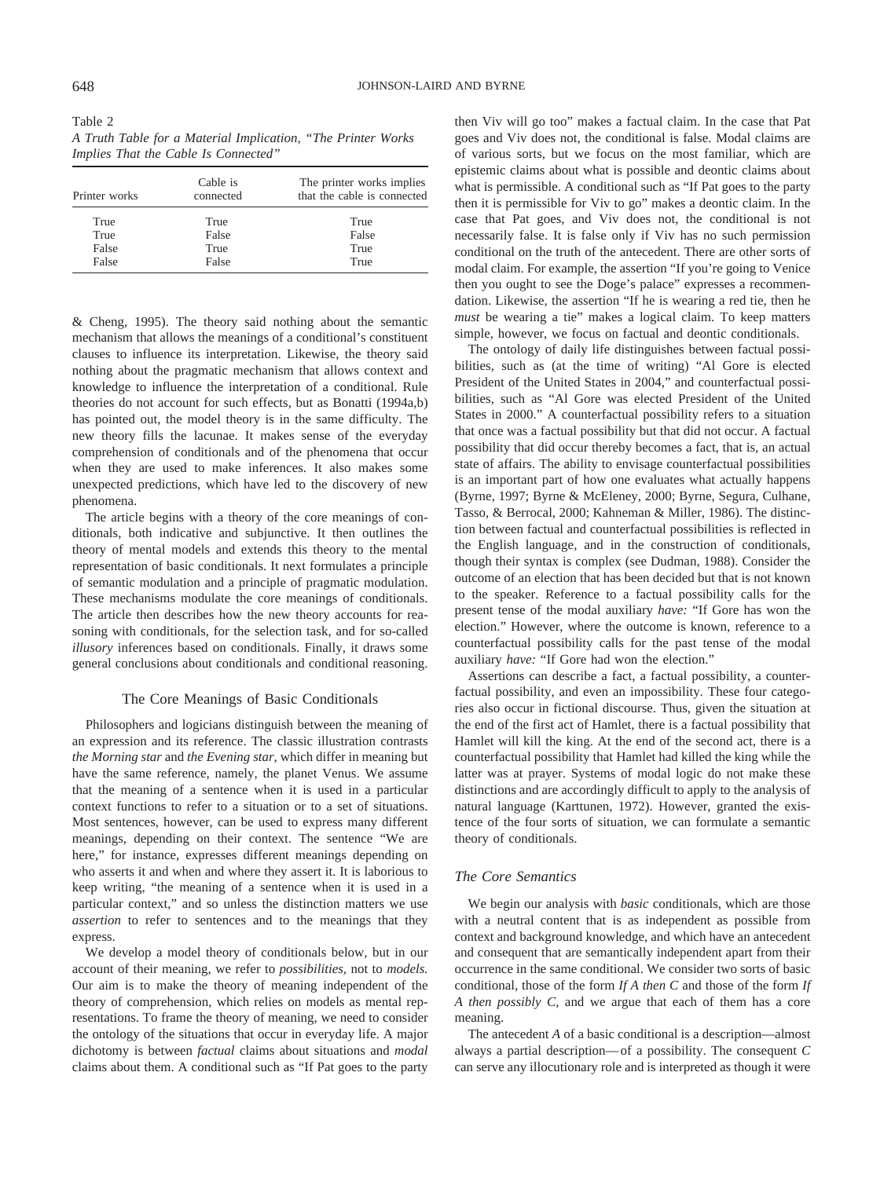Table 2 *A Truth Table for a Material Implication, "The Printer Works Implies That the Cable Is Connected"*

| Printer works | Cable is<br>connected | The printer works implies<br>that the cable is connected |
|---------------|-----------------------|----------------------------------------------------------|
| True          | True                  | True                                                     |
| True          | False                 | False                                                    |
| False         | True                  | True                                                     |
| False         | False                 | True                                                     |

& Cheng, 1995). The theory said nothing about the semantic mechanism that allows the meanings of a conditional's constituent clauses to influence its interpretation. Likewise, the theory said nothing about the pragmatic mechanism that allows context and knowledge to influence the interpretation of a conditional. Rule theories do not account for such effects, but as Bonatti (1994a,b) has pointed out, the model theory is in the same difficulty. The new theory fills the lacunae. It makes sense of the everyday comprehension of conditionals and of the phenomena that occur when they are used to make inferences. It also makes some unexpected predictions, which have led to the discovery of new phenomena.

The article begins with a theory of the core meanings of conditionals, both indicative and subjunctive. It then outlines the theory of mental models and extends this theory to the mental representation of basic conditionals. It next formulates a principle of semantic modulation and a principle of pragmatic modulation. These mechanisms modulate the core meanings of conditionals. The article then describes how the new theory accounts for reasoning with conditionals, for the selection task, and for so-called *illusory* inferences based on conditionals. Finally, it draws some general conclusions about conditionals and conditional reasoning.

### The Core Meanings of Basic Conditionals

Philosophers and logicians distinguish between the meaning of an expression and its reference. The classic illustration contrasts *the Morning star* and *the Evening star,* which differ in meaning but have the same reference, namely, the planet Venus. We assume that the meaning of a sentence when it is used in a particular context functions to refer to a situation or to a set of situations. Most sentences, however, can be used to express many different meanings, depending on their context. The sentence "We are here," for instance, expresses different meanings depending on who asserts it and when and where they assert it. It is laborious to keep writing, "the meaning of a sentence when it is used in a particular context," and so unless the distinction matters we use *assertion* to refer to sentences and to the meanings that they express.

We develop a model theory of conditionals below, but in our account of their meaning, we refer to *possibilities,* not to *models.* Our aim is to make the theory of meaning independent of the theory of comprehension, which relies on models as mental representations. To frame the theory of meaning, we need to consider the ontology of the situations that occur in everyday life. A major dichotomy is between *factual* claims about situations and *modal* claims about them. A conditional such as "If Pat goes to the party then Viv will go too" makes a factual claim. In the case that Pat goes and Viv does not, the conditional is false. Modal claims are of various sorts, but we focus on the most familiar, which are epistemic claims about what is possible and deontic claims about what is permissible. A conditional such as "If Pat goes to the party then it is permissible for Viv to go" makes a deontic claim. In the case that Pat goes, and Viv does not, the conditional is not necessarily false. It is false only if Viv has no such permission conditional on the truth of the antecedent. There are other sorts of modal claim. For example, the assertion "If you're going to Venice then you ought to see the Doge's palace" expresses a recommendation. Likewise, the assertion "If he is wearing a red tie, then he *must* be wearing a tie" makes a logical claim. To keep matters simple, however, we focus on factual and deontic conditionals.

The ontology of daily life distinguishes between factual possibilities, such as (at the time of writing) "Al Gore is elected President of the United States in 2004," and counterfactual possibilities, such as "Al Gore was elected President of the United States in 2000." A counterfactual possibility refers to a situation that once was a factual possibility but that did not occur. A factual possibility that did occur thereby becomes a fact, that is, an actual state of affairs. The ability to envisage counterfactual possibilities is an important part of how one evaluates what actually happens (Byrne, 1997; Byrne & McEleney, 2000; Byrne, Segura, Culhane, Tasso, & Berrocal, 2000; Kahneman & Miller, 1986). The distinction between factual and counterfactual possibilities is reflected in the English language, and in the construction of conditionals, though their syntax is complex (see Dudman, 1988). Consider the outcome of an election that has been decided but that is not known to the speaker. Reference to a factual possibility calls for the present tense of the modal auxiliary *have:* "If Gore has won the election." However, where the outcome is known, reference to a counterfactual possibility calls for the past tense of the modal auxiliary *have:* "If Gore had won the election."

Assertions can describe a fact, a factual possibility, a counterfactual possibility, and even an impossibility. These four categories also occur in fictional discourse. Thus, given the situation at the end of the first act of Hamlet, there is a factual possibility that Hamlet will kill the king. At the end of the second act, there is a counterfactual possibility that Hamlet had killed the king while the latter was at prayer. Systems of modal logic do not make these distinctions and are accordingly difficult to apply to the analysis of natural language (Karttunen, 1972). However, granted the existence of the four sorts of situation, we can formulate a semantic theory of conditionals.

### *The Core Semantics*

We begin our analysis with *basic* conditionals, which are those with a neutral content that is as independent as possible from context and background knowledge, and which have an antecedent and consequent that are semantically independent apart from their occurrence in the same conditional. We consider two sorts of basic conditional, those of the form *If A then C* and those of the form *If A then possibly C,* and we argue that each of them has a core meaning.

The antecedent *A* of a basic conditional is a description—almost always a partial description—of a possibility. The consequent *C* can serve any illocutionary role and is interpreted as though it were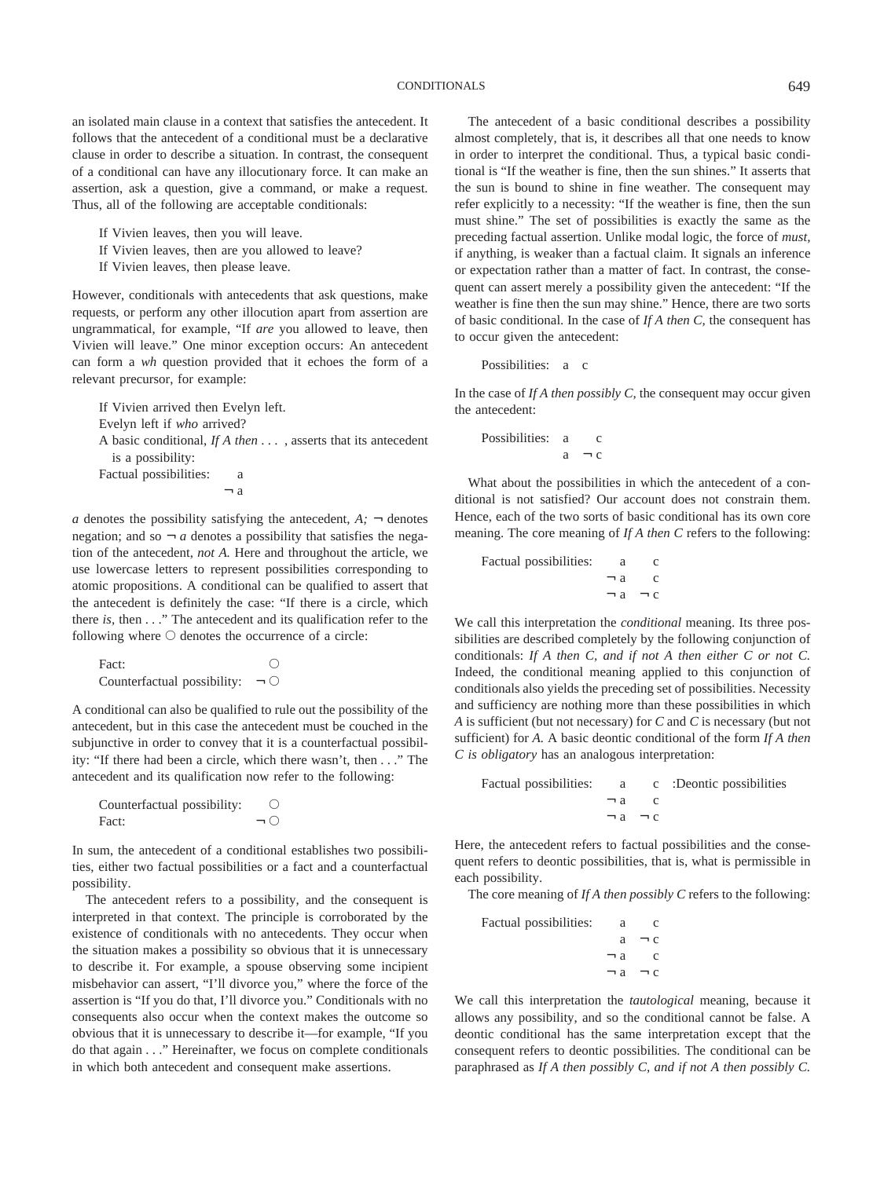an isolated main clause in a context that satisfies the antecedent. It follows that the antecedent of a conditional must be a declarative clause in order to describe a situation. In contrast, the consequent of a conditional can have any illocutionary force. It can make an assertion, ask a question, give a command, or make a request. Thus, all of the following are acceptable conditionals:

If Vivien leaves, then you will leave.

- If Vivien leaves, then are you allowed to leave?
- If Vivien leaves, then please leave.

However, conditionals with antecedents that ask questions, make requests, or perform any other illocution apart from assertion are ungrammatical, for example, "If *are* you allowed to leave, then Vivien will leave." One minor exception occurs: An antecedent can form a *wh* question provided that it echoes the form of a relevant precursor, for example:

If Vivien arrived then Evelyn left. Evelyn left if *who* arrived? A basic conditional, *If A then* . . . , asserts that its antecedent is a possibility: Factual possibilities: a  $\lnot$  a

*a* denotes the possibility satisfying the antecedent,  $A$ ;  $\rightarrow$  denotes negation; and so  $\neg$  *a* denotes a possibility that satisfies the negation of the antecedent, *not A.* Here and throughout the article, we use lowercase letters to represent possibilities corresponding to atomic propositions. A conditional can be qualified to assert that the antecedent is definitely the case: "If there is a circle, which there *is,* then . . ." The antecedent and its qualification refer to the following where  $\circlearrowright$  denotes the occurrence of a circle:

| Fact:                                         |  |
|-----------------------------------------------|--|
| Counterfactual possibility: $\neg$ $\bigcirc$ |  |

A conditional can also be qualified to rule out the possibility of the antecedent, but in this case the antecedent must be couched in the subjunctive in order to convey that it is a counterfactual possibility: "If there had been a circle, which there wasn't, then . . ." The antecedent and its qualification now refer to the following:

| Counterfactual possibility: | O                 |  |
|-----------------------------|-------------------|--|
| Fact:                       | $\neg$ $\bigcirc$ |  |

In sum, the antecedent of a conditional establishes two possibilities, either two factual possibilities or a fact and a counterfactual possibility.

The antecedent refers to a possibility, and the consequent is interpreted in that context. The principle is corroborated by the existence of conditionals with no antecedents. They occur when the situation makes a possibility so obvious that it is unnecessary to describe it. For example, a spouse observing some incipient misbehavior can assert, "I'll divorce you," where the force of the assertion is "If you do that, I'll divorce you." Conditionals with no consequents also occur when the context makes the outcome so obvious that it is unnecessary to describe it—for example, "If you do that again..." Hereinafter, we focus on complete conditionals in which both antecedent and consequent make assertions.

The antecedent of a basic conditional describes a possibility almost completely, that is, it describes all that one needs to know in order to interpret the conditional. Thus, a typical basic conditional is "If the weather is fine, then the sun shines." It asserts that the sun is bound to shine in fine weather. The consequent may refer explicitly to a necessity: "If the weather is fine, then the sun must shine." The set of possibilities is exactly the same as the preceding factual assertion. Unlike modal logic, the force of *must,* if anything, is weaker than a factual claim. It signals an inference or expectation rather than a matter of fact. In contrast, the consequent can assert merely a possibility given the antecedent: "If the weather is fine then the sun may shine." Hence, there are two sorts of basic conditional. In the case of *If A then C,* the consequent has to occur given the antecedent:

Possibilities: a c

In the case of *If A then possibly C,* the consequent may occur given the antecedent:

Possibilities: a c  $a - c$ 

What about the possibilities in which the antecedent of a conditional is not satisfied? Our account does not constrain them. Hence, each of the two sorts of basic conditional has its own core meaning. The core meaning of *If A then C* refers to the following:

| Factual possibilities: | a        | C               |
|------------------------|----------|-----------------|
|                        | $\neg$ a | $\mathbf{c}$    |
|                        |          | $\neg a \neg c$ |

We call this interpretation the *conditional* meaning. Its three possibilities are described completely by the following conjunction of conditionals: *If A then C, and if not A then either C or not C.* Indeed, the conditional meaning applied to this conjunction of conditionals also yields the preceding set of possibilities. Necessity and sufficiency are nothing more than these possibilities in which *A* is sufficient (but not necessary) for *C* and *C* is necessary (but not sufficient) for *A.* A basic deontic conditional of the form *If A then C is obligatory* has an analogous interpretation:

|                 | Factual possibilities: a c :Deontic possibilities |
|-----------------|---------------------------------------------------|
| $\Box$ a c      |                                                   |
| $\neg a \neg c$ |                                                   |

Here, the antecedent refers to factual possibilities and the consequent refers to deontic possibilities, that is, what is permissible in each possibility.

The core meaning of *If A then possibly C* refers to the following:

| Ċ       | a         | Factual possibilities: |  |
|---------|-----------|------------------------|--|
| $a - c$ |           |                        |  |
| c       | $\neg$ a  |                        |  |
|         | $-a$ $-c$ |                        |  |

We call this interpretation the *tautological* meaning, because it allows any possibility, and so the conditional cannot be false. A deontic conditional has the same interpretation except that the consequent refers to deontic possibilities. The conditional can be paraphrased as *If A then possibly C, and if not A then possibly C.*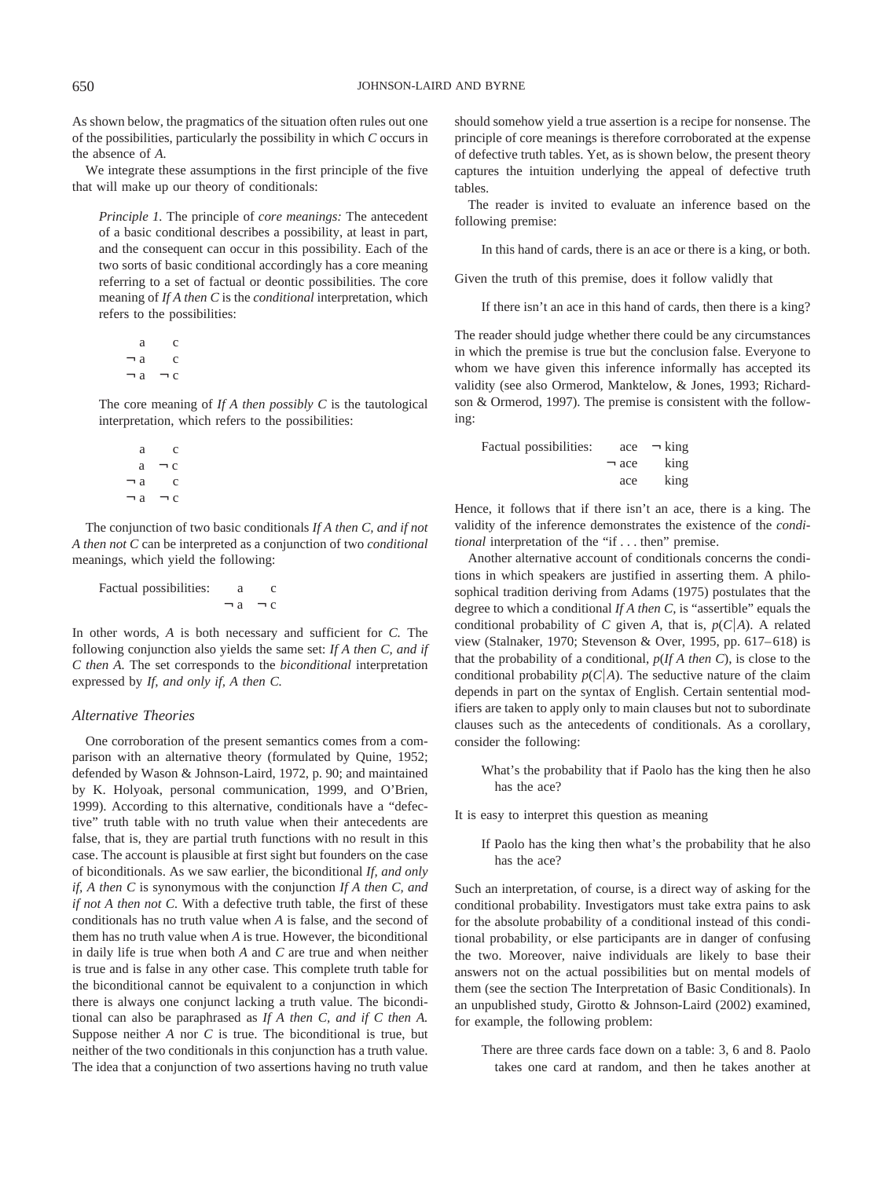As shown below, the pragmatics of the situation often rules out one of the possibilities, particularly the possibility in which *C* occurs in the absence of *A.*

We integrate these assumptions in the first principle of the five that will make up our theory of conditionals:

*Principle 1.* The principle of *core meanings:* The antecedent of a basic conditional describes a possibility, at least in part, and the consequent can occur in this possibility. Each of the two sorts of basic conditional accordingly has a core meaning referring to a set of factual or deontic possibilities. The core meaning of *If A then C* is the *conditional* interpretation, which refers to the possibilities:

a c  $\neg a$  c  $\neg a \neg \neg c$ 

The core meaning of *If A then possibly C* is the tautological interpretation, which refers to the possibilities:

a c  $a - c$  $\neg a$  c  $\neg a \neg c$ 

The conjunction of two basic conditionals *If A then C, and if not A then not C* can be interpreted as a conjunction of two *conditional* meanings, which yield the following:

$$
\begin{array}{ll}\n\text{Factual possibilities:} & \text{a} & \text{c} \\
\hline\n\vdots & \ddots & \ddots \\
\hline\n\end{array}
$$

In other words, *A* is both necessary and sufficient for *C.* The following conjunction also yields the same set: *If A then C, and if C then A.* The set corresponds to the *biconditional* interpretation expressed by *If, and only if, A then C.*

### *Alternative Theories*

One corroboration of the present semantics comes from a comparison with an alternative theory (formulated by Quine, 1952; defended by Wason & Johnson-Laird, 1972, p. 90; and maintained by K. Holyoak, personal communication, 1999, and O'Brien, 1999). According to this alternative, conditionals have a "defective" truth table with no truth value when their antecedents are false, that is, they are partial truth functions with no result in this case. The account is plausible at first sight but founders on the case of biconditionals. As we saw earlier, the biconditional *If, and only if, A then C* is synonymous with the conjunction *If A then C, and if not A then not C.* With a defective truth table, the first of these conditionals has no truth value when *A* is false, and the second of them has no truth value when *A* is true. However, the biconditional in daily life is true when both *A* and *C* are true and when neither is true and is false in any other case. This complete truth table for the biconditional cannot be equivalent to a conjunction in which there is always one conjunct lacking a truth value. The biconditional can also be paraphrased as *If A then C, and if C then A.* Suppose neither *A* nor *C* is true. The biconditional is true, but neither of the two conditionals in this conjunction has a truth value. The idea that a conjunction of two assertions having no truth value should somehow yield a true assertion is a recipe for nonsense. The principle of core meanings is therefore corroborated at the expense of defective truth tables. Yet, as is shown below, the present theory captures the intuition underlying the appeal of defective truth tables.

The reader is invited to evaluate an inference based on the following premise:

In this hand of cards, there is an ace or there is a king, or both.

Given the truth of this premise, does it follow validly that

If there isn't an ace in this hand of cards, then there is a king?

The reader should judge whether there could be any circumstances in which the premise is true but the conclusion false. Everyone to whom we have given this inference informally has accepted its validity (see also Ormerod, Manktelow, & Jones, 1993; Richardson & Ormerod, 1997). The premise is consistent with the following:

Factual possibilities:

\nace 
$$
\neg
$$
 king  $\neg$  ace  $\neg$  king  $\neg$  ace  $\neg$  king  $\neg$  ace  $\neg$  king  $\neg$ 

Hence, it follows that if there isn't an ace, there is a king. The validity of the inference demonstrates the existence of the *conditional* interpretation of the "if . . . then" premise.

Another alternative account of conditionals concerns the conditions in which speakers are justified in asserting them. A philosophical tradition deriving from Adams (1975) postulates that the degree to which a conditional *If A then C,* is "assertible" equals the conditional probability of *C* given *A*, that is,  $p(C|A)$ . A related view (Stalnaker, 1970; Stevenson & Over, 1995, pp. 617–618) is that the probability of a conditional, *p*(*If A then C*), is close to the conditional probability  $p(C|A)$ . The seductive nature of the claim depends in part on the syntax of English. Certain sentential modifiers are taken to apply only to main clauses but not to subordinate clauses such as the antecedents of conditionals. As a corollary, consider the following:

What's the probability that if Paolo has the king then he also has the ace?

- It is easy to interpret this question as meaning
	- If Paolo has the king then what's the probability that he also has the ace?

Such an interpretation, of course, is a direct way of asking for the conditional probability. Investigators must take extra pains to ask for the absolute probability of a conditional instead of this conditional probability, or else participants are in danger of confusing the two. Moreover, naive individuals are likely to base their answers not on the actual possibilities but on mental models of them (see the section The Interpretation of Basic Conditionals). In an unpublished study, Girotto & Johnson-Laird (2002) examined, for example, the following problem:

There are three cards face down on a table: 3, 6 and 8. Paolo takes one card at random, and then he takes another at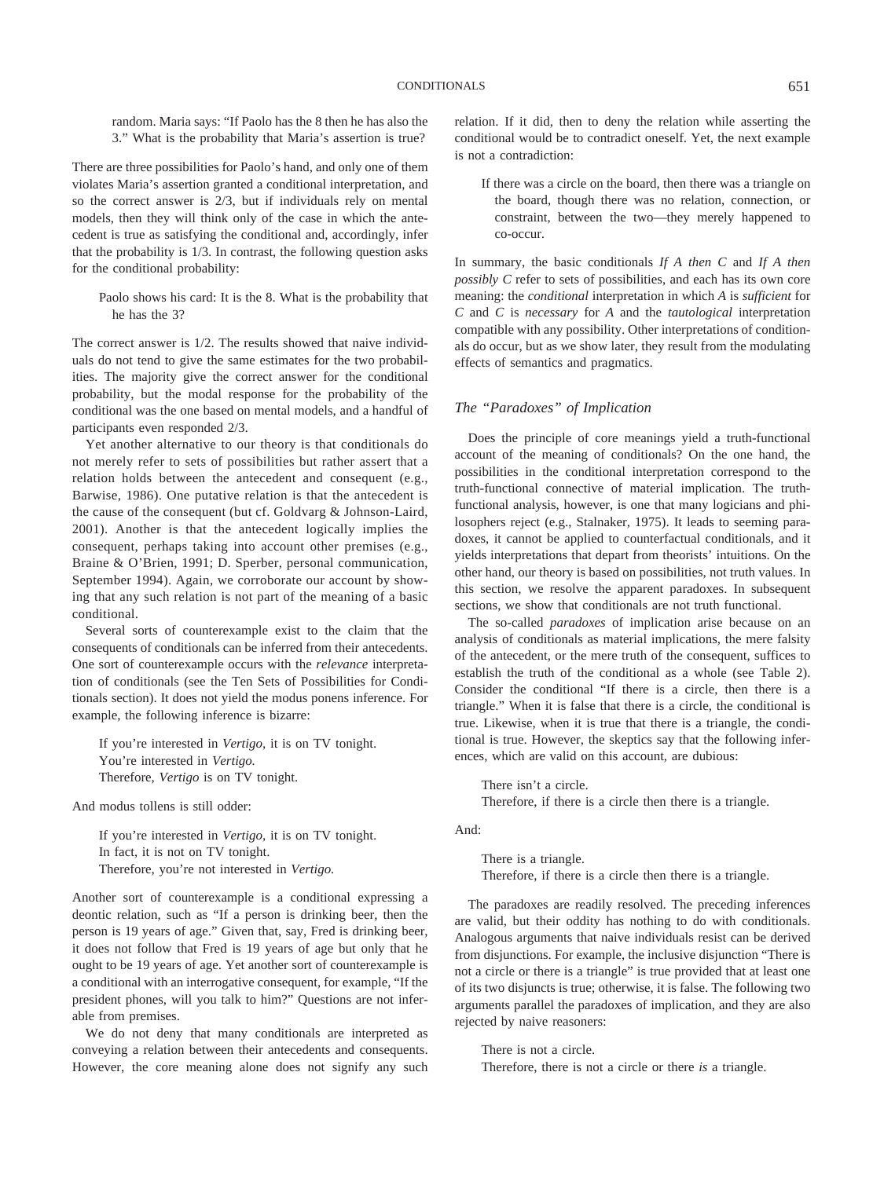random. Maria says: "If Paolo has the 8 then he has also the 3." What is the probability that Maria's assertion is true?

There are three possibilities for Paolo's hand, and only one of them violates Maria's assertion granted a conditional interpretation, and so the correct answer is 2/3, but if individuals rely on mental models, then they will think only of the case in which the antecedent is true as satisfying the conditional and, accordingly, infer that the probability is 1/3. In contrast, the following question asks for the conditional probability:

Paolo shows his card: It is the 8. What is the probability that he has the 3?

The correct answer is 1/2. The results showed that naive individuals do not tend to give the same estimates for the two probabilities. The majority give the correct answer for the conditional probability, but the modal response for the probability of the conditional was the one based on mental models, and a handful of participants even responded 2/3.

Yet another alternative to our theory is that conditionals do not merely refer to sets of possibilities but rather assert that a relation holds between the antecedent and consequent (e.g., Barwise, 1986). One putative relation is that the antecedent is the cause of the consequent (but cf. Goldvarg & Johnson-Laird, 2001). Another is that the antecedent logically implies the consequent, perhaps taking into account other premises (e.g., Braine & O'Brien, 1991; D. Sperber, personal communication, September 1994). Again, we corroborate our account by showing that any such relation is not part of the meaning of a basic conditional.

Several sorts of counterexample exist to the claim that the consequents of conditionals can be inferred from their antecedents. One sort of counterexample occurs with the *relevance* interpretation of conditionals (see the Ten Sets of Possibilities for Conditionals section). It does not yield the modus ponens inference. For example, the following inference is bizarre:

If you're interested in *Vertigo,* it is on TV tonight. You're interested in *Vertigo.* Therefore, *Vertigo* is on TV tonight.

And modus tollens is still odder:

If you're interested in *Vertigo,* it is on TV tonight. In fact, it is not on TV tonight. Therefore, you're not interested in *Vertigo.*

Another sort of counterexample is a conditional expressing a deontic relation, such as "If a person is drinking beer, then the person is 19 years of age." Given that, say, Fred is drinking beer, it does not follow that Fred is 19 years of age but only that he ought to be 19 years of age. Yet another sort of counterexample is a conditional with an interrogative consequent, for example, "If the president phones, will you talk to him?" Questions are not inferable from premises.

We do not deny that many conditionals are interpreted as conveying a relation between their antecedents and consequents. However, the core meaning alone does not signify any such relation. If it did, then to deny the relation while asserting the conditional would be to contradict oneself. Yet, the next example is not a contradiction:

If there was a circle on the board, then there was a triangle on the board, though there was no relation, connection, or constraint, between the two—they merely happened to co-occur.

In summary, the basic conditionals *If A then C* and *If A then possibly C* refer to sets of possibilities, and each has its own core meaning: the *conditional* interpretation in which *A* is *sufficient* for *C* and *C* is *necessary* for *A* and the *tautological* interpretation compatible with any possibility. Other interpretations of conditionals do occur, but as we show later, they result from the modulating effects of semantics and pragmatics.

### *The "Paradoxes" of Implication*

Does the principle of core meanings yield a truth-functional account of the meaning of conditionals? On the one hand, the possibilities in the conditional interpretation correspond to the truth-functional connective of material implication. The truthfunctional analysis, however, is one that many logicians and philosophers reject (e.g., Stalnaker, 1975). It leads to seeming paradoxes, it cannot be applied to counterfactual conditionals, and it yields interpretations that depart from theorists' intuitions. On the other hand, our theory is based on possibilities, not truth values. In this section, we resolve the apparent paradoxes. In subsequent sections, we show that conditionals are not truth functional.

The so-called *paradoxes* of implication arise because on an analysis of conditionals as material implications, the mere falsity of the antecedent, or the mere truth of the consequent, suffices to establish the truth of the conditional as a whole (see Table 2). Consider the conditional "If there is a circle, then there is a triangle." When it is false that there is a circle, the conditional is true. Likewise, when it is true that there is a triangle, the conditional is true. However, the skeptics say that the following inferences, which are valid on this account, are dubious:

There isn't a circle.

Therefore, if there is a circle then there is a triangle.

And:

There is a triangle. Therefore, if there is a circle then there is a triangle.

The paradoxes are readily resolved. The preceding inferences are valid, but their oddity has nothing to do with conditionals. Analogous arguments that naive individuals resist can be derived from disjunctions. For example, the inclusive disjunction "There is not a circle or there is a triangle" is true provided that at least one of its two disjuncts is true; otherwise, it is false. The following two arguments parallel the paradoxes of implication, and they are also rejected by naive reasoners:

There is not a circle. Therefore, there is not a circle or there *is* a triangle.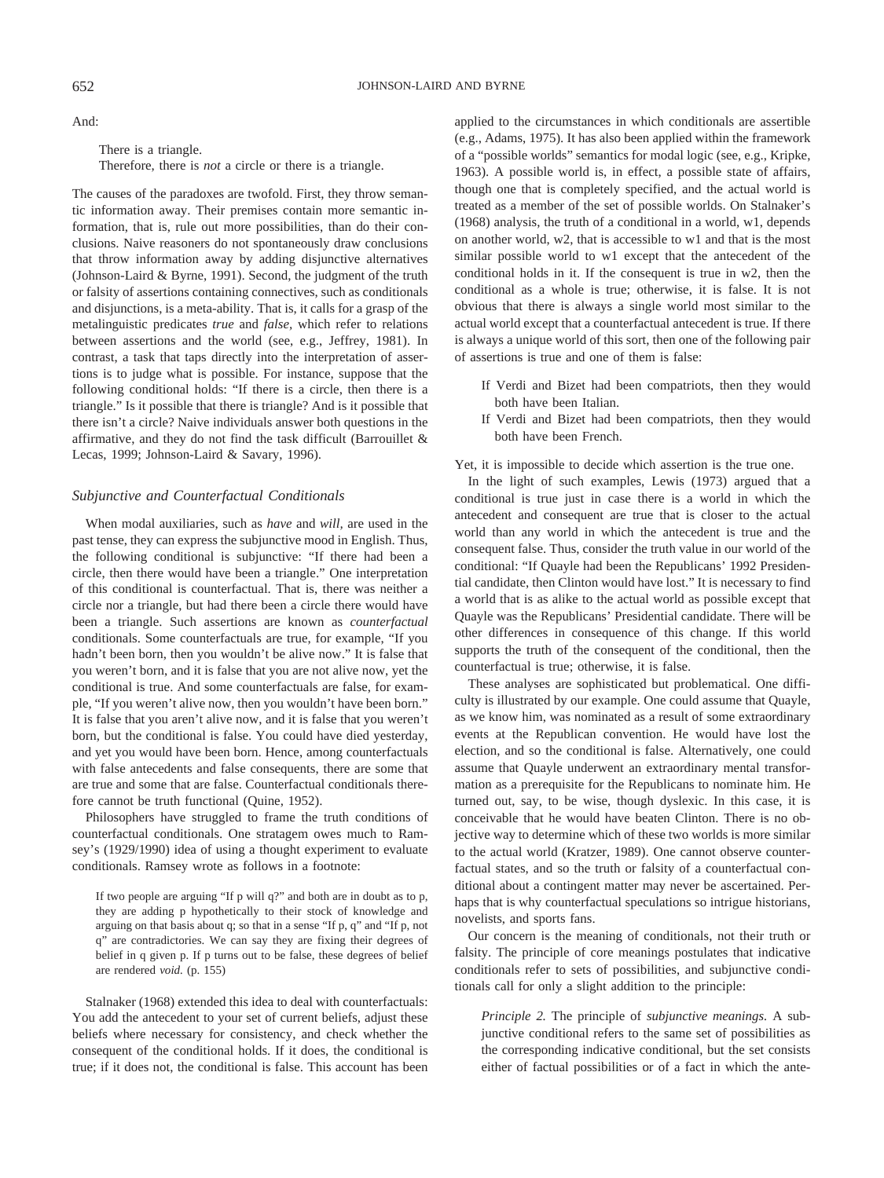And:

There is a triangle. Therefore, there is *not* a circle or there is a triangle.

The causes of the paradoxes are twofold. First, they throw semantic information away. Their premises contain more semantic information, that is, rule out more possibilities, than do their conclusions. Naive reasoners do not spontaneously draw conclusions that throw information away by adding disjunctive alternatives (Johnson-Laird & Byrne, 1991). Second, the judgment of the truth or falsity of assertions containing connectives, such as conditionals and disjunctions, is a meta-ability. That is, it calls for a grasp of the metalinguistic predicates *true* and *false,* which refer to relations between assertions and the world (see, e.g., Jeffrey, 1981). In contrast, a task that taps directly into the interpretation of assertions is to judge what is possible. For instance, suppose that the following conditional holds: "If there is a circle, then there is a triangle." Is it possible that there is triangle? And is it possible that there isn't a circle? Naive individuals answer both questions in the affirmative, and they do not find the task difficult (Barrouillet & Lecas, 1999; Johnson-Laird & Savary, 1996).

### *Subjunctive and Counterfactual Conditionals*

When modal auxiliaries, such as *have* and *will,* are used in the past tense, they can express the subjunctive mood in English. Thus, the following conditional is subjunctive: "If there had been a circle, then there would have been a triangle." One interpretation of this conditional is counterfactual. That is, there was neither a circle nor a triangle, but had there been a circle there would have been a triangle. Such assertions are known as *counterfactual* conditionals. Some counterfactuals are true, for example, "If you hadn't been born, then you wouldn't be alive now." It is false that you weren't born, and it is false that you are not alive now, yet the conditional is true. And some counterfactuals are false, for example, "If you weren't alive now, then you wouldn't have been born." It is false that you aren't alive now, and it is false that you weren't born, but the conditional is false. You could have died yesterday, and yet you would have been born. Hence, among counterfactuals with false antecedents and false consequents, there are some that are true and some that are false. Counterfactual conditionals therefore cannot be truth functional (Quine, 1952).

Philosophers have struggled to frame the truth conditions of counterfactual conditionals. One stratagem owes much to Ramsey's (1929/1990) idea of using a thought experiment to evaluate conditionals. Ramsey wrote as follows in a footnote:

If two people are arguing "If p will q?" and both are in doubt as to p, they are adding p hypothetically to their stock of knowledge and arguing on that basis about q; so that in a sense "If p, q" and "If p, not q" are contradictories. We can say they are fixing their degrees of belief in q given p. If p turns out to be false, these degrees of belief are rendered *void.* (p. 155)

Stalnaker (1968) extended this idea to deal with counterfactuals: You add the antecedent to your set of current beliefs, adjust these beliefs where necessary for consistency, and check whether the consequent of the conditional holds. If it does, the conditional is true; if it does not, the conditional is false. This account has been

applied to the circumstances in which conditionals are assertible (e.g., Adams, 1975). It has also been applied within the framework of a "possible worlds" semantics for modal logic (see, e.g., Kripke, 1963). A possible world is, in effect, a possible state of affairs, though one that is completely specified, and the actual world is treated as a member of the set of possible worlds. On Stalnaker's (1968) analysis, the truth of a conditional in a world, w1, depends on another world, w2, that is accessible to w1 and that is the most similar possible world to w1 except that the antecedent of the conditional holds in it. If the consequent is true in w2, then the conditional as a whole is true; otherwise, it is false. It is not obvious that there is always a single world most similar to the actual world except that a counterfactual antecedent is true. If there is always a unique world of this sort, then one of the following pair of assertions is true and one of them is false:

- If Verdi and Bizet had been compatriots, then they would both have been Italian.
- If Verdi and Bizet had been compatriots, then they would both have been French.

Yet, it is impossible to decide which assertion is the true one.

In the light of such examples, Lewis (1973) argued that a conditional is true just in case there is a world in which the antecedent and consequent are true that is closer to the actual world than any world in which the antecedent is true and the consequent false. Thus, consider the truth value in our world of the conditional: "If Quayle had been the Republicans' 1992 Presidential candidate, then Clinton would have lost." It is necessary to find a world that is as alike to the actual world as possible except that Quayle was the Republicans' Presidential candidate. There will be other differences in consequence of this change. If this world supports the truth of the consequent of the conditional, then the counterfactual is true; otherwise, it is false.

These analyses are sophisticated but problematical. One difficulty is illustrated by our example. One could assume that Quayle, as we know him, was nominated as a result of some extraordinary events at the Republican convention. He would have lost the election, and so the conditional is false. Alternatively, one could assume that Quayle underwent an extraordinary mental transformation as a prerequisite for the Republicans to nominate him. He turned out, say, to be wise, though dyslexic. In this case, it is conceivable that he would have beaten Clinton. There is no objective way to determine which of these two worlds is more similar to the actual world (Kratzer, 1989). One cannot observe counterfactual states, and so the truth or falsity of a counterfactual conditional about a contingent matter may never be ascertained. Perhaps that is why counterfactual speculations so intrigue historians, novelists, and sports fans.

Our concern is the meaning of conditionals, not their truth or falsity. The principle of core meanings postulates that indicative conditionals refer to sets of possibilities, and subjunctive conditionals call for only a slight addition to the principle:

*Principle 2.* The principle of *subjunctive meanings.* A subjunctive conditional refers to the same set of possibilities as the corresponding indicative conditional, but the set consists either of factual possibilities or of a fact in which the ante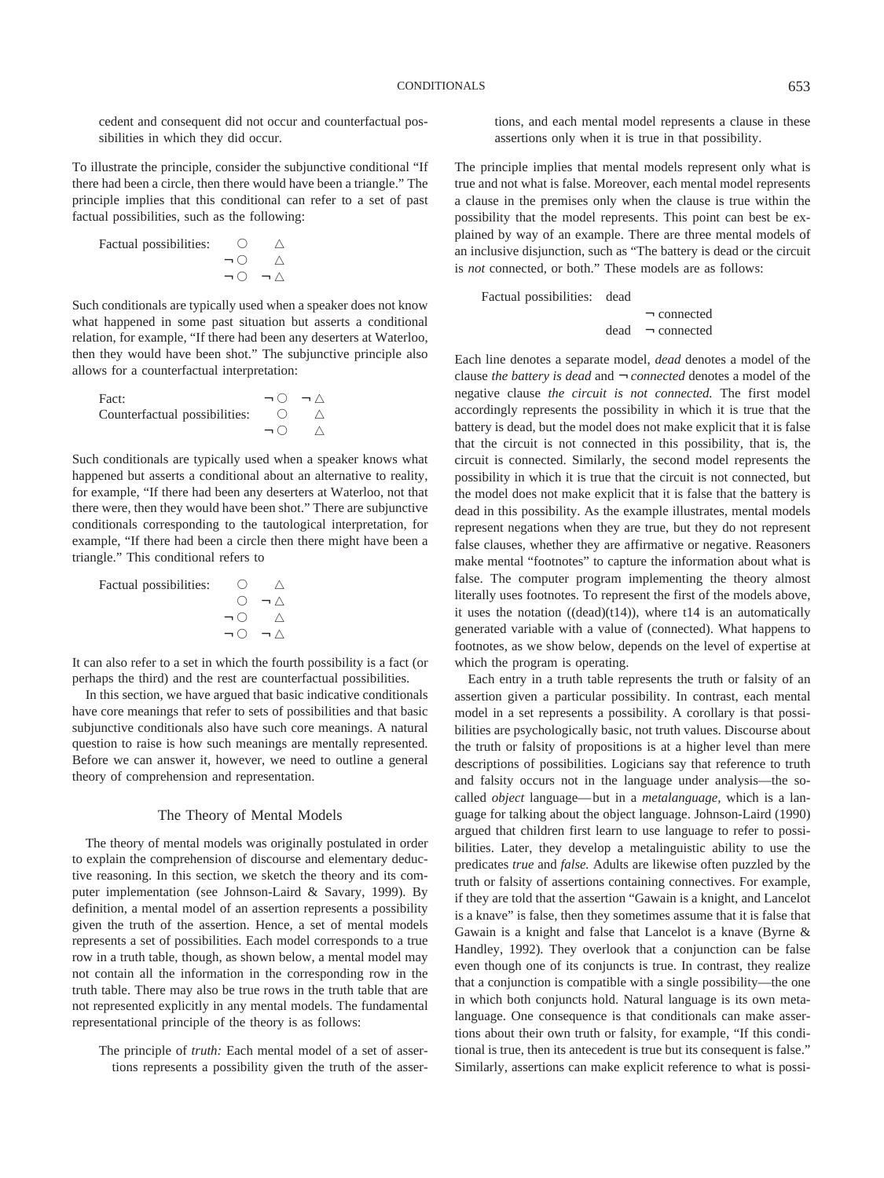cedent and consequent did not occur and counterfactual possibilities in which they did occur.

To illustrate the principle, consider the subjunctive conditional "If there had been a circle, then there would have been a triangle." The principle implies that this conditional can refer to a set of past factual possibilities, such as the following:

Factual possibilities:  $\bigcirc$   $\bigcirc$   $\bigcirc$   $\bigcirc$  $\neg$  O  $\triangle$  $\neg$   $\circ$   $\neg$   $\triangle$ 

Such conditionals are typically used when a speaker does not know what happened in some past situation but asserts a conditional relation, for example, "If there had been any deserters at Waterloo, then they would have been shot." The subjunctive principle also allows for a counterfactual interpretation:

| Fact:                                             | $\neg$ $\bigcirc$ $\neg$ $\bigtriangleup$ |  |
|---------------------------------------------------|-------------------------------------------|--|
| Counterfactual possibilities: $\bigcirc$ $\Delta$ |                                           |  |
|                                                   | $\neg$ $\bigcirc$ $\land$                 |  |

Such conditionals are typically used when a speaker knows what happened but asserts a conditional about an alternative to reality, for example, "If there had been any deserters at Waterloo, not that there were, then they would have been shot." There are subjunctive conditionals corresponding to the tautological interpretation, for example, "If there had been a circle then there might have been a triangle." This conditional refers to

| Factual possibilities: | $\bigcirc$      | $\bigcirc$      |
|------------------------|-----------------|-----------------|
| $\bigcirc$             | $\neg \bigcirc$ | $\bigcirc$      |
| $\neg \bigcirc$        | $\bigcirc$      | $\neg \bigcirc$ |
| $\neg \bigcirc$        | $\neg \bigcirc$ | $\bigcirc$      |

It can also refer to a set in which the fourth possibility is a fact (or perhaps the third) and the rest are counterfactual possibilities.

In this section, we have argued that basic indicative conditionals have core meanings that refer to sets of possibilities and that basic subjunctive conditionals also have such core meanings. A natural question to raise is how such meanings are mentally represented. Before we can answer it, however, we need to outline a general theory of comprehension and representation.

### The Theory of Mental Models

The theory of mental models was originally postulated in order to explain the comprehension of discourse and elementary deductive reasoning. In this section, we sketch the theory and its computer implementation (see Johnson-Laird & Savary, 1999). By definition, a mental model of an assertion represents a possibility given the truth of the assertion. Hence, a set of mental models represents a set of possibilities. Each model corresponds to a true row in a truth table, though, as shown below, a mental model may not contain all the information in the corresponding row in the truth table. There may also be true rows in the truth table that are not represented explicitly in any mental models. The fundamental representational principle of the theory is as follows:

The principle of *truth:* Each mental model of a set of assertions represents a possibility given the truth of the assertions, and each mental model represents a clause in these assertions only when it is true in that possibility.

The principle implies that mental models represent only what is true and not what is false. Moreover, each mental model represents a clause in the premises only when the clause is true within the possibility that the model represents. This point can best be explained by way of an example. There are three mental models of an inclusive disjunction, such as "The battery is dead or the circuit is *not* connected, or both." These models are as follows:

Factual possibilities: dead

$$
\neg\ \mathrm{connected}
$$
\n
$$
\neg\ \mathrm{connected}
$$

Each line denotes a separate model, *dead* denotes a model of the clause *the battery is dead* and  $\rightarrow$  *connected* denotes a model of the negative clause *the circuit is not connected.* The first model accordingly represents the possibility in which it is true that the battery is dead, but the model does not make explicit that it is false that the circuit is not connected in this possibility, that is, the circuit is connected. Similarly, the second model represents the possibility in which it is true that the circuit is not connected, but the model does not make explicit that it is false that the battery is dead in this possibility. As the example illustrates, mental models represent negations when they are true, but they do not represent false clauses, whether they are affirmative or negative. Reasoners make mental "footnotes" to capture the information about what is false. The computer program implementing the theory almost literally uses footnotes. To represent the first of the models above, it uses the notation ((dead)(t14)), where t14 is an automatically generated variable with a value of (connected). What happens to footnotes, as we show below, depends on the level of expertise at which the program is operating.

Each entry in a truth table represents the truth or falsity of an assertion given a particular possibility. In contrast, each mental model in a set represents a possibility. A corollary is that possibilities are psychologically basic, not truth values. Discourse about the truth or falsity of propositions is at a higher level than mere descriptions of possibilities. Logicians say that reference to truth and falsity occurs not in the language under analysis—the socalled *object* language—but in a *metalanguage,* which is a language for talking about the object language. Johnson-Laird (1990) argued that children first learn to use language to refer to possibilities. Later, they develop a metalinguistic ability to use the predicates *true* and *false.* Adults are likewise often puzzled by the truth or falsity of assertions containing connectives. For example, if they are told that the assertion "Gawain is a knight, and Lancelot is a knave" is false, then they sometimes assume that it is false that Gawain is a knight and false that Lancelot is a knave (Byrne & Handley, 1992). They overlook that a conjunction can be false even though one of its conjuncts is true. In contrast, they realize that a conjunction is compatible with a single possibility—the one in which both conjuncts hold. Natural language is its own metalanguage. One consequence is that conditionals can make assertions about their own truth or falsity, for example, "If this conditional is true, then its antecedent is true but its consequent is false." Similarly, assertions can make explicit reference to what is possi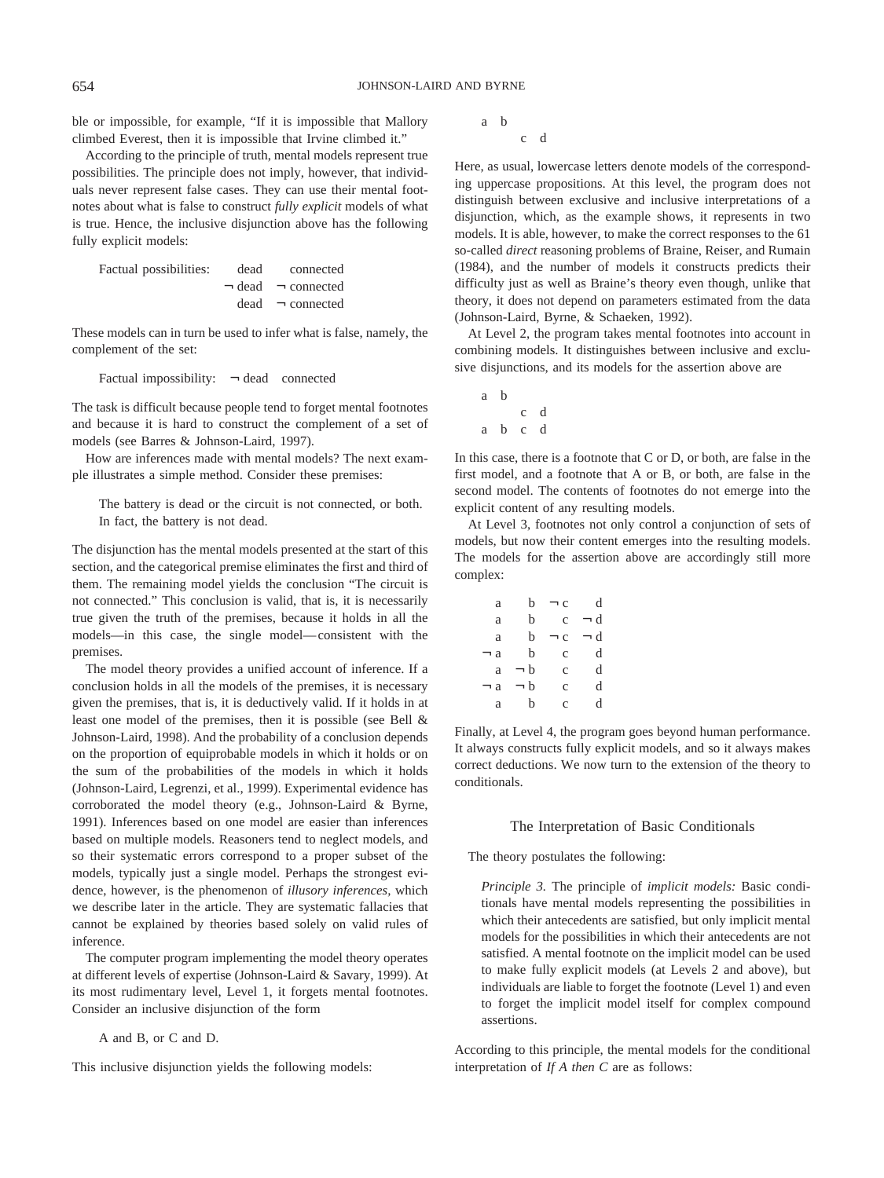ble or impossible, for example, "If it is impossible that Mallory climbed Everest, then it is impossible that Irvine climbed it."

According to the principle of truth, mental models represent true possibilities. The principle does not imply, however, that individuals never represent false cases. They can use their mental footnotes about what is false to construct *fully explicit* models of what is true. Hence, the inclusive disjunction above has the following fully explicit models:

| Factual possibilities: | dead | connected                      |
|------------------------|------|--------------------------------|
|                        |      | $\lnot$ dead $\lnot$ connected |
|                        |      | $dead \rightarrow connected$   |

These models can in turn be used to infer what is false, namely, the complement of the set:

Factual impossibility:  $\rightarrow$  dead connected

The task is difficult because people tend to forget mental footnotes and because it is hard to construct the complement of a set of models (see Barres & Johnson-Laird, 1997).

How are inferences made with mental models? The next example illustrates a simple method. Consider these premises:

The battery is dead or the circuit is not connected, or both. In fact, the battery is not dead.

The disjunction has the mental models presented at the start of this section, and the categorical premise eliminates the first and third of them. The remaining model yields the conclusion "The circuit is not connected." This conclusion is valid, that is, it is necessarily true given the truth of the premises, because it holds in all the models—in this case, the single model—consistent with the premises.

The model theory provides a unified account of inference. If a conclusion holds in all the models of the premises, it is necessary given the premises, that is, it is deductively valid. If it holds in at least one model of the premises, then it is possible (see Bell & Johnson-Laird, 1998). And the probability of a conclusion depends on the proportion of equiprobable models in which it holds or on the sum of the probabilities of the models in which it holds (Johnson-Laird, Legrenzi, et al., 1999). Experimental evidence has corroborated the model theory (e.g., Johnson-Laird & Byrne, 1991). Inferences based on one model are easier than inferences based on multiple models. Reasoners tend to neglect models, and so their systematic errors correspond to a proper subset of the models, typically just a single model. Perhaps the strongest evidence, however, is the phenomenon of *illusory inferences,* which we describe later in the article. They are systematic fallacies that cannot be explained by theories based solely on valid rules of inference.

The computer program implementing the model theory operates at different levels of expertise (Johnson-Laird & Savary, 1999). At its most rudimentary level, Level 1, it forgets mental footnotes. Consider an inclusive disjunction of the form

A and B, or C and D.

This inclusive disjunction yields the following models:

a b c d

Here, as usual, lowercase letters denote models of the corresponding uppercase propositions. At this level, the program does not distinguish between exclusive and inclusive interpretations of a disjunction, which, as the example shows, it represents in two models. It is able, however, to make the correct responses to the 61 so-called *direct* reasoning problems of Braine, Reiser, and Rumain (1984), and the number of models it constructs predicts their difficulty just as well as Braine's theory even though, unlike that theory, it does not depend on parameters estimated from the data (Johnson-Laird, Byrne, & Schaeken, 1992).

At Level 2, the program takes mental footnotes into account in combining models. It distinguishes between inclusive and exclusive disjunctions, and its models for the assertion above are

| a b     |     |  |
|---------|-----|--|
|         | c d |  |
| a b c d |     |  |

In this case, there is a footnote that C or D, or both, are false in the first model, and a footnote that A or B, or both, are false in the second model. The contents of footnotes do not emerge into the explicit content of any resulting models.

At Level 3, footnotes not only control a conjunction of sets of models, but now their content emerges into the resulting models. The models for the assertion above are accordingly still more complex:

| a        | b           | $\neg$ C     | d     |
|----------|-------------|--------------|-------|
| a        | b           | $\mathbf{c}$ | $- d$ |
| a        | $\mathbf b$ | $\neg$ C     | $- d$ |
| ⊣ a      | b           | $\mathbf{C}$ | d     |
| a        | $\neg$ b    | $\mathbf{C}$ | d     |
| $\neg$ a | $\neg$ b    | $\mathbf{C}$ | d     |
| a        | h           | $\mathbf{C}$ | d     |

Finally, at Level 4, the program goes beyond human performance. It always constructs fully explicit models, and so it always makes correct deductions. We now turn to the extension of the theory to conditionals.

### The Interpretation of Basic Conditionals

The theory postulates the following:

*Principle 3.* The principle of *implicit models:* Basic conditionals have mental models representing the possibilities in which their antecedents are satisfied, but only implicit mental models for the possibilities in which their antecedents are not satisfied. A mental footnote on the implicit model can be used to make fully explicit models (at Levels 2 and above), but individuals are liable to forget the footnote (Level 1) and even to forget the implicit model itself for complex compound assertions.

According to this principle, the mental models for the conditional interpretation of *If A then C* are as follows: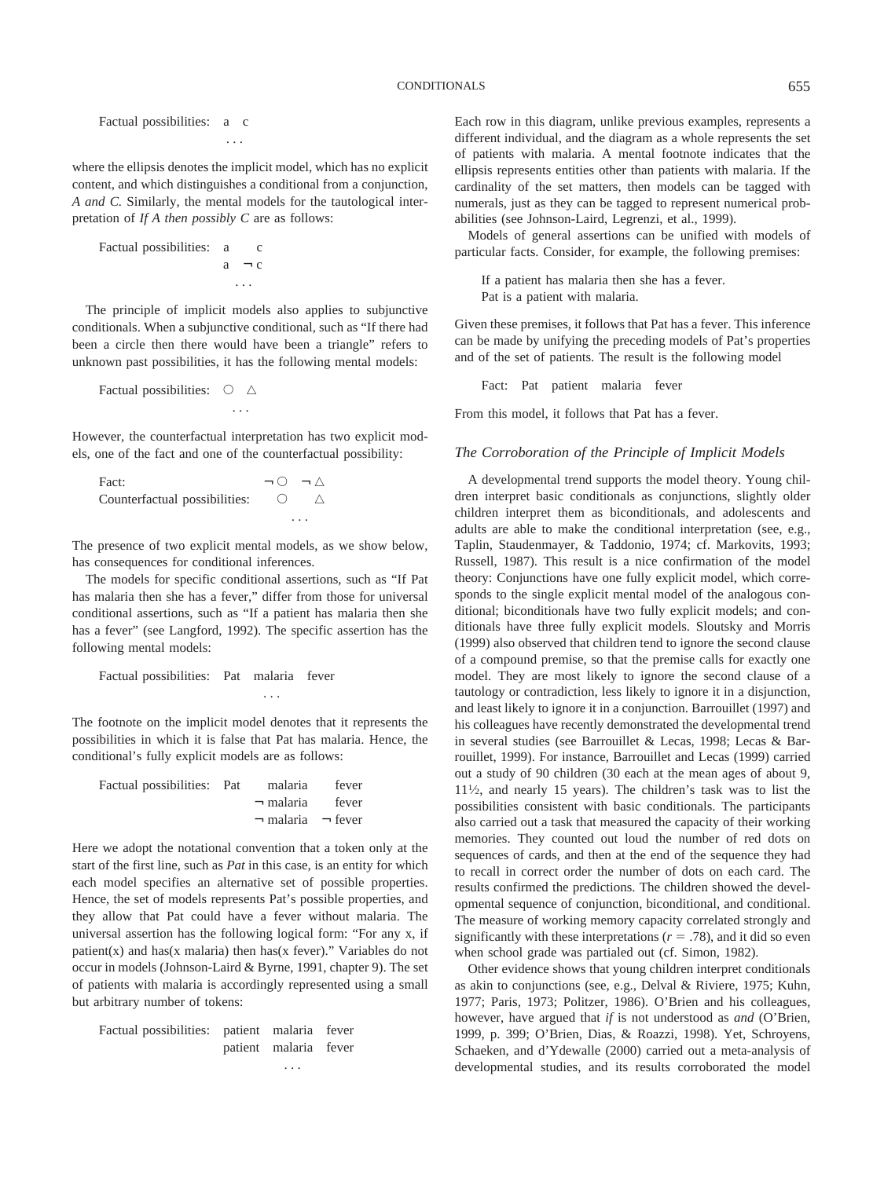Factual possibilities: a c ...

where the ellipsis denotes the implicit model, which has no explicit content, and which distinguishes a conditional from a conjunction, *A and C.* Similarly, the mental models for the tautological interpretation of *If A then possibly C* are as follows:

```
Factual possibilities: a c
                   a - c...
```
The principle of implicit models also applies to subjunctive conditionals. When a subjunctive conditional, such as "If there had been a circle then there would have been a triangle" refers to unknown past possibilities, it has the following mental models:

```
Factual possibilities: \bigcirc \bigcirc \bigcirc
```
However, the counterfactual interpretation has two explicit models, one of the fact and one of the counterfactual possibility:

...

```
Fact: \neg \bigcirc \neg \triangleCounterfactual possibilities: \bigcirc \bigcirc...
```
The presence of two explicit mental models, as we show below, has consequences for conditional inferences.

The models for specific conditional assertions, such as "If Pat has malaria then she has a fever," differ from those for universal conditional assertions, such as "If a patient has malaria then she has a fever" (see Langford, 1992). The specific assertion has the following mental models:

```
Factual possibilities: Pat malaria fever
                             ...
```
The footnote on the implicit model denotes that it represents the possibilities in which it is false that Pat has malaria. Hence, the conditional's fully explicit models are as follows:

Factual possibilities: Pat malaria fever ¬ malaria fever  $\neg$  malaria  $\neg$  fever

Here we adopt the notational convention that a token only at the start of the first line, such as *Pat* in this case, is an entity for which each model specifies an alternative set of possible properties. Hence, the set of models represents Pat's possible properties, and they allow that Pat could have a fever without malaria. The universal assertion has the following logical form: "For any x, if patient(x) and has(x malaria) then has(x fever)." Variables do not occur in models (Johnson-Laird & Byrne, 1991, chapter 9). The set of patients with malaria is accordingly represented using a small but arbitrary number of tokens:

| Factual possibilities: patient malaria fever |                       |  |
|----------------------------------------------|-----------------------|--|
|                                              | patient malaria fever |  |
|                                              |                       |  |

Each row in this diagram, unlike previous examples, represents a different individual, and the diagram as a whole represents the set of patients with malaria. A mental footnote indicates that the ellipsis represents entities other than patients with malaria. If the cardinality of the set matters, then models can be tagged with numerals, just as they can be tagged to represent numerical probabilities (see Johnson-Laird, Legrenzi, et al., 1999).

Models of general assertions can be unified with models of particular facts. Consider, for example, the following premises:

If a patient has malaria then she has a fever. Pat is a patient with malaria.

Given these premises, it follows that Pat has a fever. This inference can be made by unifying the preceding models of Pat's properties and of the set of patients. The result is the following model

Fact: Pat patient malaria fever

From this model, it follows that Pat has a fever.

### *The Corroboration of the Principle of Implicit Models*

A developmental trend supports the model theory. Young children interpret basic conditionals as conjunctions, slightly older children interpret them as biconditionals, and adolescents and adults are able to make the conditional interpretation (see, e.g., Taplin, Staudenmayer, & Taddonio, 1974; cf. Markovits, 1993; Russell, 1987). This result is a nice confirmation of the model theory: Conjunctions have one fully explicit model, which corresponds to the single explicit mental model of the analogous conditional; biconditionals have two fully explicit models; and conditionals have three fully explicit models. Sloutsky and Morris (1999) also observed that children tend to ignore the second clause of a compound premise, so that the premise calls for exactly one model. They are most likely to ignore the second clause of a tautology or contradiction, less likely to ignore it in a disjunction, and least likely to ignore it in a conjunction. Barrouillet (1997) and his colleagues have recently demonstrated the developmental trend in several studies (see Barrouillet & Lecas, 1998; Lecas & Barrouillet, 1999). For instance, Barrouillet and Lecas (1999) carried out a study of 90 children (30 each at the mean ages of about 9, 111⁄2, and nearly 15 years). The children's task was to list the possibilities consistent with basic conditionals. The participants also carried out a task that measured the capacity of their working memories. They counted out loud the number of red dots on sequences of cards, and then at the end of the sequence they had to recall in correct order the number of dots on each card. The results confirmed the predictions. The children showed the developmental sequence of conjunction, biconditional, and conditional. The measure of working memory capacity correlated strongly and significantly with these interpretations ( $r = .78$ ), and it did so even when school grade was partialed out (cf. Simon, 1982).

Other evidence shows that young children interpret conditionals as akin to conjunctions (see, e.g., Delval & Riviere, 1975; Kuhn, 1977; Paris, 1973; Politzer, 1986). O'Brien and his colleagues, however, have argued that *if* is not understood as *and* (O'Brien, 1999, p. 399; O'Brien, Dias, & Roazzi, 1998). Yet, Schroyens, Schaeken, and d'Ydewalle (2000) carried out a meta-analysis of developmental studies, and its results corroborated the model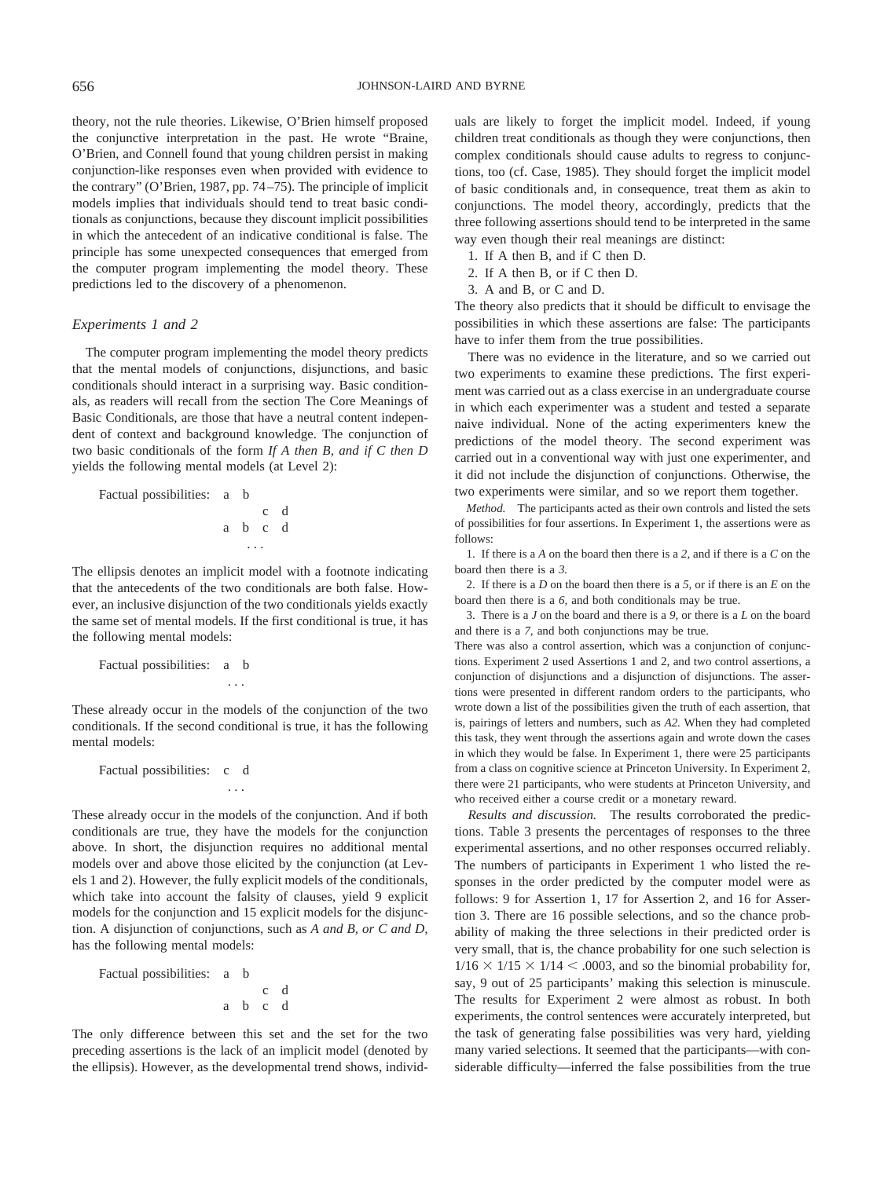theory, not the rule theories. Likewise, O'Brien himself proposed the conjunctive interpretation in the past. He wrote "Braine, O'Brien, and Connell found that young children persist in making conjunction-like responses even when provided with evidence to the contrary" (O'Brien, 1987, pp. 74–75). The principle of implicit models implies that individuals should tend to treat basic conditionals as conjunctions, because they discount implicit possibilities in which the antecedent of an indicative conditional is false. The principle has some unexpected consequences that emerged from the computer program implementing the model theory. These predictions led to the discovery of a phenomenon.

#### *Experiments 1 and 2*

The computer program implementing the model theory predicts that the mental models of conjunctions, disjunctions, and basic conditionals should interact in a surprising way. Basic conditionals, as readers will recall from the section The Core Meanings of Basic Conditionals, are those that have a neutral content independent of context and background knowledge. The conjunction of two basic conditionals of the form *If A then B, and if C then D* yields the following mental models (at Level 2):

Factual possibilities: 
$$
a \quad b
$$

\n $c \quad d$ 

\n $a \quad b \quad c \quad d$ 

\n $\ldots$ 

The ellipsis denotes an implicit model with a footnote indicating that the antecedents of the two conditionals are both false. However, an inclusive disjunction of the two conditionals yields exactly the same set of mental models. If the first conditional is true, it has the following mental models:

```
Factual possibilities: a b
                       ...
```
These already occur in the models of the conjunction of the two conditionals. If the second conditional is true, it has the following mental models:

...

Factual possibilities: c d

These already occur in the models of the conjunction. And if both conditionals are true, they have the models for the conjunction above. In short, the disjunction requires no additional mental models over and above those elicited by the conjunction (at Levels 1 and 2). However, the fully explicit models of the conditionals, which take into account the falsity of clauses, yield 9 explicit models for the conjunction and 15 explicit models for the disjunction. A disjunction of conjunctions, such as *A and B, or C and D,* has the following mental models:

Factual possibilities: a b c d abcd

The only difference between this set and the set for the two preceding assertions is the lack of an implicit model (denoted by the ellipsis). However, as the developmental trend shows, individuals are likely to forget the implicit model. Indeed, if young children treat conditionals as though they were conjunctions, then complex conditionals should cause adults to regress to conjunctions, too (cf. Case, 1985). They should forget the implicit model of basic conditionals and, in consequence, treat them as akin to conjunctions. The model theory, accordingly, predicts that the three following assertions should tend to be interpreted in the same way even though their real meanings are distinct:

- 1. If A then B, and if C then D.
- 2. If A then B, or if C then D.
- 3. A and B, or C and D.

The theory also predicts that it should be difficult to envisage the possibilities in which these assertions are false: The participants have to infer them from the true possibilities.

There was no evidence in the literature, and so we carried out two experiments to examine these predictions. The first experiment was carried out as a class exercise in an undergraduate course in which each experimenter was a student and tested a separate naive individual. None of the acting experimenters knew the predictions of the model theory. The second experiment was carried out in a conventional way with just one experimenter, and it did not include the disjunction of conjunctions. Otherwise, the two experiments were similar, and so we report them together.

*Method.* The participants acted as their own controls and listed the sets of possibilities for four assertions. In Experiment 1, the assertions were as follows:

1. If there is a *A* on the board then there is a *2,* and if there is a *C* on the board then there is a *3.*

2. If there is a *D* on the board then there is a *5,* or if there is an *E* on the board then there is a *6,* and both conditionals may be true.

3. There is a *J* on the board and there is a *9,* or there is a *L* on the board and there is a *7,* and both conjunctions may be true.

There was also a control assertion, which was a conjunction of conjunctions. Experiment 2 used Assertions 1 and 2, and two control assertions, a conjunction of disjunctions and a disjunction of disjunctions. The assertions were presented in different random orders to the participants, who wrote down a list of the possibilities given the truth of each assertion, that is, pairings of letters and numbers, such as *A2.* When they had completed this task, they went through the assertions again and wrote down the cases in which they would be false. In Experiment 1, there were 25 participants from a class on cognitive science at Princeton University. In Experiment 2, there were 21 participants, who were students at Princeton University, and who received either a course credit or a monetary reward.

*Results and discussion.* The results corroborated the predictions. Table 3 presents the percentages of responses to the three experimental assertions, and no other responses occurred reliably. The numbers of participants in Experiment 1 who listed the responses in the order predicted by the computer model were as follows: 9 for Assertion 1, 17 for Assertion 2, and 16 for Assertion 3. There are 16 possible selections, and so the chance probability of making the three selections in their predicted order is very small, that is, the chance probability for one such selection is  $1/16 \times 1/15 \times 1/14 < .0003$ , and so the binomial probability for, say, 9 out of 25 participants' making this selection is minuscule. The results for Experiment 2 were almost as robust. In both experiments, the control sentences were accurately interpreted, but the task of generating false possibilities was very hard, yielding many varied selections. It seemed that the participants—with considerable difficulty—inferred the false possibilities from the true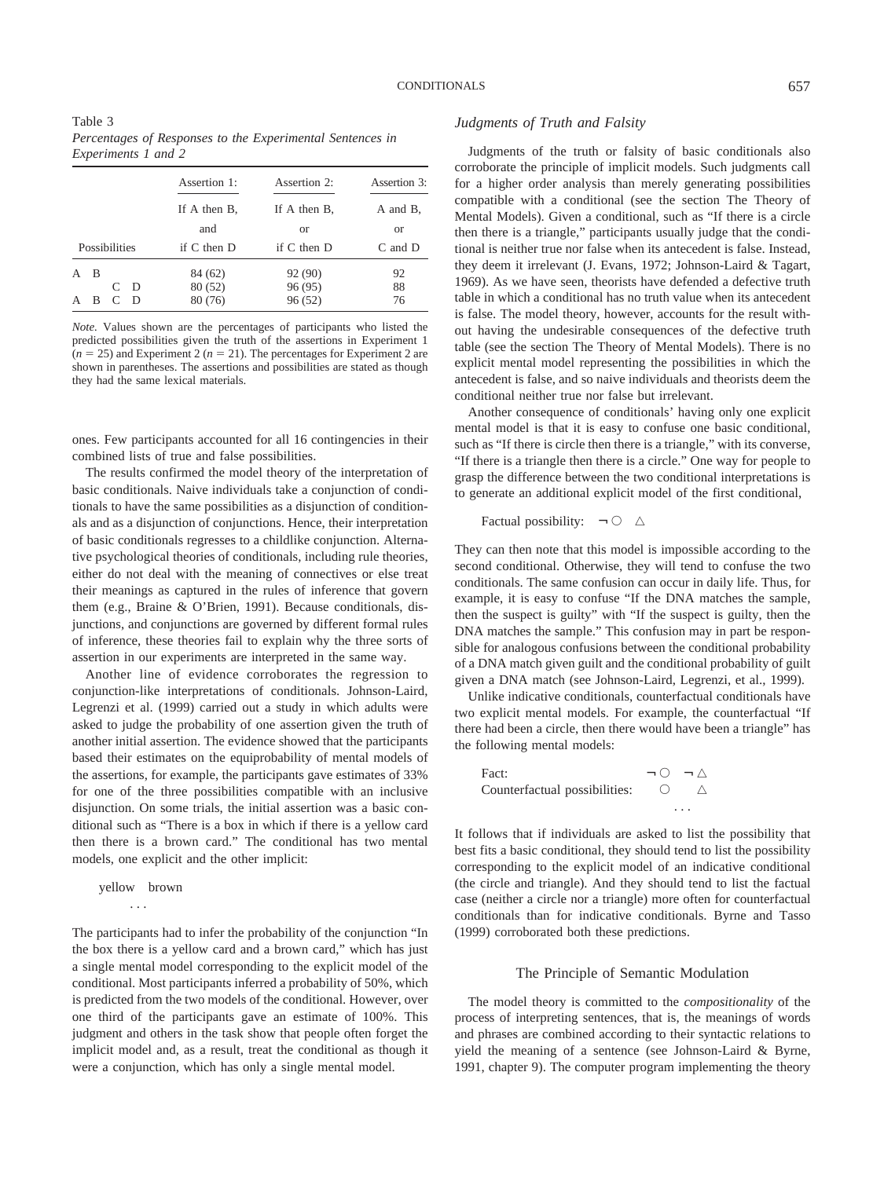Table 3 *Percentages of Responses to the Experimental Sentences in Experiments 1 and 2*

|               | Assertion 1:    | Assertion 2:    | Assertion 3:  |
|---------------|-----------------|-----------------|---------------|
|               | If A then B,    | If A then B,    | A and B,      |
|               | and             | $\alpha$        | <sub>or</sub> |
| Possibilities | if $C$ then $D$ | if $C$ then $D$ | $C$ and $D$   |
| В             | 84 (62)         | 92 (90)         | 92            |
| C<br>- D      | 80 (52)         | 96 (95)         | 88            |
| D<br>в        | 80 (76)         | 96(52)          | 76            |
|               |                 |                 |               |

*Note.* Values shown are the percentages of participants who listed the predicted possibilities given the truth of the assertions in Experiment 1  $(n = 25)$  and Experiment 2  $(n = 21)$ . The percentages for Experiment 2 are shown in parentheses. The assertions and possibilities are stated as though they had the same lexical materials.

ones. Few participants accounted for all 16 contingencies in their combined lists of true and false possibilities.

The results confirmed the model theory of the interpretation of basic conditionals. Naive individuals take a conjunction of conditionals to have the same possibilities as a disjunction of conditionals and as a disjunction of conjunctions. Hence, their interpretation of basic conditionals regresses to a childlike conjunction. Alternative psychological theories of conditionals, including rule theories, either do not deal with the meaning of connectives or else treat their meanings as captured in the rules of inference that govern them (e.g., Braine & O'Brien, 1991). Because conditionals, disjunctions, and conjunctions are governed by different formal rules of inference, these theories fail to explain why the three sorts of assertion in our experiments are interpreted in the same way.

Another line of evidence corroborates the regression to conjunction-like interpretations of conditionals. Johnson-Laird, Legrenzi et al. (1999) carried out a study in which adults were asked to judge the probability of one assertion given the truth of another initial assertion. The evidence showed that the participants based their estimates on the equiprobability of mental models of the assertions, for example, the participants gave estimates of 33% for one of the three possibilities compatible with an inclusive disjunction. On some trials, the initial assertion was a basic conditional such as "There is a box in which if there is a yellow card then there is a brown card." The conditional has two mental models, one explicit and the other implicit:

yellow brown

... The participants had to infer the probability of the conjunction "In the box there is a yellow card and a brown card," which has just a single mental model corresponding to the explicit model of the conditional. Most participants inferred a probability of 50%, which is predicted from the two models of the conditional. However, over one third of the participants gave an estimate of 100%. This judgment and others in the task show that people often forget the implicit model and, as a result, treat the conditional as though it were a conjunction, which has only a single mental model.

### *Judgments of Truth and Falsity*

Judgments of the truth or falsity of basic conditionals also corroborate the principle of implicit models. Such judgments call for a higher order analysis than merely generating possibilities compatible with a conditional (see the section The Theory of Mental Models). Given a conditional, such as "If there is a circle then there is a triangle," participants usually judge that the conditional is neither true nor false when its antecedent is false. Instead, they deem it irrelevant (J. Evans, 1972; Johnson-Laird & Tagart, 1969). As we have seen, theorists have defended a defective truth table in which a conditional has no truth value when its antecedent is false. The model theory, however, accounts for the result without having the undesirable consequences of the defective truth table (see the section The Theory of Mental Models). There is no explicit mental model representing the possibilities in which the antecedent is false, and so naive individuals and theorists deem the conditional neither true nor false but irrelevant.

Another consequence of conditionals' having only one explicit mental model is that it is easy to confuse one basic conditional, such as "If there is circle then there is a triangle," with its converse, "If there is a triangle then there is a circle." One way for people to grasp the difference between the two conditional interpretations is to generate an additional explicit model of the first conditional,

Factual possibility:  $\neg$   $\bigcirc$   $\triangle$ 

They can then note that this model is impossible according to the second conditional. Otherwise, they will tend to confuse the two conditionals. The same confusion can occur in daily life. Thus, for example, it is easy to confuse "If the DNA matches the sample, then the suspect is guilty" with "If the suspect is guilty, then the DNA matches the sample." This confusion may in part be responsible for analogous confusions between the conditional probability of a DNA match given guilt and the conditional probability of guilt given a DNA match (see Johnson-Laird, Legrenzi, et al., 1999).

Unlike indicative conditionals, counterfactual conditionals have two explicit mental models. For example, the counterfactual "If there had been a circle, then there would have been a triangle" has the following mental models:

| Fact:                                             | $\neg$ $\bigcirc$ $\neg$ $\bigtriangleup$ |  |
|---------------------------------------------------|-------------------------------------------|--|
| Counterfactual possibilities: $\bigcirc$ $\Delta$ |                                           |  |
|                                                   |                                           |  |

It follows that if individuals are asked to list the possibility that best fits a basic conditional, they should tend to list the possibility corresponding to the explicit model of an indicative conditional (the circle and triangle). And they should tend to list the factual case (neither a circle nor a triangle) more often for counterfactual conditionals than for indicative conditionals. Byrne and Tasso (1999) corroborated both these predictions.

### The Principle of Semantic Modulation

The model theory is committed to the *compositionality* of the process of interpreting sentences, that is, the meanings of words and phrases are combined according to their syntactic relations to yield the meaning of a sentence (see Johnson-Laird & Byrne, 1991, chapter 9). The computer program implementing the theory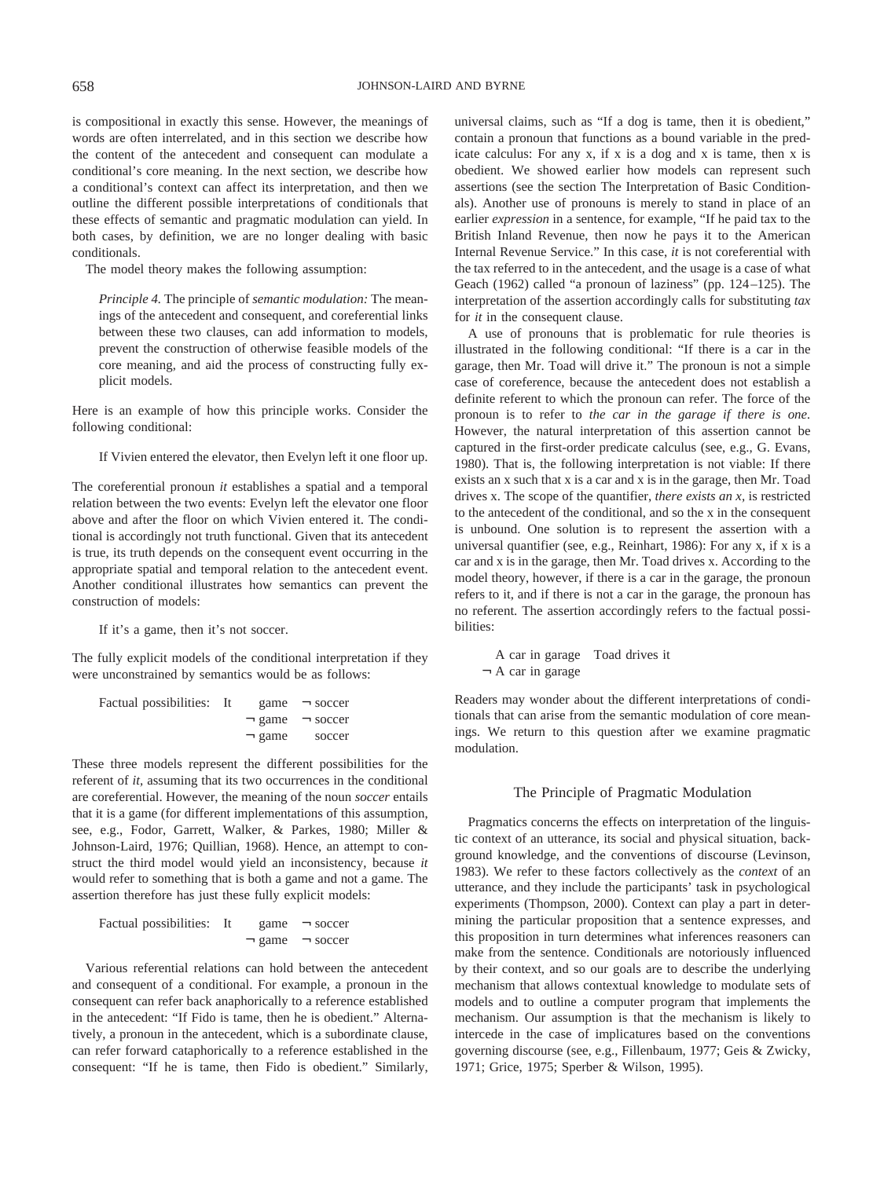is compositional in exactly this sense. However, the meanings of words are often interrelated, and in this section we describe how the content of the antecedent and consequent can modulate a conditional's core meaning. In the next section, we describe how a conditional's context can affect its interpretation, and then we outline the different possible interpretations of conditionals that these effects of semantic and pragmatic modulation can yield. In both cases, by definition, we are no longer dealing with basic conditionals.

The model theory makes the following assumption:

*Principle 4.* The principle of *semantic modulation:* The meanings of the antecedent and consequent, and coreferential links between these two clauses, can add information to models, prevent the construction of otherwise feasible models of the core meaning, and aid the process of constructing fully explicit models.

Here is an example of how this principle works. Consider the following conditional:

If Vivien entered the elevator, then Evelyn left it one floor up.

The coreferential pronoun *it* establishes a spatial and a temporal relation between the two events: Evelyn left the elevator one floor above and after the floor on which Vivien entered it. The conditional is accordingly not truth functional. Given that its antecedent is true, its truth depends on the consequent event occurring in the appropriate spatial and temporal relation to the antecedent event. Another conditional illustrates how semantics can prevent the construction of models:

If it's a game, then it's not soccer.

The fully explicit models of the conditional interpretation if they were unconstrained by semantics would be as follows:

| Factual possibilities: It |  | game $\neg$ soccer        |
|---------------------------|--|---------------------------|
|                           |  | $\neg$ game $\neg$ soccer |
|                           |  | $\neg$ game soccer        |

These three models represent the different possibilities for the referent of *it,* assuming that its two occurrences in the conditional are coreferential. However, the meaning of the noun *soccer* entails that it is a game (for different implementations of this assumption, see, e.g., Fodor, Garrett, Walker, & Parkes, 1980; Miller & Johnson-Laird, 1976; Quillian, 1968). Hence, an attempt to construct the third model would yield an inconsistency, because *it* would refer to something that is both a game and not a game. The assertion therefore has just these fully explicit models:

Factual possibilities: It 
$$
\text{game } \neg \text{ soccer}
$$

\n $\neg \text{game } \neg \text{ soccer}$ 

Various referential relations can hold between the antecedent and consequent of a conditional. For example, a pronoun in the consequent can refer back anaphorically to a reference established in the antecedent: "If Fido is tame, then he is obedient." Alternatively, a pronoun in the antecedent, which is a subordinate clause, can refer forward cataphorically to a reference established in the consequent: "If he is tame, then Fido is obedient." Similarly, universal claims, such as "If a dog is tame, then it is obedient," contain a pronoun that functions as a bound variable in the predicate calculus: For any x, if x is a dog and x is tame, then x is obedient. We showed earlier how models can represent such assertions (see the section The Interpretation of Basic Conditionals). Another use of pronouns is merely to stand in place of an earlier *expression* in a sentence, for example, "If he paid tax to the British Inland Revenue, then now he pays it to the American Internal Revenue Service." In this case, *it* is not coreferential with the tax referred to in the antecedent, and the usage is a case of what Geach (1962) called "a pronoun of laziness" (pp. 124–125). The interpretation of the assertion accordingly calls for substituting *tax* for *it* in the consequent clause.

A use of pronouns that is problematic for rule theories is illustrated in the following conditional: "If there is a car in the garage, then Mr. Toad will drive it." The pronoun is not a simple case of coreference, because the antecedent does not establish a definite referent to which the pronoun can refer. The force of the pronoun is to refer to *the car in the garage if there is one.* However, the natural interpretation of this assertion cannot be captured in the first-order predicate calculus (see, e.g., G. Evans, 1980). That is, the following interpretation is not viable: If there exists an x such that x is a car and x is in the garage, then Mr. Toad drives x. The scope of the quantifier, *there exists an x,* is restricted to the antecedent of the conditional, and so the x in the consequent is unbound. One solution is to represent the assertion with a universal quantifier (see, e.g., Reinhart, 1986): For any x, if x is a car and x is in the garage, then Mr. Toad drives x. According to the model theory, however, if there is a car in the garage, the pronoun refers to it, and if there is not a car in the garage, the pronoun has no referent. The assertion accordingly refers to the factual possibilities:

A car in garage Toad drives it  $\neg$  A car in garage

Readers may wonder about the different interpretations of conditionals that can arise from the semantic modulation of core meanings. We return to this question after we examine pragmatic modulation.

### The Principle of Pragmatic Modulation

Pragmatics concerns the effects on interpretation of the linguistic context of an utterance, its social and physical situation, background knowledge, and the conventions of discourse (Levinson, 1983). We refer to these factors collectively as the *context* of an utterance, and they include the participants' task in psychological experiments (Thompson, 2000). Context can play a part in determining the particular proposition that a sentence expresses, and this proposition in turn determines what inferences reasoners can make from the sentence. Conditionals are notoriously influenced by their context, and so our goals are to describe the underlying mechanism that allows contextual knowledge to modulate sets of models and to outline a computer program that implements the mechanism. Our assumption is that the mechanism is likely to intercede in the case of implicatures based on the conventions governing discourse (see, e.g., Fillenbaum, 1977; Geis & Zwicky, 1971; Grice, 1975; Sperber & Wilson, 1995).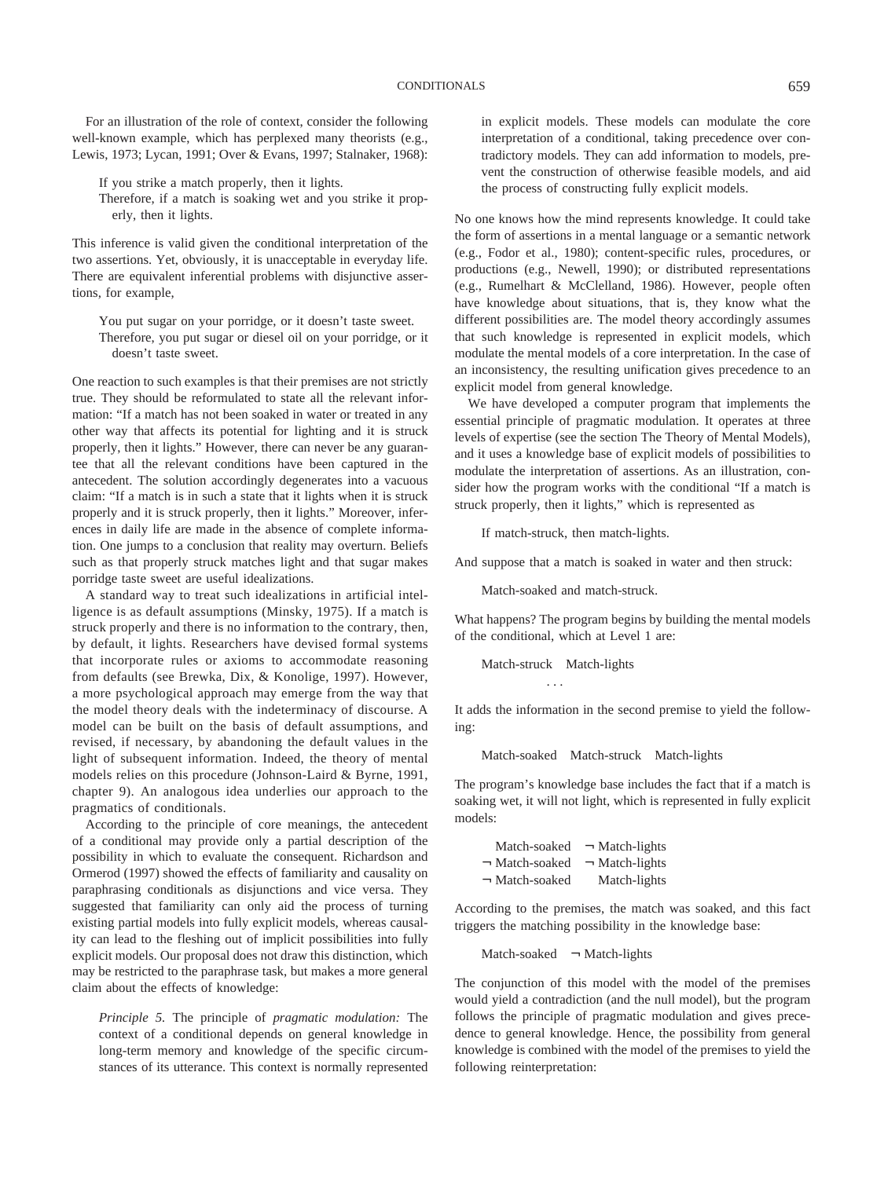For an illustration of the role of context, consider the following well-known example, which has perplexed many theorists (e.g., Lewis, 1973; Lycan, 1991; Over & Evans, 1997; Stalnaker, 1968):

If you strike a match properly, then it lights.

Therefore, if a match is soaking wet and you strike it properly, then it lights.

This inference is valid given the conditional interpretation of the two assertions. Yet, obviously, it is unacceptable in everyday life. There are equivalent inferential problems with disjunctive assertions, for example,

You put sugar on your porridge, or it doesn't taste sweet. Therefore, you put sugar or diesel oil on your porridge, or it doesn't taste sweet.

One reaction to such examples is that their premises are not strictly true. They should be reformulated to state all the relevant information: "If a match has not been soaked in water or treated in any other way that affects its potential for lighting and it is struck properly, then it lights." However, there can never be any guarantee that all the relevant conditions have been captured in the antecedent. The solution accordingly degenerates into a vacuous claim: "If a match is in such a state that it lights when it is struck properly and it is struck properly, then it lights." Moreover, inferences in daily life are made in the absence of complete information. One jumps to a conclusion that reality may overturn. Beliefs such as that properly struck matches light and that sugar makes porridge taste sweet are useful idealizations.

A standard way to treat such idealizations in artificial intelligence is as default assumptions (Minsky, 1975). If a match is struck properly and there is no information to the contrary, then, by default, it lights. Researchers have devised formal systems that incorporate rules or axioms to accommodate reasoning from defaults (see Brewka, Dix, & Konolige, 1997). However, a more psychological approach may emerge from the way that the model theory deals with the indeterminacy of discourse. A model can be built on the basis of default assumptions, and revised, if necessary, by abandoning the default values in the light of subsequent information. Indeed, the theory of mental models relies on this procedure (Johnson-Laird & Byrne, 1991, chapter 9). An analogous idea underlies our approach to the pragmatics of conditionals.

According to the principle of core meanings, the antecedent of a conditional may provide only a partial description of the possibility in which to evaluate the consequent. Richardson and Ormerod (1997) showed the effects of familiarity and causality on paraphrasing conditionals as disjunctions and vice versa. They suggested that familiarity can only aid the process of turning existing partial models into fully explicit models, whereas causality can lead to the fleshing out of implicit possibilities into fully explicit models. Our proposal does not draw this distinction, which may be restricted to the paraphrase task, but makes a more general claim about the effects of knowledge:

*Principle 5.* The principle of *pragmatic modulation:* The context of a conditional depends on general knowledge in long-term memory and knowledge of the specific circumstances of its utterance. This context is normally represented

in explicit models. These models can modulate the core interpretation of a conditional, taking precedence over contradictory models. They can add information to models, prevent the construction of otherwise feasible models, and aid the process of constructing fully explicit models.

No one knows how the mind represents knowledge. It could take the form of assertions in a mental language or a semantic network (e.g., Fodor et al., 1980); content-specific rules, procedures, or productions (e.g., Newell, 1990); or distributed representations (e.g., Rumelhart & McClelland, 1986). However, people often have knowledge about situations, that is, they know what the different possibilities are. The model theory accordingly assumes that such knowledge is represented in explicit models, which modulate the mental models of a core interpretation. In the case of an inconsistency, the resulting unification gives precedence to an explicit model from general knowledge.

We have developed a computer program that implements the essential principle of pragmatic modulation. It operates at three levels of expertise (see the section The Theory of Mental Models), and it uses a knowledge base of explicit models of possibilities to modulate the interpretation of assertions. As an illustration, consider how the program works with the conditional "If a match is struck properly, then it lights," which is represented as

If match-struck, then match-lights.

And suppose that a match is soaked in water and then struck:

Match-soaked and match-struck.

What happens? The program begins by building the mental models of the conditional, which at Level 1 are:

Match-struck Match-lights ...

It adds the information in the second premise to yield the following:

Match-soaked Match-struck Match-lights

The program's knowledge base includes the fact that if a match is soaking wet, it will not light, which is represented in fully explicit models:

| Match-soaked   | $\neg$ Match-lights |
|----------------|---------------------|
| → Match-soaked | $\neg$ Match-lights |
| → Match-soaked | Match-lights        |

According to the premises, the match was soaked, and this fact triggers the matching possibility in the knowledge base:

Match-soaked  $\neg$  Match-lights

The conjunction of this model with the model of the premises would yield a contradiction (and the null model), but the program follows the principle of pragmatic modulation and gives precedence to general knowledge. Hence, the possibility from general knowledge is combined with the model of the premises to yield the following reinterpretation: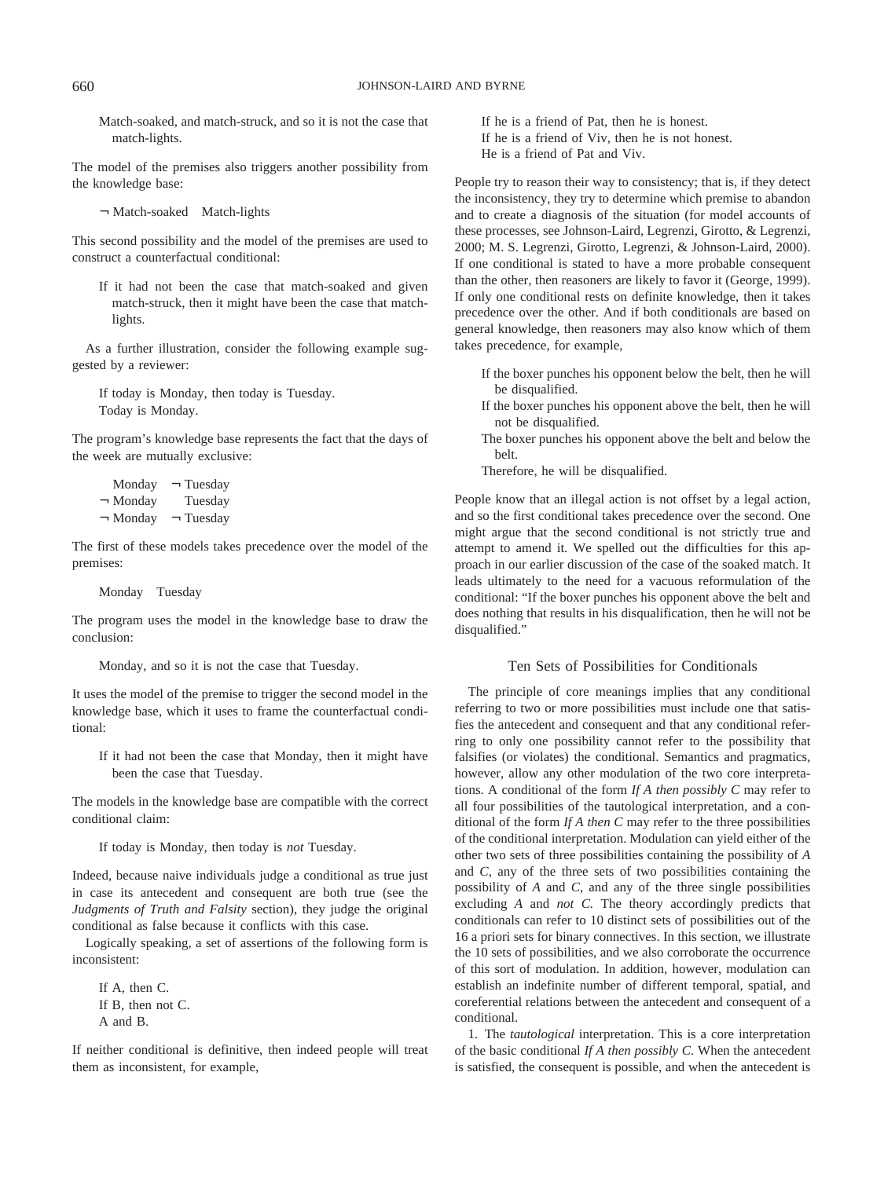Match-soaked, and match-struck, and so it is not the case that match-lights.

The model of the premises also triggers another possibility from the knowledge base:

¬ Match-soaked Match-lights

This second possibility and the model of the premises are used to construct a counterfactual conditional:

If it had not been the case that match-soaked and given match-struck, then it might have been the case that matchlights.

As a further illustration, consider the following example suggested by a reviewer:

If today is Monday, then today is Tuesday. Today is Monday.

The program's knowledge base represents the fact that the days of the week are mutually exclusive:

Monday  $\neg$  Tuesday ¬ Monday Tuesday  $\neg$  Monday  $\neg$  Tuesday

The first of these models takes precedence over the model of the premises:

Monday Tuesday

The program uses the model in the knowledge base to draw the conclusion:

Monday, and so it is not the case that Tuesday.

It uses the model of the premise to trigger the second model in the knowledge base, which it uses to frame the counterfactual conditional:

If it had not been the case that Monday, then it might have been the case that Tuesday.

The models in the knowledge base are compatible with the correct conditional claim:

If today is Monday, then today is *not* Tuesday.

Indeed, because naive individuals judge a conditional as true just in case its antecedent and consequent are both true (see the *Judgments of Truth and Falsity* section), they judge the original conditional as false because it conflicts with this case.

Logically speaking, a set of assertions of the following form is inconsistent:

If A, then C. If B, then not C. A and B.

If neither conditional is definitive, then indeed people will treat them as inconsistent, for example,

If he is a friend of Pat, then he is honest. If he is a friend of Viv, then he is not honest. He is a friend of Pat and Viv.

People try to reason their way to consistency; that is, if they detect the inconsistency, they try to determine which premise to abandon and to create a diagnosis of the situation (for model accounts of these processes, see Johnson-Laird, Legrenzi, Girotto, & Legrenzi, 2000; M. S. Legrenzi, Girotto, Legrenzi, & Johnson-Laird, 2000). If one conditional is stated to have a more probable consequent than the other, then reasoners are likely to favor it (George, 1999). If only one conditional rests on definite knowledge, then it takes precedence over the other. And if both conditionals are based on general knowledge, then reasoners may also know which of them takes precedence, for example,

- If the boxer punches his opponent below the belt, then he will be disqualified.
- If the boxer punches his opponent above the belt, then he will not be disqualified.
- The boxer punches his opponent above the belt and below the belt.

Therefore, he will be disqualified.

People know that an illegal action is not offset by a legal action, and so the first conditional takes precedence over the second. One might argue that the second conditional is not strictly true and attempt to amend it. We spelled out the difficulties for this approach in our earlier discussion of the case of the soaked match. It leads ultimately to the need for a vacuous reformulation of the conditional: "If the boxer punches his opponent above the belt and does nothing that results in his disqualification, then he will not be disqualified."

### Ten Sets of Possibilities for Conditionals

The principle of core meanings implies that any conditional referring to two or more possibilities must include one that satisfies the antecedent and consequent and that any conditional referring to only one possibility cannot refer to the possibility that falsifies (or violates) the conditional. Semantics and pragmatics, however, allow any other modulation of the two core interpretations. A conditional of the form *If A then possibly C* may refer to all four possibilities of the tautological interpretation, and a conditional of the form *If A then C* may refer to the three possibilities of the conditional interpretation. Modulation can yield either of the other two sets of three possibilities containing the possibility of *A* and *C*, any of the three sets of two possibilities containing the possibility of *A* and *C,* and any of the three single possibilities excluding *A* and *not C.* The theory accordingly predicts that conditionals can refer to 10 distinct sets of possibilities out of the 16 a priori sets for binary connectives. In this section, we illustrate the 10 sets of possibilities, and we also corroborate the occurrence of this sort of modulation. In addition, however, modulation can establish an indefinite number of different temporal, spatial, and coreferential relations between the antecedent and consequent of a conditional.

1. The *tautological* interpretation. This is a core interpretation of the basic conditional *If A then possibly C.* When the antecedent is satisfied, the consequent is possible, and when the antecedent is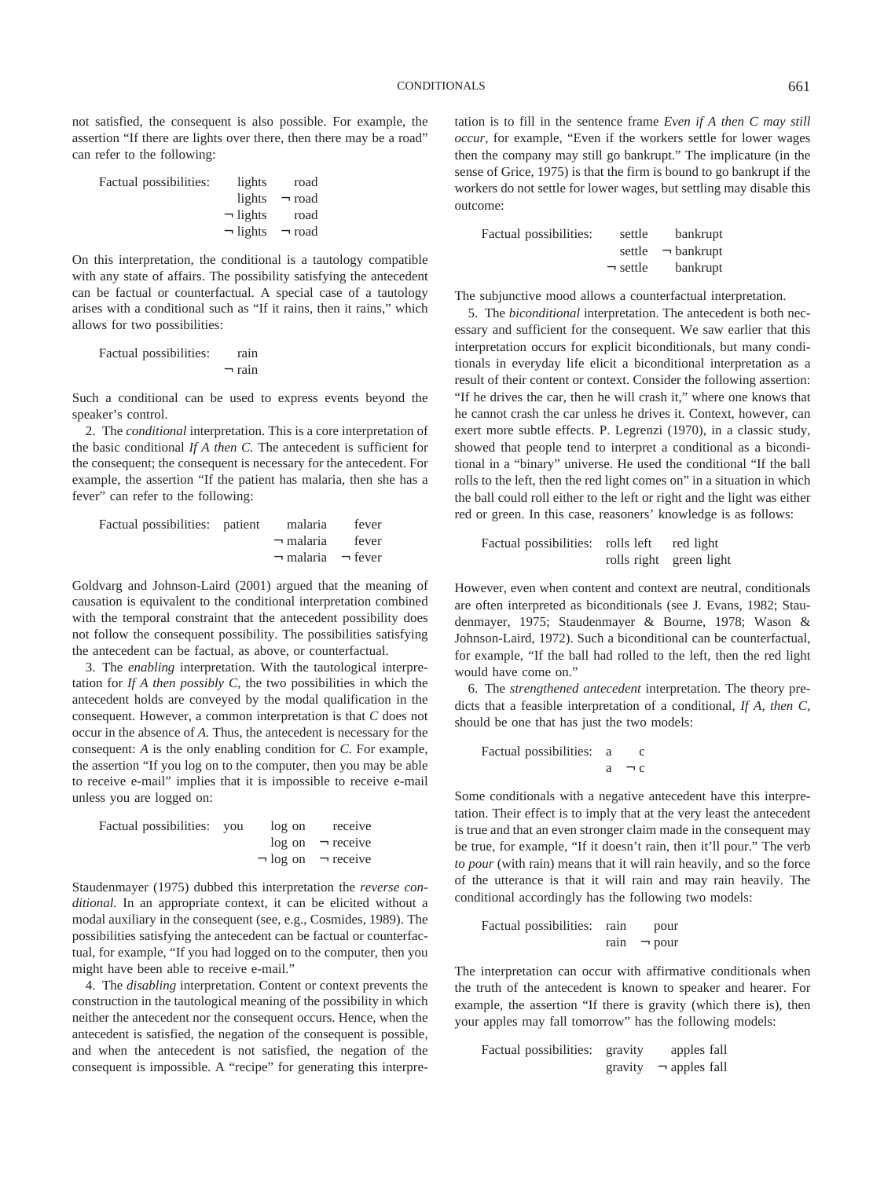not satisfied, the consequent is also possible. For example, the assertion "If there are lights over there, then there may be a road" can refer to the following:

Factual possibilities: lights road lights ¬ road ¬ lights road ¬ lights ¬ road

On this interpretation, the conditional is a tautology compatible with any state of affairs. The possibility satisfying the antecedent can be factual or counterfactual. A special case of a tautology arises with a conditional such as "If it rains, then it rains," which allows for two possibilities:

$$
Factual possibilities: \nmin\n \quad \neg \quad \text{rain}
$$

Such a conditional can be used to express events beyond the speaker's control.

2. The *conditional* interpretation. This is a core interpretation of the basic conditional *If A then C.* The antecedent is sufficient for the consequent; the consequent is necessary for the antecedent. For example, the assertion "If the patient has malaria, then she has a fever" can refer to the following:

| Factual possibilities: patient malaria fever |                             |  |
|----------------------------------------------|-----------------------------|--|
|                                              | $\neg$ malaria fever        |  |
|                                              | $\neg$ malaria $\neg$ fever |  |

Goldvarg and Johnson-Laird (2001) argued that the meaning of causation is equivalent to the conditional interpretation combined with the temporal constraint that the antecedent possibility does not follow the consequent possibility. The possibilities satisfying the antecedent can be factual, as above, or counterfactual.

3. The *enabling* interpretation. With the tautological interpretation for *If A then possibly C,* the two possibilities in which the antecedent holds are conveyed by the modal qualification in the consequent. However, a common interpretation is that *C* does not occur in the absence of *A.* Thus, the antecedent is necessary for the consequent: *A* is the only enabling condition for *C.* For example, the assertion "If you log on to the computer, then you may be able to receive e-mail" implies that it is impossible to receive e-mail unless you are logged on:

| Factual possibilities: you | log on | receive                      |
|----------------------------|--------|------------------------------|
|                            |        | $log on \rightarrow receive$ |
|                            |        | $\neg$ log on $\neg$ receive |

Staudenmayer (1975) dubbed this interpretation the *reverse conditional.* In an appropriate context, it can be elicited without a modal auxiliary in the consequent (see, e.g., Cosmides, 1989). The possibilities satisfying the antecedent can be factual or counterfactual, for example, "If you had logged on to the computer, then you might have been able to receive e-mail."

4. The *disabling* interpretation. Content or context prevents the construction in the tautological meaning of the possibility in which neither the antecedent nor the consequent occurs. Hence, when the antecedent is satisfied, the negation of the consequent is possible, and when the antecedent is not satisfied, the negation of the consequent is impossible. A "recipe" for generating this interpretation is to fill in the sentence frame *Even if A then C may still occur,* for example, "Even if the workers settle for lower wages then the company may still go bankrupt." The implicature (in the sense of Grice, 1975) is that the firm is bound to go bankrupt if the workers do not settle for lower wages, but settling may disable this outcome:

| Factual possibilities: | settle        | bankrupt                      |
|------------------------|---------------|-------------------------------|
|                        |               | settle $\rightarrow$ bankrupt |
|                        | $\neg$ settle | bankrupt                      |

The subjunctive mood allows a counterfactual interpretation.

5. The *biconditional* interpretation. The antecedent is both necessary and sufficient for the consequent. We saw earlier that this interpretation occurs for explicit biconditionals, but many conditionals in everyday life elicit a biconditional interpretation as a result of their content or context. Consider the following assertion: "If he drives the car, then he will crash it," where one knows that he cannot crash the car unless he drives it. Context, however, can exert more subtle effects. P. Legrenzi (1970), in a classic study, showed that people tend to interpret a conditional as a biconditional in a "binary" universe. He used the conditional "If the ball rolls to the left, then the red light comes on" in a situation in which the ball could roll either to the left or right and the light was either red or green. In this case, reasoners' knowledge is as follows:

```
Factual possibilities: rolls left red light
                      rolls right green light
```
However, even when content and context are neutral, conditionals are often interpreted as biconditionals (see J. Evans, 1982; Staudenmayer, 1975; Staudenmayer & Bourne, 1978; Wason & Johnson-Laird, 1972). Such a biconditional can be counterfactual, for example, "If the ball had rolled to the left, then the red light would have come on."

6. The *strengthened antecedent* interpretation. The theory predicts that a feasible interpretation of a conditional, *If A, then C,* should be one that has just the two models:

Factual possibilities: a c  $a - c$ 

Some conditionals with a negative antecedent have this interpretation. Their effect is to imply that at the very least the antecedent is true and that an even stronger claim made in the consequent may be true, for example, "If it doesn't rain, then it'll pour." The verb *to pour* (with rain) means that it will rain heavily, and so the force of the utterance is that it will rain and may rain heavily. The conditional accordingly has the following two models:

Factual possibilities: rain pour rain 
$$
\neg
$$
 pour

\n
$$
\neg
$$

The interpretation can occur with affirmative conditionals when the truth of the antecedent is known to speaker and hearer. For example, the assertion "If there is gravity (which there is), then your apples may fall tomorrow" has the following models:

```
Factual possibilities: gravity apples fall
                         gravity \rightarrow apples fall
```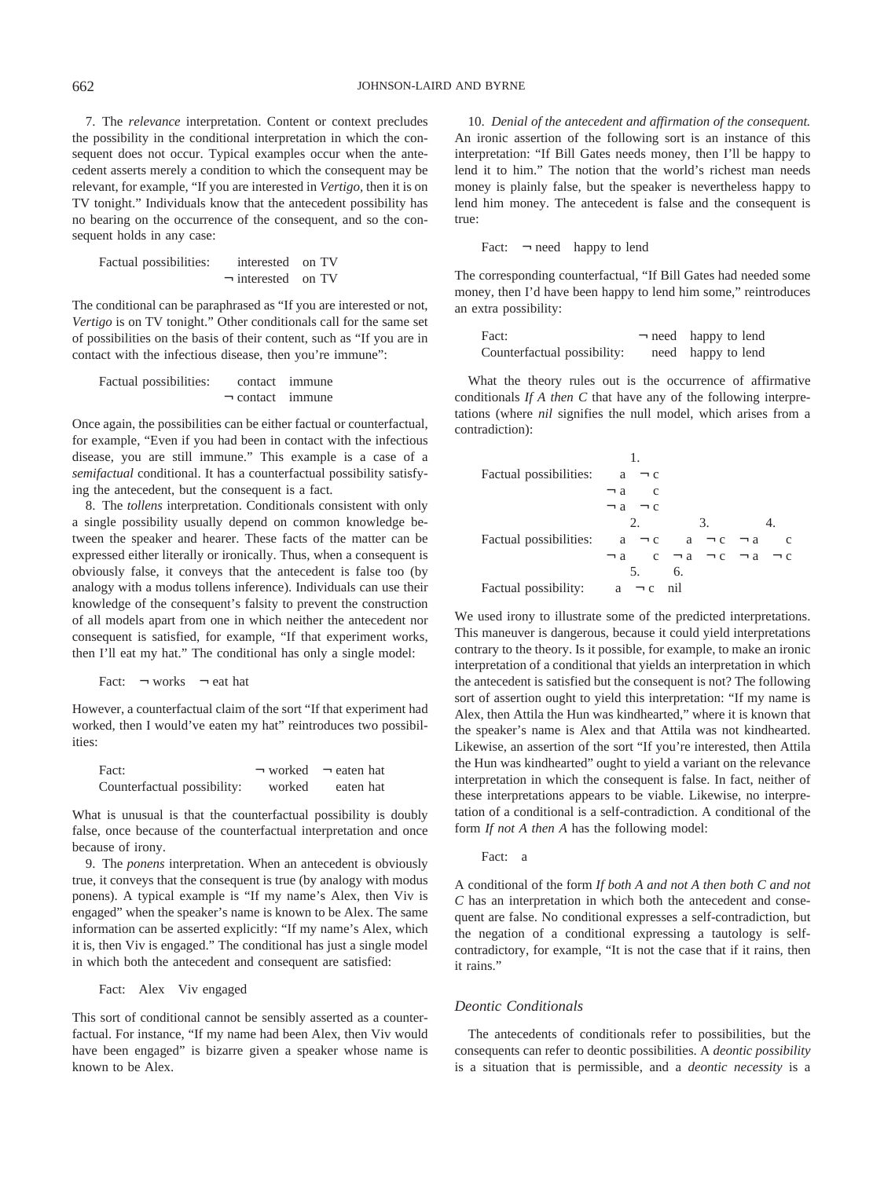7. The *relevance* interpretation. Content or context precludes the possibility in the conditional interpretation in which the consequent does not occur. Typical examples occur when the antecedent asserts merely a condition to which the consequent may be relevant, for example, "If you are interested in *Vertigo,* then it is on TV tonight." Individuals know that the antecedent possibility has no bearing on the occurrence of the consequent, and so the consequent holds in any case:

| Factual possibilities: | interested on TV        |  |
|------------------------|-------------------------|--|
|                        | $\neg$ interested on TV |  |

The conditional can be paraphrased as "If you are interested or not, *Vertigo* is on TV tonight." Other conditionals call for the same set of possibilities on the basis of their content, such as "If you are in contact with the infectious disease, then you're immune":

| Factual possibilities: |                        | contact immune |
|------------------------|------------------------|----------------|
|                        | $\lnot$ contact immune |                |

Once again, the possibilities can be either factual or counterfactual, for example, "Even if you had been in contact with the infectious disease, you are still immune." This example is a case of a *semifactual* conditional. It has a counterfactual possibility satisfying the antecedent, but the consequent is a fact.

8. The *tollens* interpretation. Conditionals consistent with only a single possibility usually depend on common knowledge between the speaker and hearer. These facts of the matter can be expressed either literally or ironically. Thus, when a consequent is obviously false, it conveys that the antecedent is false too (by analogy with a modus tollens inference). Individuals can use their knowledge of the consequent's falsity to prevent the construction of all models apart from one in which neither the antecedent nor consequent is satisfied, for example, "If that experiment works, then I'll eat my hat." The conditional has only a single model:

Fact:  $\neg$  works  $\neg$  eat hat

However, a counterfactual claim of the sort "If that experiment had worked, then I would've eaten my hat" reintroduces two possibilities:

| Fact:                       | $\neg$ worked | $\lnot$ eaten hat |
|-----------------------------|---------------|-------------------|
| Counterfactual possibility: | worked        | eaten hat         |

What is unusual is that the counterfactual possibility is doubly false, once because of the counterfactual interpretation and once because of irony.

9. The *ponens* interpretation. When an antecedent is obviously true, it conveys that the consequent is true (by analogy with modus ponens). A typical example is "If my name's Alex, then Viv is engaged" when the speaker's name is known to be Alex. The same information can be asserted explicitly: "If my name's Alex, which it is, then Viv is engaged." The conditional has just a single model in which both the antecedent and consequent are satisfied:

Fact: Alex Viv engaged

This sort of conditional cannot be sensibly asserted as a counterfactual. For instance, "If my name had been Alex, then Viv would have been engaged" is bizarre given a speaker whose name is known to be Alex.

10. *Denial of the antecedent and affirmation of the consequent.* An ironic assertion of the following sort is an instance of this interpretation: "If Bill Gates needs money, then I'll be happy to lend it to him." The notion that the world's richest man needs money is plainly false, but the speaker is nevertheless happy to lend him money. The antecedent is false and the consequent is true:

Fact:  $\lnot$  need happy to lend

The corresponding counterfactual, "If Bill Gates had needed some money, then I'd have been happy to lend him some," reintroduces an extra possibility:

| Fact:                       | $\neg$ need happy to lend |
|-----------------------------|---------------------------|
| Counterfactual possibility: | need happy to lend        |

What the theory rules out is the occurrence of affirmative conditionals *If A then C* that have any of the following interpretations (where *nil* signifies the null model, which arises from a contradiction):

| Factual possibilities: $a \rightarrow c$                                   |                 |                                                  |                |
|----------------------------------------------------------------------------|-----------------|--------------------------------------------------|----------------|
|                                                                            | $\lnot$ a c     |                                                  |                |
|                                                                            | $\neg a \neg c$ |                                                  |                |
|                                                                            | $2^{1}$         | 3.                                               | 4.             |
| Factual possibilities: $a \rightarrow c$ $a \rightarrow c$ $\rightarrow a$ |                 |                                                  | $\overline{c}$ |
|                                                                            |                 | $\neg a$ $c$ $\neg a$ $\neg c$ $\neg a$ $\neg c$ |                |
|                                                                            | 5.              | 6.                                               |                |
| Factual possibility:                                                       | $a - c$ nil     |                                                  |                |

We used irony to illustrate some of the predicted interpretations. This maneuver is dangerous, because it could yield interpretations contrary to the theory. Is it possible, for example, to make an ironic interpretation of a conditional that yields an interpretation in which the antecedent is satisfied but the consequent is not? The following sort of assertion ought to yield this interpretation: "If my name is Alex, then Attila the Hun was kindhearted," where it is known that the speaker's name is Alex and that Attila was not kindhearted. Likewise, an assertion of the sort "If you're interested, then Attila the Hun was kindhearted" ought to yield a variant on the relevance interpretation in which the consequent is false. In fact, neither of these interpretations appears to be viable. Likewise, no interpretation of a conditional is a self-contradiction. A conditional of the form *If not A then A* has the following model:

Fact: a

A conditional of the form *If both A and not A then both C and not C* has an interpretation in which both the antecedent and consequent are false. No conditional expresses a self-contradiction, but the negation of a conditional expressing a tautology is selfcontradictory, for example, "It is not the case that if it rains, then it rains."

### *Deontic Conditionals*

The antecedents of conditionals refer to possibilities, but the consequents can refer to deontic possibilities. A *deontic possibility* is a situation that is permissible, and a *deontic necessity* is a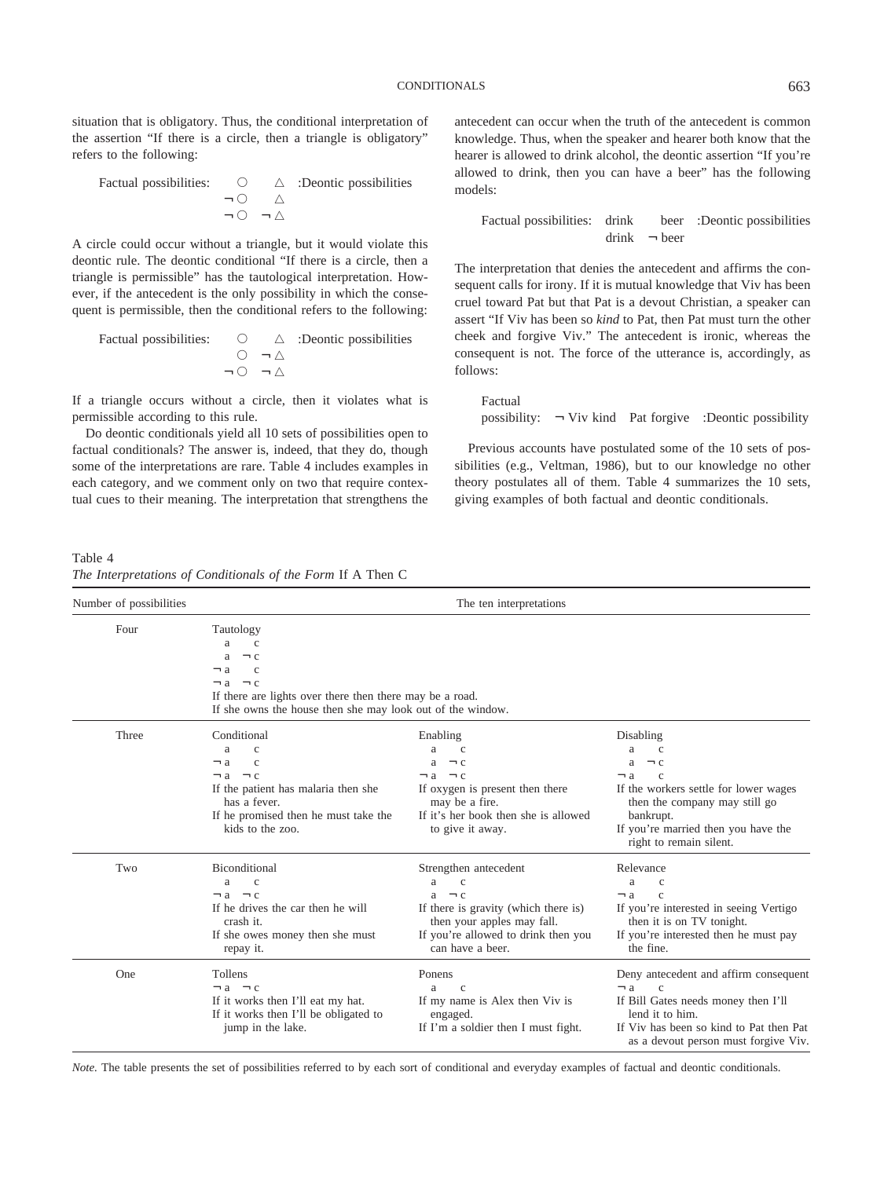situation that is obligatory. Thus, the conditional interpretation of the assertion "If there is a circle, then a triangle is obligatory" refers to the following:

Factual possibilities:  $\bigcirc$   $\Delta$  :Deontic possibilities  $\hspace{.6cm} \neg \circlearrowright \hspace{.6cm} \triangle$  $\neg$   $\bigcirc$   $\neg$   $\wedge$ 

A circle could occur without a triangle, but it would violate this deontic rule. The deontic conditional "If there is a circle, then a triangle is permissible" has the tautological interpretation. However, if the antecedent is the only possibility in which the consequent is permissible, then the conditional refers to the following:

|                                           |                  | Factual possibilities: $\bigcirc$ $\Delta$ :Deontic possibilities |
|-------------------------------------------|------------------|-------------------------------------------------------------------|
|                                           | $() - \triangle$ |                                                                   |
| $\neg$ $\bigcirc$ $\neg$ $\bigtriangleup$ |                  |                                                                   |

If a triangle occurs without a circle, then it violates what is permissible according to this rule.

Do deontic conditionals yield all 10 sets of possibilities open to factual conditionals? The answer is, indeed, that they do, though some of the interpretations are rare. Table 4 includes examples in each category, and we comment only on two that require contextual cues to their meaning. The interpretation that strengthens the

Table 4 *The Interpretations of Conditionals of the Form* If A Then C

antecedent can occur when the truth of the antecedent is common knowledge. Thus, when the speaker and hearer both know that the hearer is allowed to drink alcohol, the deontic assertion "If you're allowed to drink, then you can have a beer" has the following models:

Factual possibilities: drink beer :Deontic possibilities drink  $\lnot$  been

The interpretation that denies the antecedent and affirms the consequent calls for irony. If it is mutual knowledge that Viv has been cruel toward Pat but that Pat is a devout Christian, a speaker can assert "If Viv has been so *kind* to Pat, then Pat must turn the other cheek and forgive Viv." The antecedent is ironic, whereas the consequent is not. The force of the utterance is, accordingly, as follows:

### Factual possibility:  $\neg$  Viv kind Pat forgive :Deontic possibility

Previous accounts have postulated some of the 10 sets of possibilities (e.g., Veltman, 1986), but to our knowledge no other theory postulates all of them. Table 4 summarizes the 10 sets, giving examples of both factual and deontic conditionals.

| Number of possibilities | The ten interpretations                                                                                                                                                                                           |                                                                                                                                                                                        |                                                                                                                                                                                                                                   |  |
|-------------------------|-------------------------------------------------------------------------------------------------------------------------------------------------------------------------------------------------------------------|----------------------------------------------------------------------------------------------------------------------------------------------------------------------------------------|-----------------------------------------------------------------------------------------------------------------------------------------------------------------------------------------------------------------------------------|--|
| Four                    | Tautology<br>a<br>$\mathbf{c}$<br>a<br>$\neg$ c<br>$\neg$ a<br>$\mathbf{c}$<br>$-a$ - c<br>If there are lights over there then there may be a road.<br>If she owns the house then she may look out of the window. |                                                                                                                                                                                        |                                                                                                                                                                                                                                   |  |
| Three                   | Conditional<br>$\mathbf{c}$<br>a<br>$-$ a<br>$\mathbf{c}$<br>$-a$ $-c$<br>If the patient has malaria then she<br>has a fever.<br>If he promised then he must take the<br>kids to the zoo.                         | Enabling<br>a<br>$\mathbf c$<br>$\neg$ c<br>a<br>$-$ a $-$ c<br>If oxygen is present then there<br>may be a fire.<br>If it's her book then she is allowed<br>to give it away.          | Disabling<br>a<br>$\mathbf{c}$<br>$\neg$ c<br>a<br>$-$ a<br>$\mathbf{c}$<br>If the workers settle for lower wages<br>then the company may still go<br>bankrupt.<br>If you're married then you have the<br>right to remain silent. |  |
| Two                     | <b>Biconditional</b><br>a<br>$\mathbf{c}$<br>$-$ a $-$ c<br>If he drives the car then he will<br>crash it.<br>If she owes money then she must<br>repay it.                                                        | Strengthen antecedent<br>a<br>$\mathbf{c}$<br>$a - c$<br>If there is gravity (which there is)<br>then your apples may fall.<br>If you're allowed to drink then you<br>can have a beer. | Relevance<br>a<br>$\mathbf{c}$<br>$\neg$ a<br>$\mathbf{c}$<br>If you're interested in seeing Vertigo<br>then it is on TV tonight.<br>If you're interested then he must pay<br>the fine.                                           |  |
| One                     | Tollens<br>$-a$ - c<br>If it works then I'll eat my hat.<br>If it works then I'll be obligated to<br>jump in the lake.                                                                                            | Ponens<br>a<br>$\mathbf{c}$<br>If my name is Alex then Viv is<br>engaged.<br>If I'm a soldier then I must fight.                                                                       | Deny antecedent and affirm consequent<br>$\lnot$ a<br>$\mathbf{c}$<br>If Bill Gates needs money then I'll<br>lend it to him.<br>If Viv has been so kind to Pat then Pat<br>as a devout person must forgive Viv.                   |  |

*Note.* The table presents the set of possibilities referred to by each sort of conditional and everyday examples of factual and deontic conditionals.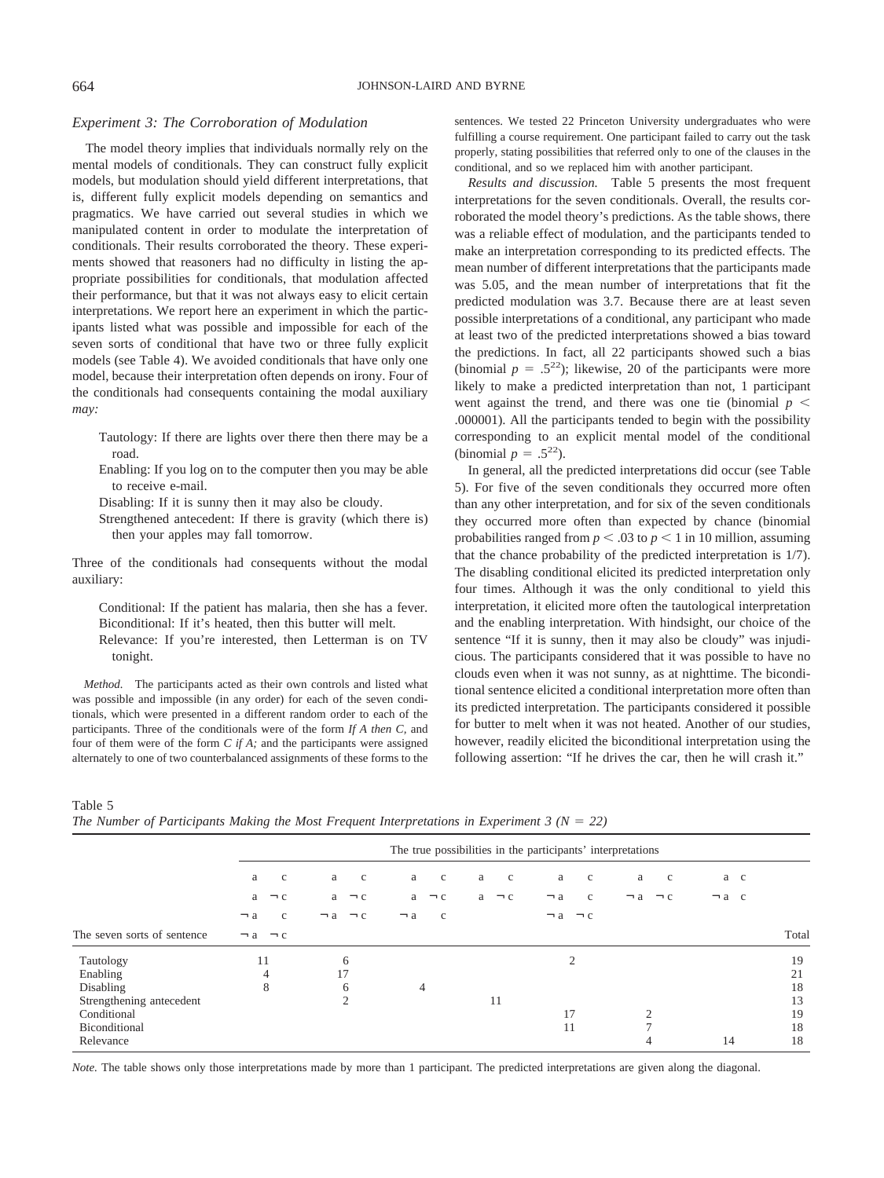#### *Experiment 3: The Corroboration of Modulation*

The model theory implies that individuals normally rely on the mental models of conditionals. They can construct fully explicit models, but modulation should yield different interpretations, that is, different fully explicit models depending on semantics and pragmatics. We have carried out several studies in which we manipulated content in order to modulate the interpretation of conditionals. Their results corroborated the theory. These experiments showed that reasoners had no difficulty in listing the appropriate possibilities for conditionals, that modulation affected their performance, but that it was not always easy to elicit certain interpretations. We report here an experiment in which the participants listed what was possible and impossible for each of the seven sorts of conditional that have two or three fully explicit models (see Table 4). We avoided conditionals that have only one model, because their interpretation often depends on irony. Four of the conditionals had consequents containing the modal auxiliary *may:*

Tautology: If there are lights over there then there may be a road.

Enabling: If you log on to the computer then you may be able to receive e-mail.

Disabling: If it is sunny then it may also be cloudy.

Strengthened antecedent: If there is gravity (which there is) then your apples may fall tomorrow.

Three of the conditionals had consequents without the modal auxiliary:

Conditional: If the patient has malaria, then she has a fever. Biconditional: If it's heated, then this butter will melt.

Relevance: If you're interested, then Letterman is on TV tonight.

*Method.* The participants acted as their own controls and listed what was possible and impossible (in any order) for each of the seven conditionals, which were presented in a different random order to each of the participants. Three of the conditionals were of the form *If A then C,* and four of them were of the form *C if A;* and the participants were assigned alternately to one of two counterbalanced assignments of these forms to the

sentences. We tested 22 Princeton University undergraduates who were fulfilling a course requirement. One participant failed to carry out the task properly, stating possibilities that referred only to one of the clauses in the conditional, and so we replaced him with another participant.

*Results and discussion.* Table 5 presents the most frequent interpretations for the seven conditionals. Overall, the results corroborated the model theory's predictions. As the table shows, there was a reliable effect of modulation, and the participants tended to make an interpretation corresponding to its predicted effects. The mean number of different interpretations that the participants made was 5.05, and the mean number of interpretations that fit the predicted modulation was 3.7. Because there are at least seven possible interpretations of a conditional, any participant who made at least two of the predicted interpretations showed a bias toward the predictions. In fact, all 22 participants showed such a bias (binomial  $p = .5^{22}$ ); likewise, 20 of the participants were more likely to make a predicted interpretation than not, 1 participant went against the trend, and there was one tie (binomial  $p <$ .000001). All the participants tended to begin with the possibility corresponding to an explicit mental model of the conditional (binomial  $p = .5^{22}$ ).

In general, all the predicted interpretations did occur (see Table 5). For five of the seven conditionals they occurred more often than any other interpretation, and for six of the seven conditionals they occurred more often than expected by chance (binomial probabilities ranged from  $p < .03$  to  $p < 1$  in 10 million, assuming that the chance probability of the predicted interpretation is 1/7). The disabling conditional elicited its predicted interpretation only four times. Although it was the only conditional to yield this interpretation, it elicited more often the tautological interpretation and the enabling interpretation. With hindsight, our choice of the sentence "If it is sunny, then it may also be cloudy" was injudicious. The participants considered that it was possible to have no clouds even when it was not sunny, as at nighttime. The biconditional sentence elicited a conditional interpretation more often than its predicted interpretation. The participants considered it possible for butter to melt when it was not heated. Another of our studies, however, readily elicited the biconditional interpretation using the following assertion: "If he drives the car, then he will crash it."

#### Table 5

*The Number of Participants Making the Most Frequent Interpretations in Experiment 3 (* $N = 22$ *)* 

|                          | The true possibilities in the participants' interpretations |                          |                  |                          |                      |         |       |
|--------------------------|-------------------------------------------------------------|--------------------------|------------------|--------------------------|----------------------|---------|-------|
| a<br>$\mathbf c$         | a<br>$\mathbf c$                                            | $\mathbf{c}$<br>a        | a<br>$\mathbf c$ | $\mathbf c$<br>a         | $\mathbf c$<br>a     | a c     |       |
| a<br>$\neg$ c            | a<br>$\neg$ c                                               | a<br>$\neg$ c            | a<br>$\neg$ c    | $\mathbf{c}$<br>$\neg$ a | $\neg$ c<br>$\neg a$ | $-$ a c |       |
| $\mathbf{c}$<br>$\neg$ a | $\neg$ c<br>$\neg$ a                                        | $\mathbf{c}$<br>$\neg a$ |                  | $\neg$ c<br>$\neg$ a     |                      |         |       |
| $\neg a \neg c$          |                                                             |                          |                  |                          |                      |         | Total |
| 11                       | 6                                                           |                          |                  | $\overline{c}$           |                      |         | 19    |
| 4                        | 17                                                          |                          |                  |                          |                      |         | 21    |
| 8                        | 6                                                           | $\overline{4}$           |                  |                          |                      |         | 18    |
|                          | $\overline{2}$                                              |                          | 11               |                          |                      |         | 13    |
|                          |                                                             |                          |                  | 17                       | $\mathfrak{2}$       |         | 19    |
|                          |                                                             |                          |                  | 11                       | $\mathcal{L}$        |         | 18    |
|                          |                                                             |                          |                  |                          | 4                    | 14      | 18    |
|                          |                                                             |                          |                  |                          |                      |         |       |

*Note.* The table shows only those interpretations made by more than 1 participant. The predicted interpretations are given along the diagonal.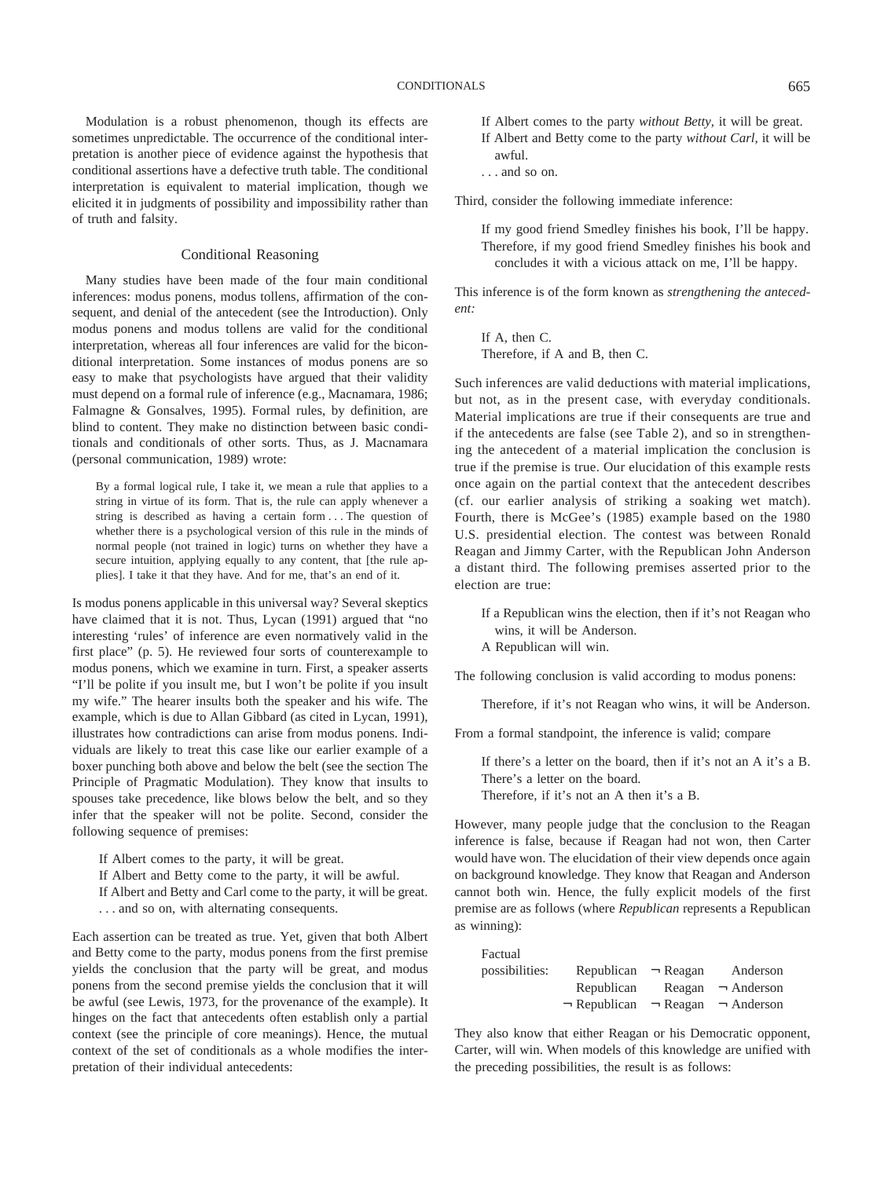Modulation is a robust phenomenon, though its effects are sometimes unpredictable. The occurrence of the conditional interpretation is another piece of evidence against the hypothesis that conditional assertions have a defective truth table. The conditional interpretation is equivalent to material implication, though we elicited it in judgments of possibility and impossibility rather than of truth and falsity.

### Conditional Reasoning

Many studies have been made of the four main conditional inferences: modus ponens, modus tollens, affirmation of the consequent, and denial of the antecedent (see the Introduction). Only modus ponens and modus tollens are valid for the conditional interpretation, whereas all four inferences are valid for the biconditional interpretation. Some instances of modus ponens are so easy to make that psychologists have argued that their validity must depend on a formal rule of inference (e.g., Macnamara, 1986; Falmagne & Gonsalves, 1995). Formal rules, by definition, are blind to content. They make no distinction between basic conditionals and conditionals of other sorts. Thus, as J. Macnamara (personal communication, 1989) wrote:

By a formal logical rule, I take it, we mean a rule that applies to a string in virtue of its form. That is, the rule can apply whenever a string is described as having a certain form . . . The question of whether there is a psychological version of this rule in the minds of normal people (not trained in logic) turns on whether they have a secure intuition, applying equally to any content, that [the rule applies]. I take it that they have. And for me, that's an end of it.

Is modus ponens applicable in this universal way? Several skeptics have claimed that it is not. Thus, Lycan (1991) argued that "no interesting 'rules' of inference are even normatively valid in the first place" (p. 5). He reviewed four sorts of counterexample to modus ponens, which we examine in turn. First, a speaker asserts "I'll be polite if you insult me, but I won't be polite if you insult my wife." The hearer insults both the speaker and his wife. The example, which is due to Allan Gibbard (as cited in Lycan, 1991), illustrates how contradictions can arise from modus ponens. Individuals are likely to treat this case like our earlier example of a boxer punching both above and below the belt (see the section The Principle of Pragmatic Modulation). They know that insults to spouses take precedence, like blows below the belt, and so they infer that the speaker will not be polite. Second, consider the following sequence of premises:

If Albert comes to the party, it will be great.

If Albert and Betty come to the party, it will be awful.

If Albert and Betty and Carl come to the party, it will be great. . . . and so on, with alternating consequents.

Each assertion can be treated as true. Yet, given that both Albert and Betty come to the party, modus ponens from the first premise yields the conclusion that the party will be great, and modus ponens from the second premise yields the conclusion that it will be awful (see Lewis, 1973, for the provenance of the example). It hinges on the fact that antecedents often establish only a partial context (see the principle of core meanings). Hence, the mutual context of the set of conditionals as a whole modifies the interpretation of their individual antecedents:

. . . and so on.

Third, consider the following immediate inference:

If my good friend Smedley finishes his book, I'll be happy. Therefore, if my good friend Smedley finishes his book and concludes it with a vicious attack on me, I'll be happy.

This inference is of the form known as *strengthening the antecedent:*

If A, then C. Therefore, if A and B, then C.

Such inferences are valid deductions with material implications, but not, as in the present case, with everyday conditionals. Material implications are true if their consequents are true and if the antecedents are false (see Table 2), and so in strengthening the antecedent of a material implication the conclusion is true if the premise is true. Our elucidation of this example rests once again on the partial context that the antecedent describes (cf. our earlier analysis of striking a soaking wet match). Fourth, there is McGee's (1985) example based on the 1980 U.S. presidential election. The contest was between Ronald Reagan and Jimmy Carter, with the Republican John Anderson a distant third. The following premises asserted prior to the election are true:

If a Republican wins the election, then if it's not Reagan who wins, it will be Anderson.

A Republican will win.

The following conclusion is valid according to modus ponens:

Therefore, if it's not Reagan who wins, it will be Anderson.

From a formal standpoint, the inference is valid; compare

If there's a letter on the board, then if it's not an A it's a B. There's a letter on the board.

Therefore, if it's not an A then it's a B.

However, many people judge that the conclusion to the Reagan inference is false, because if Reagan had not won, then Carter would have won. The elucidation of their view depends once again on background knowledge. They know that Reagan and Anderson cannot both win. Hence, the fully explicit models of the first premise are as follows (where *Republican* represents a Republican as winning):

| Factual        |                                                 |                               |
|----------------|-------------------------------------------------|-------------------------------|
| possibilities: | Republican $\neg$ Reagan                        | Anderson                      |
|                | Republican                                      | $Reason \rightarrow Anderson$ |
|                | $\neg$ Republican $\neg$ Reagan $\neg$ Anderson |                               |

They also know that either Reagan or his Democratic opponent, Carter, will win. When models of this knowledge are unified with the preceding possibilities, the result is as follows: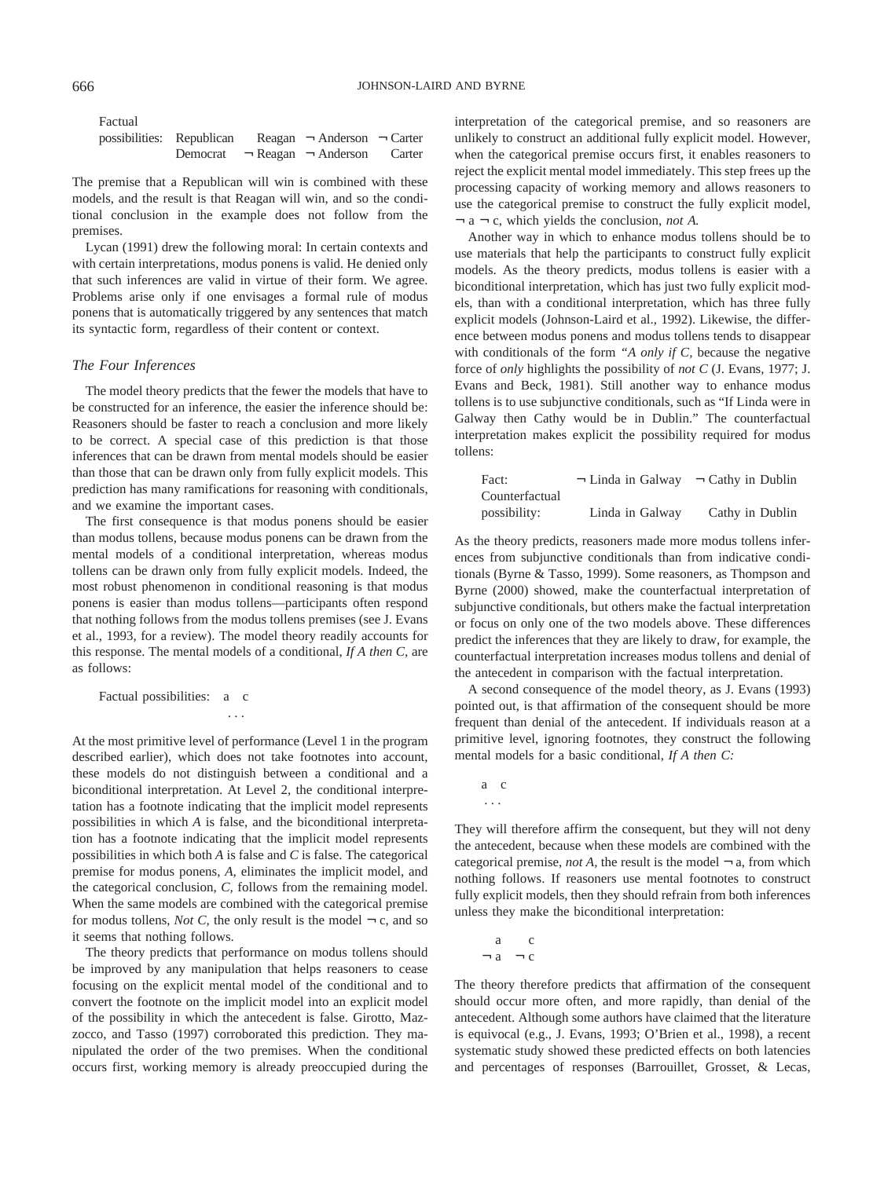| Factual                                                        |  |                                                 |  |
|----------------------------------------------------------------|--|-------------------------------------------------|--|
| possibilities: Republican Reagan $\neg$ Anderson $\neg$ Carter |  |                                                 |  |
|                                                                |  | Democrat $\lnot$ Reagan $\lnot$ Anderson Carter |  |

The premise that a Republican will win is combined with these models, and the result is that Reagan will win, and so the conditional conclusion in the example does not follow from the premises.

Lycan (1991) drew the following moral: In certain contexts and with certain interpretations, modus ponens is valid. He denied only that such inferences are valid in virtue of their form. We agree. Problems arise only if one envisages a formal rule of modus ponens that is automatically triggered by any sentences that match its syntactic form, regardless of their content or context.

### *The Four Inferences*

The model theory predicts that the fewer the models that have to be constructed for an inference, the easier the inference should be: Reasoners should be faster to reach a conclusion and more likely to be correct. A special case of this prediction is that those inferences that can be drawn from mental models should be easier than those that can be drawn only from fully explicit models. This prediction has many ramifications for reasoning with conditionals, and we examine the important cases.

The first consequence is that modus ponens should be easier than modus tollens, because modus ponens can be drawn from the mental models of a conditional interpretation, whereas modus tollens can be drawn only from fully explicit models. Indeed, the most robust phenomenon in conditional reasoning is that modus ponens is easier than modus tollens—participants often respond that nothing follows from the modus tollens premises (see J. Evans et al., 1993, for a review). The model theory readily accounts for this response. The mental models of a conditional, *If A then C,* are as follows:

Factual possibilities: a c

...

At the most primitive level of performance (Level 1 in the program described earlier), which does not take footnotes into account, these models do not distinguish between a conditional and a biconditional interpretation. At Level 2, the conditional interpretation has a footnote indicating that the implicit model represents possibilities in which *A* is false, and the biconditional interpretation has a footnote indicating that the implicit model represents possibilities in which both *A* is false and *C* is false. The categorical premise for modus ponens, *A,* eliminates the implicit model, and the categorical conclusion, *C,* follows from the remaining model. When the same models are combined with the categorical premise for modus tollens, *Not C*, the only result is the model  $\rightarrow$  c, and so it seems that nothing follows.

The theory predicts that performance on modus tollens should be improved by any manipulation that helps reasoners to cease focusing on the explicit mental model of the conditional and to convert the footnote on the implicit model into an explicit model of the possibility in which the antecedent is false. Girotto, Mazzocco, and Tasso (1997) corroborated this prediction. They manipulated the order of the two premises. When the conditional occurs first, working memory is already preoccupied during the interpretation of the categorical premise, and so reasoners are unlikely to construct an additional fully explicit model. However, when the categorical premise occurs first, it enables reasoners to reject the explicit mental model immediately. This step frees up the processing capacity of working memory and allows reasoners to use the categorical premise to construct the fully explicit model,  $\neg$  a  $\neg$  c, which yields the conclusion, *not A*.

Another way in which to enhance modus tollens should be to use materials that help the participants to construct fully explicit models. As the theory predicts, modus tollens is easier with a biconditional interpretation, which has just two fully explicit models, than with a conditional interpretation, which has three fully explicit models (Johnson-Laird et al., 1992). Likewise, the difference between modus ponens and modus tollens tends to disappear with conditionals of the form *"A only if C,* because the negative force of *only* highlights the possibility of *not C* (J. Evans, 1977; J. Evans and Beck, 1981). Still another way to enhance modus tollens is to use subjunctive conditionals, such as "If Linda were in Galway then Cathy would be in Dublin." The counterfactual interpretation makes explicit the possibility required for modus tollens:

| Fact:          | $\neg$ Linda in Galway $\neg$ Cathy in Dublin |                 |
|----------------|-----------------------------------------------|-----------------|
| Counterfactual |                                               |                 |
| possibility:   | Linda in Galway                               | Cathy in Dublin |

As the theory predicts, reasoners made more modus tollens inferences from subjunctive conditionals than from indicative conditionals (Byrne & Tasso, 1999). Some reasoners, as Thompson and Byrne (2000) showed, make the counterfactual interpretation of subjunctive conditionals, but others make the factual interpretation or focus on only one of the two models above. These differences predict the inferences that they are likely to draw, for example, the counterfactual interpretation increases modus tollens and denial of the antecedent in comparison with the factual interpretation.

A second consequence of the model theory, as J. Evans (1993) pointed out, is that affirmation of the consequent should be more frequent than denial of the antecedent. If individuals reason at a primitive level, ignoring footnotes, they construct the following mental models for a basic conditional, *If A then C:*

a c ...

They will therefore affirm the consequent, but they will not deny the antecedent, because when these models are combined with the categorical premise, *not A*, the result is the model  $\neg$  a, from which nothing follows. If reasoners use mental footnotes to construct fully explicit models, then they should refrain from both inferences unless they make the biconditional interpretation:

a c  $\neg a \neg c$ 

The theory therefore predicts that affirmation of the consequent should occur more often, and more rapidly, than denial of the antecedent. Although some authors have claimed that the literature is equivocal (e.g., J. Evans, 1993; O'Brien et al., 1998), a recent systematic study showed these predicted effects on both latencies and percentages of responses (Barrouillet, Grosset, & Lecas,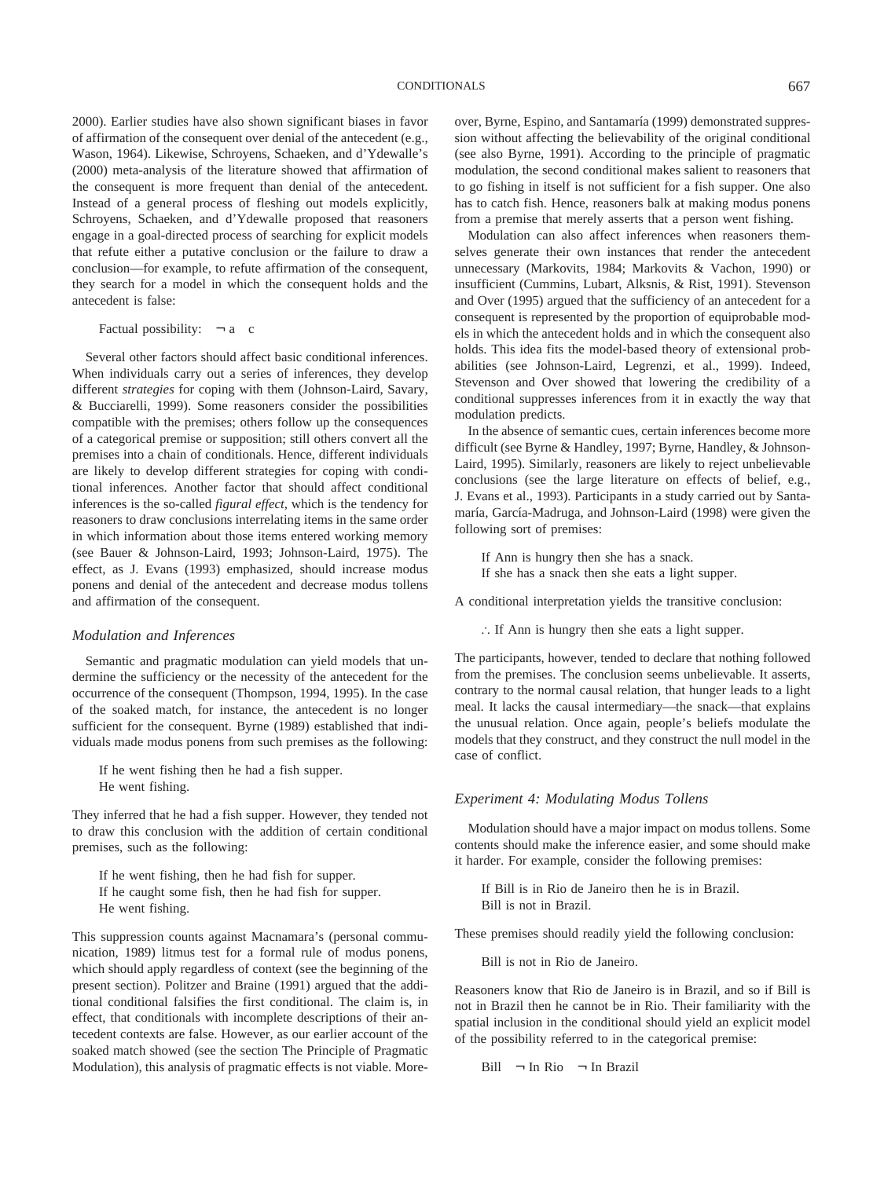2000). Earlier studies have also shown significant biases in favor of affirmation of the consequent over denial of the antecedent (e.g., Wason, 1964). Likewise, Schroyens, Schaeken, and d'Ydewalle's (2000) meta-analysis of the literature showed that affirmation of the consequent is more frequent than denial of the antecedent. Instead of a general process of fleshing out models explicitly, Schroyens, Schaeken, and d'Ydewalle proposed that reasoners engage in a goal-directed process of searching for explicit models that refute either a putative conclusion or the failure to draw a conclusion—for example, to refute affirmation of the consequent, they search for a model in which the consequent holds and the antecedent is false:

Factual possibility:  $\neg a$  c

Several other factors should affect basic conditional inferences. When individuals carry out a series of inferences, they develop different *strategies* for coping with them (Johnson-Laird, Savary, & Bucciarelli, 1999). Some reasoners consider the possibilities compatible with the premises; others follow up the consequences of a categorical premise or supposition; still others convert all the premises into a chain of conditionals. Hence, different individuals are likely to develop different strategies for coping with conditional inferences. Another factor that should affect conditional inferences is the so-called *figural effect,* which is the tendency for reasoners to draw conclusions interrelating items in the same order in which information about those items entered working memory (see Bauer & Johnson-Laird, 1993; Johnson-Laird, 1975). The effect, as J. Evans (1993) emphasized, should increase modus ponens and denial of the antecedent and decrease modus tollens and affirmation of the consequent.

#### *Modulation and Inferences*

Semantic and pragmatic modulation can yield models that undermine the sufficiency or the necessity of the antecedent for the occurrence of the consequent (Thompson, 1994, 1995). In the case of the soaked match, for instance, the antecedent is no longer sufficient for the consequent. Byrne (1989) established that individuals made modus ponens from such premises as the following:

If he went fishing then he had a fish supper. He went fishing.

They inferred that he had a fish supper. However, they tended not to draw this conclusion with the addition of certain conditional premises, such as the following:

If he went fishing, then he had fish for supper. If he caught some fish, then he had fish for supper. He went fishing.

This suppression counts against Macnamara's (personal communication, 1989) litmus test for a formal rule of modus ponens, which should apply regardless of context (see the beginning of the present section). Politzer and Braine (1991) argued that the additional conditional falsifies the first conditional. The claim is, in effect, that conditionals with incomplete descriptions of their antecedent contexts are false. However, as our earlier account of the soaked match showed (see the section The Principle of Pragmatic Modulation), this analysis of pragmatic effects is not viable. Moreover, Byrne, Espino, and Santamaría (1999) demonstrated suppression without affecting the believability of the original conditional (see also Byrne, 1991). According to the principle of pragmatic modulation, the second conditional makes salient to reasoners that to go fishing in itself is not sufficient for a fish supper. One also has to catch fish. Hence, reasoners balk at making modus ponens from a premise that merely asserts that a person went fishing.

Modulation can also affect inferences when reasoners themselves generate their own instances that render the antecedent unnecessary (Markovits, 1984; Markovits & Vachon, 1990) or insufficient (Cummins, Lubart, Alksnis, & Rist, 1991). Stevenson and Over (1995) argued that the sufficiency of an antecedent for a consequent is represented by the proportion of equiprobable models in which the antecedent holds and in which the consequent also holds. This idea fits the model-based theory of extensional probabilities (see Johnson-Laird, Legrenzi, et al., 1999). Indeed, Stevenson and Over showed that lowering the credibility of a conditional suppresses inferences from it in exactly the way that modulation predicts.

In the absence of semantic cues, certain inferences become more difficult (see Byrne & Handley, 1997; Byrne, Handley, & Johnson-Laird, 1995). Similarly, reasoners are likely to reject unbelievable conclusions (see the large literature on effects of belief, e.g., J. Evans et al., 1993). Participants in a study carried out by Santamaría, García-Madruga, and Johnson-Laird (1998) were given the following sort of premises:

If Ann is hungry then she has a snack. If she has a snack then she eats a light supper.

A conditional interpretation yields the transitive conclusion:

 $\therefore$  If Ann is hungry then she eats a light supper.

The participants, however, tended to declare that nothing followed from the premises. The conclusion seems unbelievable. It asserts, contrary to the normal causal relation, that hunger leads to a light meal. It lacks the causal intermediary—the snack—that explains the unusual relation. Once again, people's beliefs modulate the models that they construct, and they construct the null model in the case of conflict.

### *Experiment 4: Modulating Modus Tollens*

Modulation should have a major impact on modus tollens. Some contents should make the inference easier, and some should make it harder. For example, consider the following premises:

If Bill is in Rio de Janeiro then he is in Brazil. Bill is not in Brazil.

These premises should readily yield the following conclusion:

Bill is not in Rio de Janeiro.

Reasoners know that Rio de Janeiro is in Brazil, and so if Bill is not in Brazil then he cannot be in Rio. Their familiarity with the spatial inclusion in the conditional should yield an explicit model of the possibility referred to in the categorical premise:

Bill  $\neg$  In Rio  $\neg$  In Brazil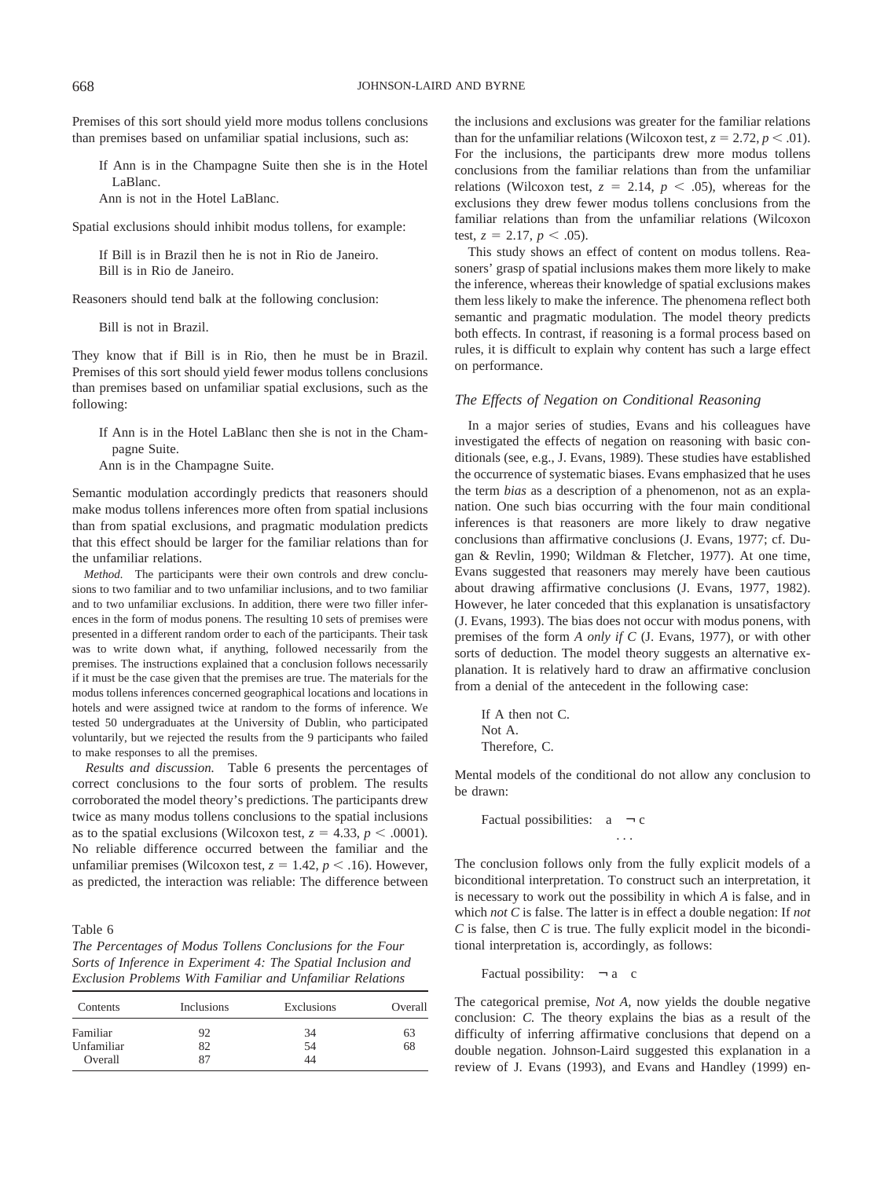Premises of this sort should yield more modus tollens conclusions than premises based on unfamiliar spatial inclusions, such as:

If Ann is in the Champagne Suite then she is in the Hotel LaBlanc.

Ann is not in the Hotel LaBlanc.

Spatial exclusions should inhibit modus tollens, for example:

If Bill is in Brazil then he is not in Rio de Janeiro. Bill is in Rio de Janeiro.

Reasoners should tend balk at the following conclusion:

Bill is not in Brazil.

They know that if Bill is in Rio, then he must be in Brazil. Premises of this sort should yield fewer modus tollens conclusions than premises based on unfamiliar spatial exclusions, such as the following:

If Ann is in the Hotel LaBlanc then she is not in the Champagne Suite.

Ann is in the Champagne Suite.

Semantic modulation accordingly predicts that reasoners should make modus tollens inferences more often from spatial inclusions than from spatial exclusions, and pragmatic modulation predicts that this effect should be larger for the familiar relations than for the unfamiliar relations.

*Method.* The participants were their own controls and drew conclusions to two familiar and to two unfamiliar inclusions, and to two familiar and to two unfamiliar exclusions. In addition, there were two filler inferences in the form of modus ponens. The resulting 10 sets of premises were presented in a different random order to each of the participants. Their task was to write down what, if anything, followed necessarily from the premises. The instructions explained that a conclusion follows necessarily if it must be the case given that the premises are true. The materials for the modus tollens inferences concerned geographical locations and locations in hotels and were assigned twice at random to the forms of inference. We tested 50 undergraduates at the University of Dublin, who participated voluntarily, but we rejected the results from the 9 participants who failed to make responses to all the premises.

*Results and discussion.* Table 6 presents the percentages of correct conclusions to the four sorts of problem. The results corroborated the model theory's predictions. The participants drew twice as many modus tollens conclusions to the spatial inclusions as to the spatial exclusions (Wilcoxon test,  $z = 4.33$ ,  $p < .0001$ ). No reliable difference occurred between the familiar and the unfamiliar premises (Wilcoxon test,  $z = 1.42$ ,  $p < .16$ ). However, as predicted, the interaction was reliable: The difference between

Table 6

*The Percentages of Modus Tollens Conclusions for the Four Sorts of Inference in Experiment 4: The Spatial Inclusion and Exclusion Problems With Familiar and Unfamiliar Relations*

| Contents   | Inclusions | Exclusions | Overall |
|------------|------------|------------|---------|
| Familiar   | 92         | 34         | 63      |
| Unfamiliar | 82         | 54         | 68      |
| Overall    | 87         | 44         |         |

the inclusions and exclusions was greater for the familiar relations than for the unfamiliar relations (Wilcoxon test,  $z = 2.72$ ,  $p < .01$ ). For the inclusions, the participants drew more modus tollens conclusions from the familiar relations than from the unfamiliar relations (Wilcoxon test,  $z = 2.14$ ,  $p < .05$ ), whereas for the exclusions they drew fewer modus tollens conclusions from the familiar relations than from the unfamiliar relations (Wilcoxon test,  $z = 2.17$ ,  $p < .05$ ).

This study shows an effect of content on modus tollens. Reasoners' grasp of spatial inclusions makes them more likely to make the inference, whereas their knowledge of spatial exclusions makes them less likely to make the inference. The phenomena reflect both semantic and pragmatic modulation. The model theory predicts both effects. In contrast, if reasoning is a formal process based on rules, it is difficult to explain why content has such a large effect on performance.

#### *The Effects of Negation on Conditional Reasoning*

In a major series of studies, Evans and his colleagues have investigated the effects of negation on reasoning with basic conditionals (see, e.g., J. Evans, 1989). These studies have established the occurrence of systematic biases. Evans emphasized that he uses the term *bias* as a description of a phenomenon, not as an explanation. One such bias occurring with the four main conditional inferences is that reasoners are more likely to draw negative conclusions than affirmative conclusions (J. Evans, 1977; cf. Dugan & Revlin, 1990; Wildman & Fletcher, 1977). At one time, Evans suggested that reasoners may merely have been cautious about drawing affirmative conclusions (J. Evans, 1977, 1982). However, he later conceded that this explanation is unsatisfactory (J. Evans, 1993). The bias does not occur with modus ponens, with premises of the form *A only if C* (J. Evans, 1977), or with other sorts of deduction. The model theory suggests an alternative explanation. It is relatively hard to draw an affirmative conclusion from a denial of the antecedent in the following case:

If A then not C. Not A. Therefore, C.

Mental models of the conditional do not allow any conclusion to be drawn:

Factual possibilities:  $a \rightarrow c$ ...

The conclusion follows only from the fully explicit models of a biconditional interpretation. To construct such an interpretation, it is necessary to work out the possibility in which *A* is false, and in which *not C* is false. The latter is in effect a double negation: If *not C* is false, then *C* is true. The fully explicit model in the biconditional interpretation is, accordingly, as follows:

Factual possibility:  $\neg$  a c

The categorical premise, *Not A,* now yields the double negative conclusion: *C.* The theory explains the bias as a result of the difficulty of inferring affirmative conclusions that depend on a double negation. Johnson-Laird suggested this explanation in a review of J. Evans (1993), and Evans and Handley (1999) en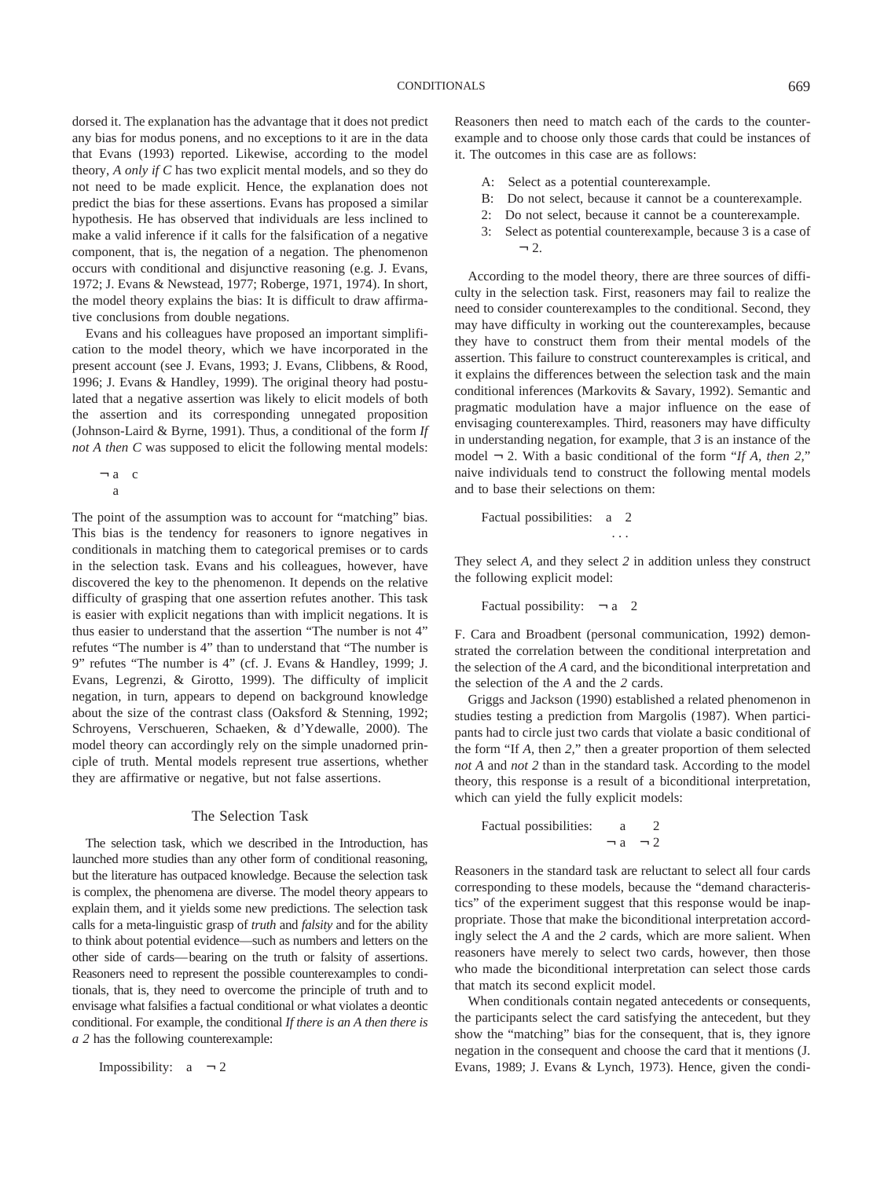dorsed it. The explanation has the advantage that it does not predict any bias for modus ponens, and no exceptions to it are in the data that Evans (1993) reported. Likewise, according to the model theory, *A only if C* has two explicit mental models, and so they do not need to be made explicit. Hence, the explanation does not predict the bias for these assertions. Evans has proposed a similar hypothesis. He has observed that individuals are less inclined to make a valid inference if it calls for the falsification of a negative component, that is, the negation of a negation. The phenomenon occurs with conditional and disjunctive reasoning (e.g. J. Evans, 1972; J. Evans & Newstead, 1977; Roberge, 1971, 1974). In short, the model theory explains the bias: It is difficult to draw affirmative conclusions from double negations.

Evans and his colleagues have proposed an important simplification to the model theory, which we have incorporated in the present account (see J. Evans, 1993; J. Evans, Clibbens, & Rood, 1996; J. Evans & Handley, 1999). The original theory had postulated that a negative assertion was likely to elicit models of both the assertion and its corresponding unnegated proposition (Johnson-Laird & Byrne, 1991). Thus, a conditional of the form *If not A then C* was supposed to elicit the following mental models:

 $\neg a$  c a

The point of the assumption was to account for "matching" bias. This bias is the tendency for reasoners to ignore negatives in conditionals in matching them to categorical premises or to cards in the selection task. Evans and his colleagues, however, have discovered the key to the phenomenon. It depends on the relative difficulty of grasping that one assertion refutes another. This task is easier with explicit negations than with implicit negations. It is thus easier to understand that the assertion "The number is not 4" refutes "The number is 4" than to understand that "The number is 9" refutes "The number is 4" (cf. J. Evans & Handley, 1999; J. Evans, Legrenzi, & Girotto, 1999). The difficulty of implicit negation, in turn, appears to depend on background knowledge about the size of the contrast class (Oaksford & Stenning, 1992; Schroyens, Verschueren, Schaeken, & d'Ydewalle, 2000). The model theory can accordingly rely on the simple unadorned principle of truth. Mental models represent true assertions, whether they are affirmative or negative, but not false assertions.

#### The Selection Task

The selection task, which we described in the Introduction, has launched more studies than any other form of conditional reasoning, but the literature has outpaced knowledge. Because the selection task is complex, the phenomena are diverse. The model theory appears to explain them, and it yields some new predictions. The selection task calls for a meta-linguistic grasp of *truth* and *falsity* and for the ability to think about potential evidence—such as numbers and letters on the other side of cards—bearing on the truth or falsity of assertions. Reasoners need to represent the possible counterexamples to conditionals, that is, they need to overcome the principle of truth and to envisage what falsifies a factual conditional or what violates a deontic conditional. For example, the conditional *If there is an A then there is a 2* has the following counterexample:

Impossibility:  $a \rightarrow 2$ 

Reasoners then need to match each of the cards to the counterexample and to choose only those cards that could be instances of it. The outcomes in this case are as follows:

- A: Select as a potential counterexample.
- B: Do not select, because it cannot be a counterexample.
- 2: Do not select, because it cannot be a counterexample.
- 3: Select as potential counterexample, because 3 is a case of  $-2$ .

According to the model theory, there are three sources of difficulty in the selection task. First, reasoners may fail to realize the need to consider counterexamples to the conditional. Second, they may have difficulty in working out the counterexamples, because they have to construct them from their mental models of the assertion. This failure to construct counterexamples is critical, and it explains the differences between the selection task and the main conditional inferences (Markovits & Savary, 1992). Semantic and pragmatic modulation have a major influence on the ease of envisaging counterexamples. Third, reasoners may have difficulty in understanding negation, for example, that *3* is an instance of the model  $-2$ . With a basic conditional of the form "*If A, then 2,*" naive individuals tend to construct the following mental models and to base their selections on them:

Factual possibilities: a 2 ...

They select *A,* and they select *2* in addition unless they construct the following explicit model:

Factual possibility:  $\neg a$  2

F. Cara and Broadbent (personal communication, 1992) demonstrated the correlation between the conditional interpretation and the selection of the *A* card, and the biconditional interpretation and the selection of the *A* and the *2* cards.

Griggs and Jackson (1990) established a related phenomenon in studies testing a prediction from Margolis (1987). When participants had to circle just two cards that violate a basic conditional of the form "If *A,* then *2,*" then a greater proportion of them selected *not A* and *not 2* than in the standard task. According to the model theory, this response is a result of a biconditional interpretation, which can yield the fully explicit models:

Factual possibilities:

\na 
$$
-a
$$

\n $-a$ 

\n $-2$ 

Reasoners in the standard task are reluctant to select all four cards corresponding to these models, because the "demand characteristics" of the experiment suggest that this response would be inappropriate. Those that make the biconditional interpretation accordingly select the *A* and the *2* cards, which are more salient. When reasoners have merely to select two cards, however, then those who made the biconditional interpretation can select those cards that match its second explicit model.

When conditionals contain negated antecedents or consequents, the participants select the card satisfying the antecedent, but they show the "matching" bias for the consequent, that is, they ignore negation in the consequent and choose the card that it mentions (J. Evans, 1989; J. Evans & Lynch, 1973). Hence, given the condi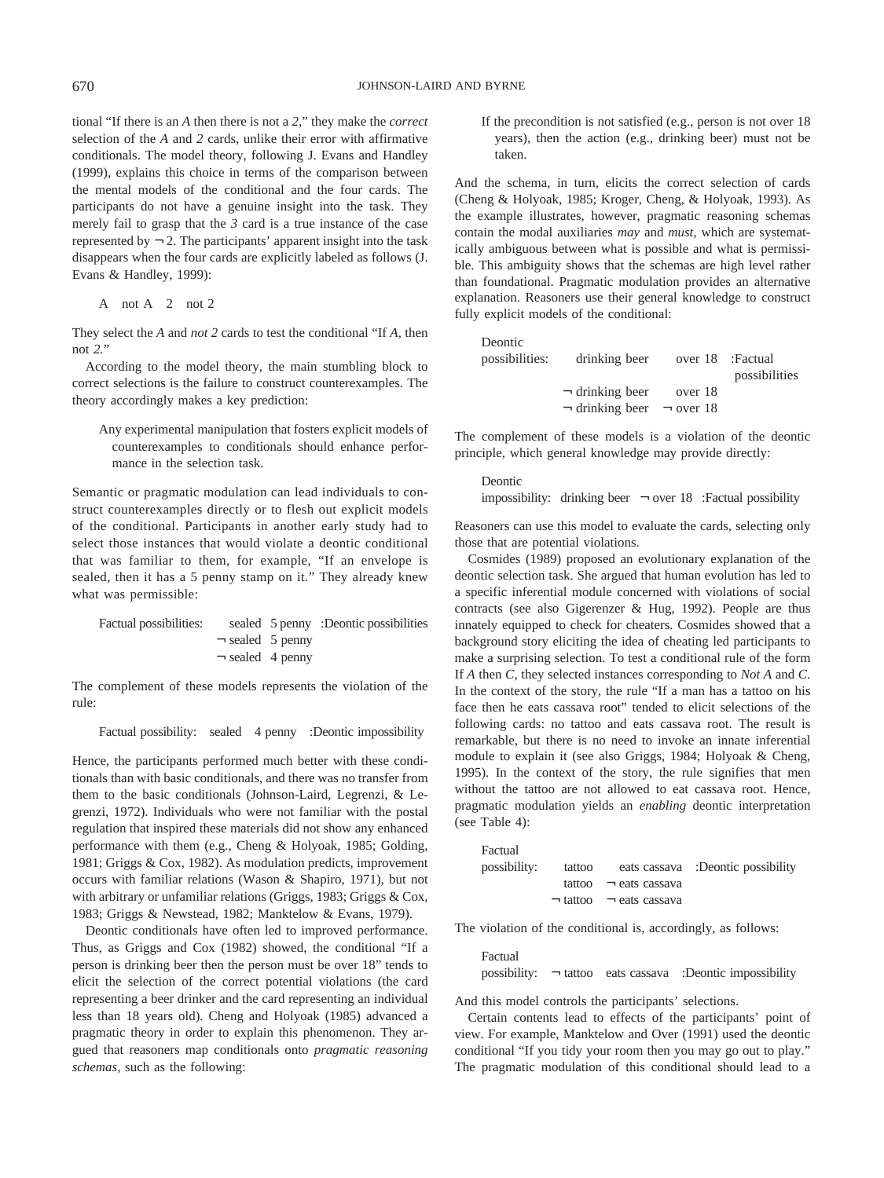tional "If there is an *A* then there is not a *2,*" they make the *correct* selection of the *A* and *2* cards, unlike their error with affirmative conditionals. The model theory, following J. Evans and Handley (1999), explains this choice in terms of the comparison between the mental models of the conditional and the four cards. The participants do not have a genuine insight into the task. They merely fail to grasp that the *3* card is a true instance of the case represented by  $-2$ . The participants' apparent insight into the task disappears when the four cards are explicitly labeled as follows (J. Evans & Handley, 1999):

```
A not A 2 not 2
```
They select the *A* and *not 2* cards to test the conditional "If *A,* then not *2.*"

According to the model theory, the main stumbling block to correct selections is the failure to construct counterexamples. The theory accordingly makes a key prediction:

Any experimental manipulation that fosters explicit models of counterexamples to conditionals should enhance performance in the selection task.

Semantic or pragmatic modulation can lead individuals to construct counterexamples directly or to flesh out explicit models of the conditional. Participants in another early study had to select those instances that would violate a deontic conditional that was familiar to them, for example, "If an envelope is sealed, then it has a 5 penny stamp on it." They already knew what was permissible:

| Factual possibilities: |                        | sealed 5 penny :Deontic possibilities |
|------------------------|------------------------|---------------------------------------|
|                        | $\lnot$ sealed 5 penny |                                       |
|                        | $\lnot$ sealed 4 penny |                                       |

The complement of these models represents the violation of the rule:

Factual possibility: sealed 4 penny :Deontic impossibility

Hence, the participants performed much better with these conditionals than with basic conditionals, and there was no transfer from them to the basic conditionals (Johnson-Laird, Legrenzi, & Legrenzi, 1972). Individuals who were not familiar with the postal regulation that inspired these materials did not show any enhanced performance with them (e.g., Cheng & Holyoak, 1985; Golding, 1981; Griggs & Cox, 1982). As modulation predicts, improvement occurs with familiar relations (Wason & Shapiro, 1971), but not with arbitrary or unfamiliar relations (Griggs, 1983; Griggs & Cox, 1983; Griggs & Newstead, 1982; Manktelow & Evans, 1979).

Deontic conditionals have often led to improved performance. Thus, as Griggs and Cox (1982) showed, the conditional "If a person is drinking beer then the person must be over 18" tends to elicit the selection of the correct potential violations (the card representing a beer drinker and the card representing an individual less than 18 years old). Cheng and Holyoak (1985) advanced a pragmatic theory in order to explain this phenomenon. They argued that reasoners map conditionals onto *pragmatic reasoning schemas,* such as the following:

If the precondition is not satisfied (e.g., person is not over 18 years), then the action (e.g., drinking beer) must not be taken.

And the schema, in turn, elicits the correct selection of cards (Cheng & Holyoak, 1985; Kroger, Cheng, & Holyoak, 1993). As the example illustrates, however, pragmatic reasoning schemas contain the modal auxiliaries *may* and *must,* which are systematically ambiguous between what is possible and what is permissible. This ambiguity shows that the schemas are high level rather than foundational. Pragmatic modulation provides an alternative explanation. Reasoners use their general knowledge to construct fully explicit models of the conditional:

| Deontic | possibilities: drinking beer over 18 :Factual     | possibilities |
|---------|---------------------------------------------------|---------------|
|         | $\rightarrow$ drinking beer over 18               |               |
|         | $\rightarrow$ drinking beer $\rightarrow$ over 18 |               |

The complement of these models is a violation of the deontic principle, which general knowledge may provide directly:

Deontic impossibility: drinking beer  $\rightarrow$  over 18 : Factual possibility

Reasoners can use this model to evaluate the cards, selecting only those that are potential violations.

Cosmides (1989) proposed an evolutionary explanation of the deontic selection task. She argued that human evolution has led to a specific inferential module concerned with violations of social contracts (see also Gigerenzer & Hug, 1992). People are thus innately equipped to check for cheaters. Cosmides showed that a background story eliciting the idea of cheating led participants to make a surprising selection. To test a conditional rule of the form If *A* then *C,* they selected instances corresponding to *Not A* and *C.* In the context of the story, the rule "If a man has a tattoo on his face then he eats cassava root" tended to elicit selections of the following cards: no tattoo and eats cassava root. The result is remarkable, but there is no need to invoke an innate inferential module to explain it (see also Griggs, 1984; Holyoak & Cheng, 1995). In the context of the story, the rule signifies that men without the tattoo are not allowed to eat cassava root. Hence, pragmatic modulation yields an *enabling* deontic interpretation (see Table 4):

| Factual      |                                     |                                          |
|--------------|-------------------------------------|------------------------------------------|
| possibility: |                                     | tattoo eats cassava :Deontic possibility |
|              | $tattoo - \neg$ eats cassava        |                                          |
|              | $\lnot$ tattoo $\lnot$ eats cassava |                                          |

The violation of the conditional is, accordingly, as follows:

```
Factual
possibility: \neg tattoo eats cassava :Deontic impossibility
```
And this model controls the participants' selections.

Certain contents lead to effects of the participants' point of view. For example, Manktelow and Over (1991) used the deontic conditional "If you tidy your room then you may go out to play." The pragmatic modulation of this conditional should lead to a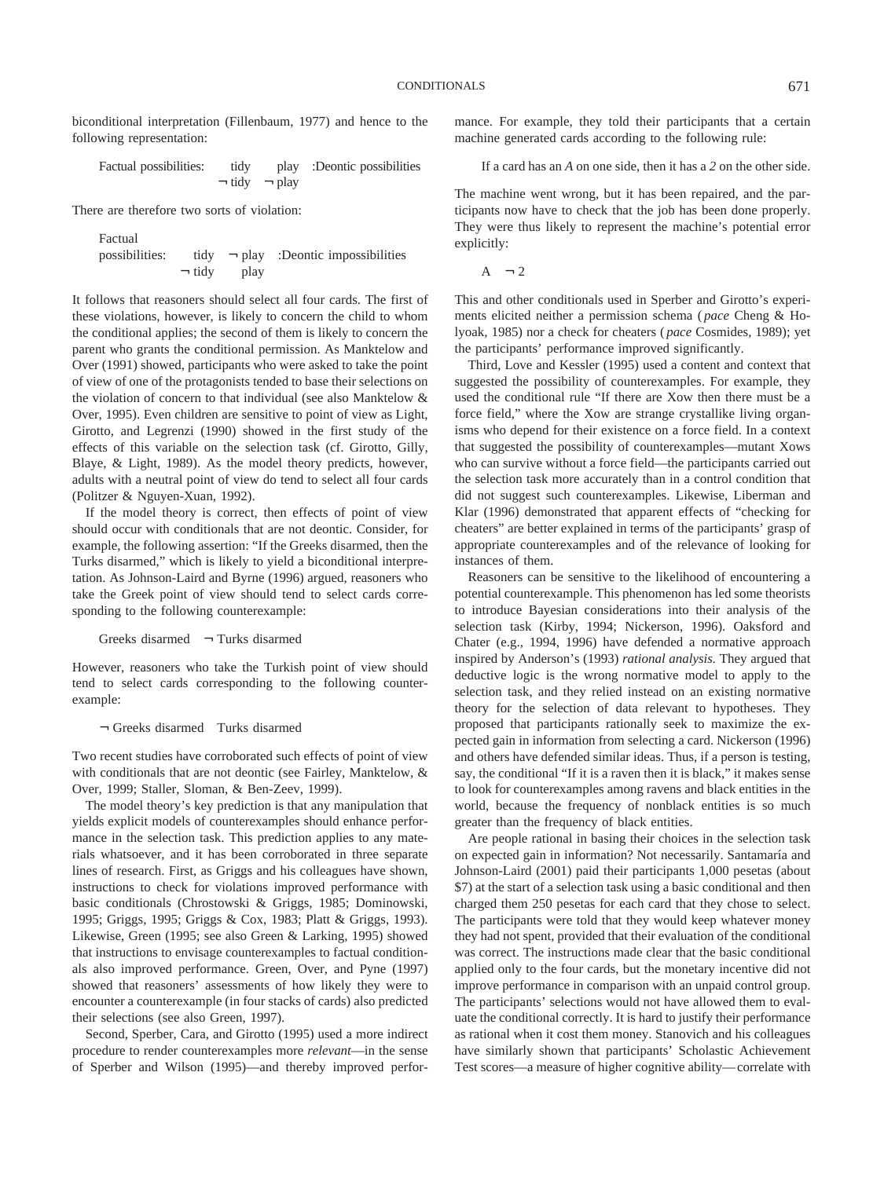biconditional interpretation (Fillenbaum, 1977) and hence to the following representation:

Factual possibilities: tidy play :Deontic possibilities  $\neg$  tidy  $\neg$  play

There are therefore two sorts of violation:

Factual possibilities: tidy  $\neg$  play :Deontic impossibilities  $\neg$  tidy play

It follows that reasoners should select all four cards. The first of these violations, however, is likely to concern the child to whom the conditional applies; the second of them is likely to concern the parent who grants the conditional permission. As Manktelow and Over (1991) showed, participants who were asked to take the point of view of one of the protagonists tended to base their selections on the violation of concern to that individual (see also Manktelow & Over, 1995). Even children are sensitive to point of view as Light, Girotto, and Legrenzi (1990) showed in the first study of the effects of this variable on the selection task (cf. Girotto, Gilly, Blaye, & Light, 1989). As the model theory predicts, however, adults with a neutral point of view do tend to select all four cards (Politzer & Nguyen-Xuan, 1992).

If the model theory is correct, then effects of point of view should occur with conditionals that are not deontic. Consider, for example, the following assertion: "If the Greeks disarmed, then the Turks disarmed," which is likely to yield a biconditional interpretation. As Johnson-Laird and Byrne (1996) argued, reasoners who take the Greek point of view should tend to select cards corresponding to the following counterexample:

Greeks disarmed  $\rightarrow$  Turks disarmed

However, reasoners who take the Turkish point of view should tend to select cards corresponding to the following counterexample:

#### $\neg$  Greeks disarmed Turks disarmed

Two recent studies have corroborated such effects of point of view with conditionals that are not deontic (see Fairley, Manktelow, & Over, 1999; Staller, Sloman, & Ben-Zeev, 1999).

The model theory's key prediction is that any manipulation that yields explicit models of counterexamples should enhance performance in the selection task. This prediction applies to any materials whatsoever, and it has been corroborated in three separate lines of research. First, as Griggs and his colleagues have shown, instructions to check for violations improved performance with basic conditionals (Chrostowski & Griggs, 1985; Dominowski, 1995; Griggs, 1995; Griggs & Cox, 1983; Platt & Griggs, 1993). Likewise, Green (1995; see also Green & Larking, 1995) showed that instructions to envisage counterexamples to factual conditionals also improved performance. Green, Over, and Pyne (1997) showed that reasoners' assessments of how likely they were to encounter a counterexample (in four stacks of cards) also predicted their selections (see also Green, 1997).

Second, Sperber, Cara, and Girotto (1995) used a more indirect procedure to render counterexamples more *relevant*—in the sense of Sperber and Wilson (1995)—and thereby improved performance. For example, they told their participants that a certain machine generated cards according to the following rule:

If a card has an *A* on one side, then it has a *2* on the other side.

The machine went wrong, but it has been repaired, and the participants now have to check that the job has been done properly. They were thus likely to represent the machine's potential error explicitly:

 $A \rightarrow 2$ 

This and other conditionals used in Sperber and Girotto's experiments elicited neither a permission schema ( *pace* Cheng & Holyoak, 1985) nor a check for cheaters ( *pace* Cosmides, 1989); yet the participants' performance improved significantly.

Third, Love and Kessler (1995) used a content and context that suggested the possibility of counterexamples. For example, they used the conditional rule "If there are Xow then there must be a force field," where the Xow are strange crystallike living organisms who depend for their existence on a force field. In a context that suggested the possibility of counterexamples—mutant Xows who can survive without a force field—the participants carried out the selection task more accurately than in a control condition that did not suggest such counterexamples. Likewise, Liberman and Klar (1996) demonstrated that apparent effects of "checking for cheaters" are better explained in terms of the participants' grasp of appropriate counterexamples and of the relevance of looking for instances of them.

Reasoners can be sensitive to the likelihood of encountering a potential counterexample. This phenomenon has led some theorists to introduce Bayesian considerations into their analysis of the selection task (Kirby, 1994; Nickerson, 1996). Oaksford and Chater (e.g., 1994, 1996) have defended a normative approach inspired by Anderson's (1993) *rational analysis.* They argued that deductive logic is the wrong normative model to apply to the selection task, and they relied instead on an existing normative theory for the selection of data relevant to hypotheses. They proposed that participants rationally seek to maximize the expected gain in information from selecting a card. Nickerson (1996) and others have defended similar ideas. Thus, if a person is testing, say, the conditional "If it is a raven then it is black," it makes sense to look for counterexamples among ravens and black entities in the world, because the frequency of nonblack entities is so much greater than the frequency of black entities.

Are people rational in basing their choices in the selection task on expected gain in information? Not necessarily. Santamaría and Johnson-Laird (2001) paid their participants 1,000 pesetas (about \$7) at the start of a selection task using a basic conditional and then charged them 250 pesetas for each card that they chose to select. The participants were told that they would keep whatever money they had not spent, provided that their evaluation of the conditional was correct. The instructions made clear that the basic conditional applied only to the four cards, but the monetary incentive did not improve performance in comparison with an unpaid control group. The participants' selections would not have allowed them to evaluate the conditional correctly. It is hard to justify their performance as rational when it cost them money. Stanovich and his colleagues have similarly shown that participants' Scholastic Achievement Test scores—a measure of higher cognitive ability—correlate with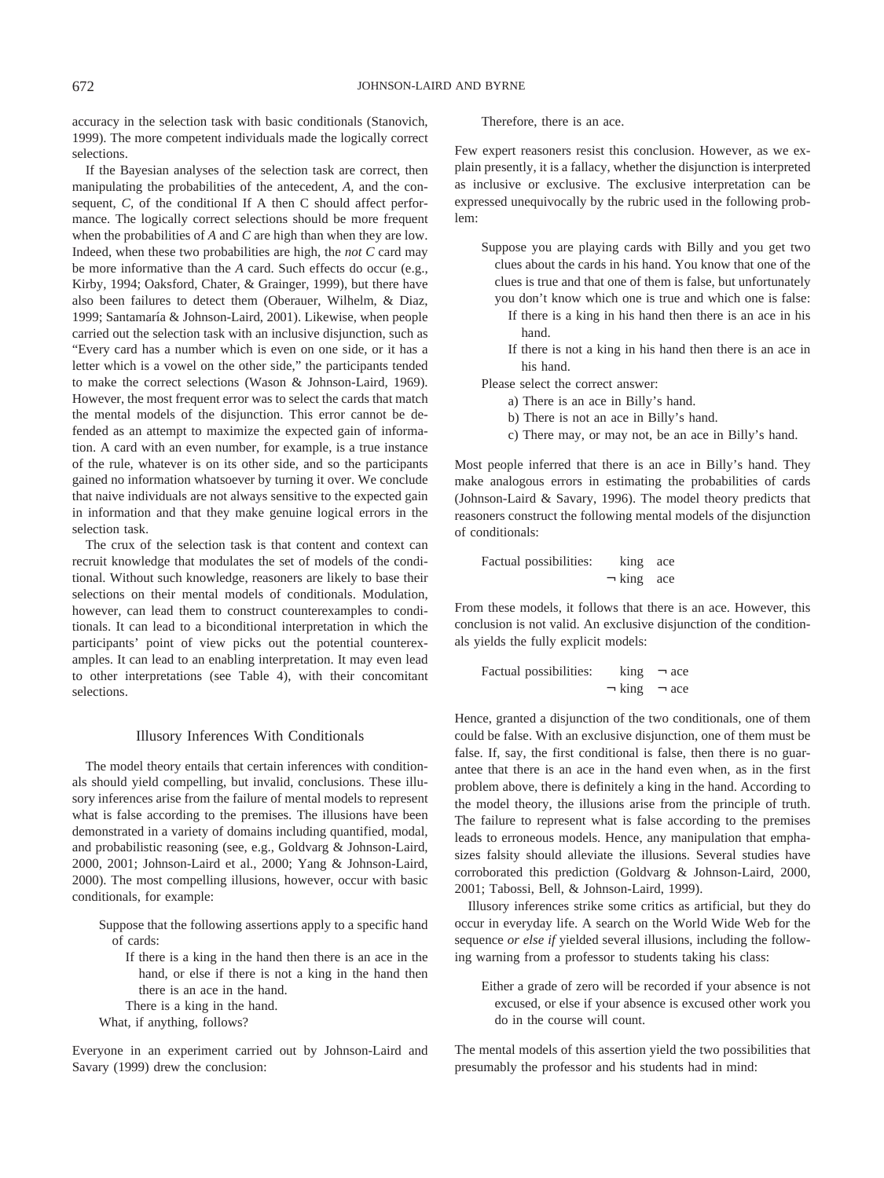accuracy in the selection task with basic conditionals (Stanovich, 1999). The more competent individuals made the logically correct selections.

If the Bayesian analyses of the selection task are correct, then manipulating the probabilities of the antecedent, *A,* and the consequent, *C,* of the conditional If A then C should affect performance. The logically correct selections should be more frequent when the probabilities of *A* and *C* are high than when they are low. Indeed, when these two probabilities are high, the *not C* card may be more informative than the *A* card. Such effects do occur (e.g., Kirby, 1994; Oaksford, Chater, & Grainger, 1999), but there have also been failures to detect them (Oberauer, Wilhelm, & Diaz, 1999; Santamaría & Johnson-Laird, 2001). Likewise, when people carried out the selection task with an inclusive disjunction, such as "Every card has a number which is even on one side, or it has a letter which is a vowel on the other side," the participants tended to make the correct selections (Wason & Johnson-Laird, 1969). However, the most frequent error was to select the cards that match the mental models of the disjunction. This error cannot be defended as an attempt to maximize the expected gain of information. A card with an even number, for example, is a true instance of the rule, whatever is on its other side, and so the participants gained no information whatsoever by turning it over. We conclude that naive individuals are not always sensitive to the expected gain in information and that they make genuine logical errors in the selection task.

The crux of the selection task is that content and context can recruit knowledge that modulates the set of models of the conditional. Without such knowledge, reasoners are likely to base their selections on their mental models of conditionals. Modulation, however, can lead them to construct counterexamples to conditionals. It can lead to a biconditional interpretation in which the participants' point of view picks out the potential counterexamples. It can lead to an enabling interpretation. It may even lead to other interpretations (see Table 4), with their concomitant selections.

### Illusory Inferences With Conditionals

The model theory entails that certain inferences with conditionals should yield compelling, but invalid, conclusions. These illusory inferences arise from the failure of mental models to represent what is false according to the premises. The illusions have been demonstrated in a variety of domains including quantified, modal, and probabilistic reasoning (see, e.g., Goldvarg & Johnson-Laird, 2000, 2001; Johnson-Laird et al., 2000; Yang & Johnson-Laird, 2000). The most compelling illusions, however, occur with basic conditionals, for example:

Suppose that the following assertions apply to a specific hand of cards:

- If there is a king in the hand then there is an ace in the hand, or else if there is not a king in the hand then there is an ace in the hand.
- There is a king in the hand.

What, if anything, follows?

Everyone in an experiment carried out by Johnson-Laird and Savary (1999) drew the conclusion:

Therefore, there is an ace.

Few expert reasoners resist this conclusion. However, as we explain presently, it is a fallacy, whether the disjunction is interpreted as inclusive or exclusive. The exclusive interpretation can be expressed unequivocally by the rubric used in the following problem:

- Suppose you are playing cards with Billy and you get two clues about the cards in his hand. You know that one of the clues is true and that one of them is false, but unfortunately you don't know which one is true and which one is false:
	- If there is a king in his hand then there is an ace in his hand.
	- If there is not a king in his hand then there is an ace in his hand.

Please select the correct answer:

- a) There is an ace in Billy's hand.
- b) There is not an ace in Billy's hand.
- c) There may, or may not, be an ace in Billy's hand.

Most people inferred that there is an ace in Billy's hand. They make analogous errors in estimating the probabilities of cards (Johnson-Laird & Savary, 1996). The model theory predicts that reasoners construct the following mental models of the disjunction of conditionals:

Factual possibilities: king ace ¬ king ace

From these models, it follows that there is an ace. However, this conclusion is not valid. An exclusive disjunction of the conditionals yields the fully explicit models:

Factual possibilities:  $\qquad$  king  $\rightarrow$  ace  $\neg$  king  $\neg$  ace

Hence, granted a disjunction of the two conditionals, one of them could be false. With an exclusive disjunction, one of them must be false. If, say, the first conditional is false, then there is no guarantee that there is an ace in the hand even when, as in the first problem above, there is definitely a king in the hand. According to the model theory, the illusions arise from the principle of truth. The failure to represent what is false according to the premises leads to erroneous models. Hence, any manipulation that emphasizes falsity should alleviate the illusions. Several studies have corroborated this prediction (Goldvarg & Johnson-Laird, 2000, 2001; Tabossi, Bell, & Johnson-Laird, 1999).

Illusory inferences strike some critics as artificial, but they do occur in everyday life. A search on the World Wide Web for the sequence *or else if* yielded several illusions, including the following warning from a professor to students taking his class:

Either a grade of zero will be recorded if your absence is not excused, or else if your absence is excused other work you do in the course will count.

The mental models of this assertion yield the two possibilities that presumably the professor and his students had in mind: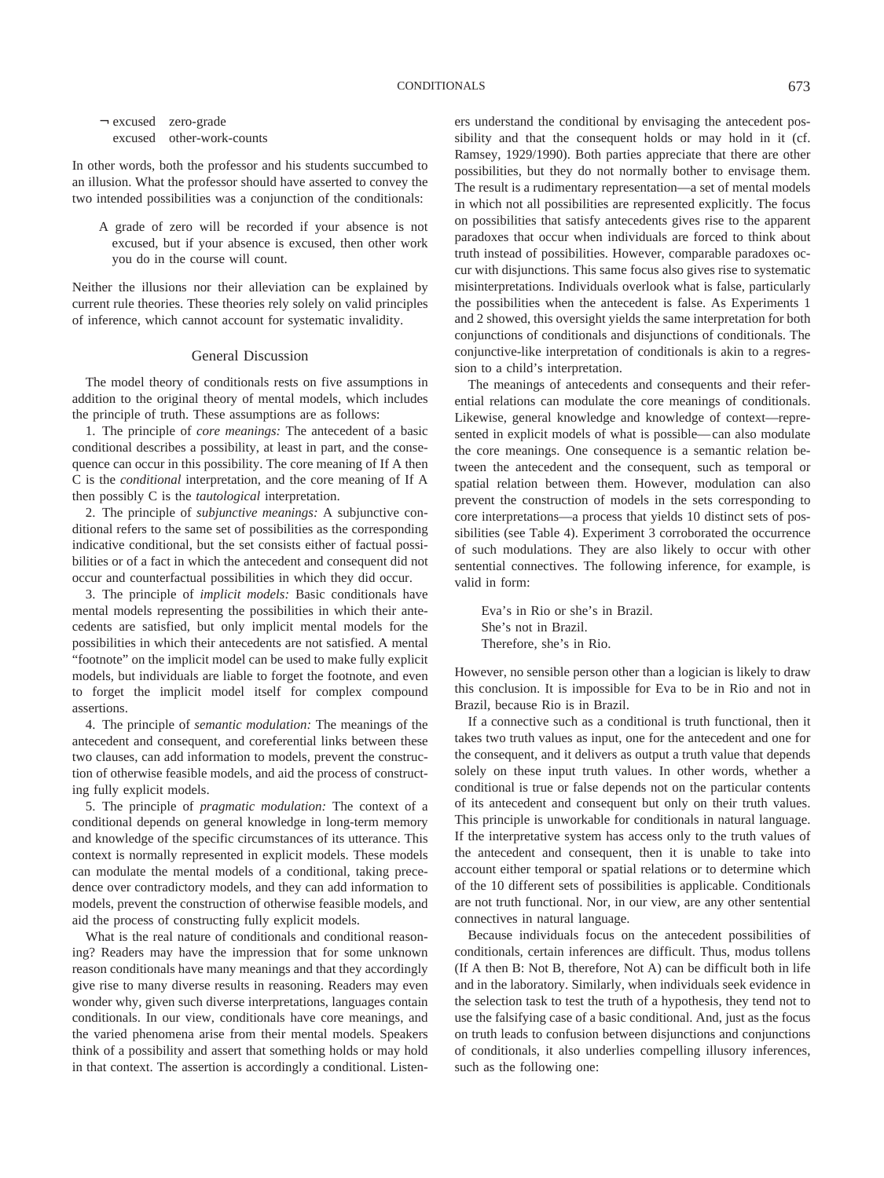¬ excused zero-grade excused other-work-counts

In other words, both the professor and his students succumbed to an illusion. What the professor should have asserted to convey the two intended possibilities was a conjunction of the conditionals:

A grade of zero will be recorded if your absence is not excused, but if your absence is excused, then other work you do in the course will count.

Neither the illusions nor their alleviation can be explained by current rule theories. These theories rely solely on valid principles of inference, which cannot account for systematic invalidity.

#### General Discussion

The model theory of conditionals rests on five assumptions in addition to the original theory of mental models, which includes the principle of truth. These assumptions are as follows:

1. The principle of *core meanings:* The antecedent of a basic conditional describes a possibility, at least in part, and the consequence can occur in this possibility. The core meaning of If A then C is the *conditional* interpretation, and the core meaning of If A then possibly C is the *tautological* interpretation.

2. The principle of *subjunctive meanings:* A subjunctive conditional refers to the same set of possibilities as the corresponding indicative conditional, but the set consists either of factual possibilities or of a fact in which the antecedent and consequent did not occur and counterfactual possibilities in which they did occur.

3. The principle of *implicit models:* Basic conditionals have mental models representing the possibilities in which their antecedents are satisfied, but only implicit mental models for the possibilities in which their antecedents are not satisfied. A mental "footnote" on the implicit model can be used to make fully explicit models, but individuals are liable to forget the footnote, and even to forget the implicit model itself for complex compound assertions.

4. The principle of *semantic modulation:* The meanings of the antecedent and consequent, and coreferential links between these two clauses, can add information to models, prevent the construction of otherwise feasible models, and aid the process of constructing fully explicit models.

5. The principle of *pragmatic modulation:* The context of a conditional depends on general knowledge in long-term memory and knowledge of the specific circumstances of its utterance. This context is normally represented in explicit models. These models can modulate the mental models of a conditional, taking precedence over contradictory models, and they can add information to models, prevent the construction of otherwise feasible models, and aid the process of constructing fully explicit models.

What is the real nature of conditionals and conditional reasoning? Readers may have the impression that for some unknown reason conditionals have many meanings and that they accordingly give rise to many diverse results in reasoning. Readers may even wonder why, given such diverse interpretations, languages contain conditionals. In our view, conditionals have core meanings, and the varied phenomena arise from their mental models. Speakers think of a possibility and assert that something holds or may hold in that context. The assertion is accordingly a conditional. Listeners understand the conditional by envisaging the antecedent possibility and that the consequent holds or may hold in it (cf. Ramsey, 1929/1990). Both parties appreciate that there are other possibilities, but they do not normally bother to envisage them. The result is a rudimentary representation—a set of mental models in which not all possibilities are represented explicitly. The focus on possibilities that satisfy antecedents gives rise to the apparent paradoxes that occur when individuals are forced to think about truth instead of possibilities. However, comparable paradoxes occur with disjunctions. This same focus also gives rise to systematic misinterpretations. Individuals overlook what is false, particularly the possibilities when the antecedent is false. As Experiments 1 and 2 showed, this oversight yields the same interpretation for both conjunctions of conditionals and disjunctions of conditionals. The conjunctive-like interpretation of conditionals is akin to a regression to a child's interpretation.

The meanings of antecedents and consequents and their referential relations can modulate the core meanings of conditionals. Likewise, general knowledge and knowledge of context—represented in explicit models of what is possible—can also modulate the core meanings. One consequence is a semantic relation between the antecedent and the consequent, such as temporal or spatial relation between them. However, modulation can also prevent the construction of models in the sets corresponding to core interpretations—a process that yields 10 distinct sets of possibilities (see Table 4). Experiment 3 corroborated the occurrence of such modulations. They are also likely to occur with other sentential connectives. The following inference, for example, is valid in form:

Eva's in Rio or she's in Brazil. She's not in Brazil. Therefore, she's in Rio.

However, no sensible person other than a logician is likely to draw this conclusion. It is impossible for Eva to be in Rio and not in Brazil, because Rio is in Brazil.

If a connective such as a conditional is truth functional, then it takes two truth values as input, one for the antecedent and one for the consequent, and it delivers as output a truth value that depends solely on these input truth values. In other words, whether a conditional is true or false depends not on the particular contents of its antecedent and consequent but only on their truth values. This principle is unworkable for conditionals in natural language. If the interpretative system has access only to the truth values of the antecedent and consequent, then it is unable to take into account either temporal or spatial relations or to determine which of the 10 different sets of possibilities is applicable. Conditionals are not truth functional. Nor, in our view, are any other sentential connectives in natural language.

Because individuals focus on the antecedent possibilities of conditionals, certain inferences are difficult. Thus, modus tollens (If A then B: Not B, therefore, Not A) can be difficult both in life and in the laboratory. Similarly, when individuals seek evidence in the selection task to test the truth of a hypothesis, they tend not to use the falsifying case of a basic conditional. And, just as the focus on truth leads to confusion between disjunctions and conjunctions of conditionals, it also underlies compelling illusory inferences, such as the following one: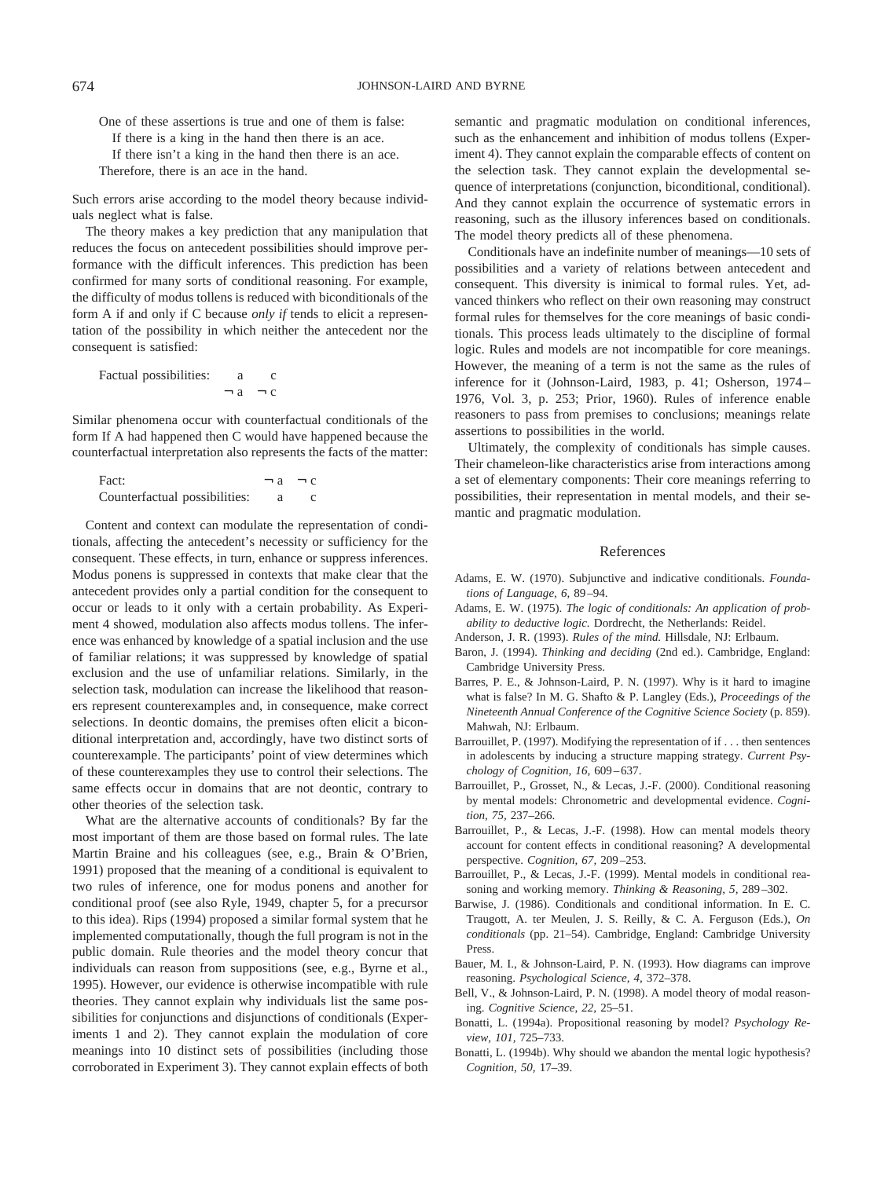One of these assertions is true and one of them is false: If there is a king in the hand then there is an ace.

If there isn't a king in the hand then there is an ace.

Therefore, there is an ace in the hand.

Such errors arise according to the model theory because individuals neglect what is false.

The theory makes a key prediction that any manipulation that reduces the focus on antecedent possibilities should improve performance with the difficult inferences. This prediction has been confirmed for many sorts of conditional reasoning. For example, the difficulty of modus tollens is reduced with biconditionals of the form A if and only if C because *only if* tends to elicit a representation of the possibility in which neither the antecedent nor the consequent is satisfied:

Factual possibilities: a c  $-$  a  $-$  c

Similar phenomena occur with counterfactual conditionals of the form If A had happened then C would have happened because the counterfactual interpretation also represents the facts of the matter:

| Fact:                         | $\neg a \neg c$ |  |
|-------------------------------|-----------------|--|
| Counterfactual possibilities: |                 |  |

Content and context can modulate the representation of conditionals, affecting the antecedent's necessity or sufficiency for the consequent. These effects, in turn, enhance or suppress inferences. Modus ponens is suppressed in contexts that make clear that the antecedent provides only a partial condition for the consequent to occur or leads to it only with a certain probability. As Experiment 4 showed, modulation also affects modus tollens. The inference was enhanced by knowledge of a spatial inclusion and the use of familiar relations; it was suppressed by knowledge of spatial exclusion and the use of unfamiliar relations. Similarly, in the selection task, modulation can increase the likelihood that reasoners represent counterexamples and, in consequence, make correct selections. In deontic domains, the premises often elicit a biconditional interpretation and, accordingly, have two distinct sorts of counterexample. The participants' point of view determines which of these counterexamples they use to control their selections. The same effects occur in domains that are not deontic, contrary to other theories of the selection task.

What are the alternative accounts of conditionals? By far the most important of them are those based on formal rules. The late Martin Braine and his colleagues (see, e.g., Brain & O'Brien, 1991) proposed that the meaning of a conditional is equivalent to two rules of inference, one for modus ponens and another for conditional proof (see also Ryle, 1949, chapter 5, for a precursor to this idea). Rips (1994) proposed a similar formal system that he implemented computationally, though the full program is not in the public domain. Rule theories and the model theory concur that individuals can reason from suppositions (see, e.g., Byrne et al., 1995). However, our evidence is otherwise incompatible with rule theories. They cannot explain why individuals list the same possibilities for conjunctions and disjunctions of conditionals (Experiments 1 and 2). They cannot explain the modulation of core meanings into 10 distinct sets of possibilities (including those corroborated in Experiment 3). They cannot explain effects of both semantic and pragmatic modulation on conditional inferences, such as the enhancement and inhibition of modus tollens (Experiment 4). They cannot explain the comparable effects of content on the selection task. They cannot explain the developmental sequence of interpretations (conjunction, biconditional, conditional). And they cannot explain the occurrence of systematic errors in reasoning, such as the illusory inferences based on conditionals. The model theory predicts all of these phenomena.

Conditionals have an indefinite number of meanings—10 sets of possibilities and a variety of relations between antecedent and consequent. This diversity is inimical to formal rules. Yet, advanced thinkers who reflect on their own reasoning may construct formal rules for themselves for the core meanings of basic conditionals. This process leads ultimately to the discipline of formal logic. Rules and models are not incompatible for core meanings. However, the meaning of a term is not the same as the rules of inference for it (Johnson-Laird, 1983, p. 41; Osherson, 1974– 1976, Vol. 3, p. 253; Prior, 1960). Rules of inference enable reasoners to pass from premises to conclusions; meanings relate assertions to possibilities in the world.

Ultimately, the complexity of conditionals has simple causes. Their chameleon-like characteristics arise from interactions among a set of elementary components: Their core meanings referring to possibilities, their representation in mental models, and their semantic and pragmatic modulation.

### References

- Adams, E. W. (1970). Subjunctive and indicative conditionals. *Foundations of Language, 6,* 89–94.
- Adams, E. W. (1975). *The logic of conditionals: An application of probability to deductive logic.* Dordrecht, the Netherlands: Reidel.
- Anderson, J. R. (1993). *Rules of the mind.* Hillsdale, NJ: Erlbaum.
- Baron, J. (1994). *Thinking and deciding* (2nd ed.). Cambridge, England: Cambridge University Press.
- Barres, P. E., & Johnson-Laird, P. N. (1997). Why is it hard to imagine what is false? In M. G. Shafto & P. Langley (Eds.), *Proceedings of the Nineteenth Annual Conference of the Cognitive Science Society* (p. 859). Mahwah, NJ: Erlbaum.
- Barrouillet, P. (1997). Modifying the representation of if... then sentences in adolescents by inducing a structure mapping strategy. *Current Psychology of Cognition, 16,* 609–637.
- Barrouillet, P., Grosset, N., & Lecas, J.-F. (2000). Conditional reasoning by mental models: Chronometric and developmental evidence. *Cognition, 75,* 237–266.
- Barrouillet, P., & Lecas, J.-F. (1998). How can mental models theory account for content effects in conditional reasoning? A developmental perspective. *Cognition, 67,* 209–253.
- Barrouillet, P., & Lecas, J.-F. (1999). Mental models in conditional reasoning and working memory. *Thinking & Reasoning, 5,* 289–302.
- Barwise, J. (1986). Conditionals and conditional information. In E. C. Traugott, A. ter Meulen, J. S. Reilly, & C. A. Ferguson (Eds.), *On conditionals* (pp. 21–54). Cambridge, England: Cambridge University Press.
- Bauer, M. I., & Johnson-Laird, P. N. (1993). How diagrams can improve reasoning. *Psychological Science, 4,* 372–378.
- Bell, V., & Johnson-Laird, P. N. (1998). A model theory of modal reasoning. *Cognitive Science, 22,* 25–51.
- Bonatti, L. (1994a). Propositional reasoning by model? *Psychology Review, 101,* 725–733.
- Bonatti, L. (1994b). Why should we abandon the mental logic hypothesis? *Cognition, 50,* 17–39.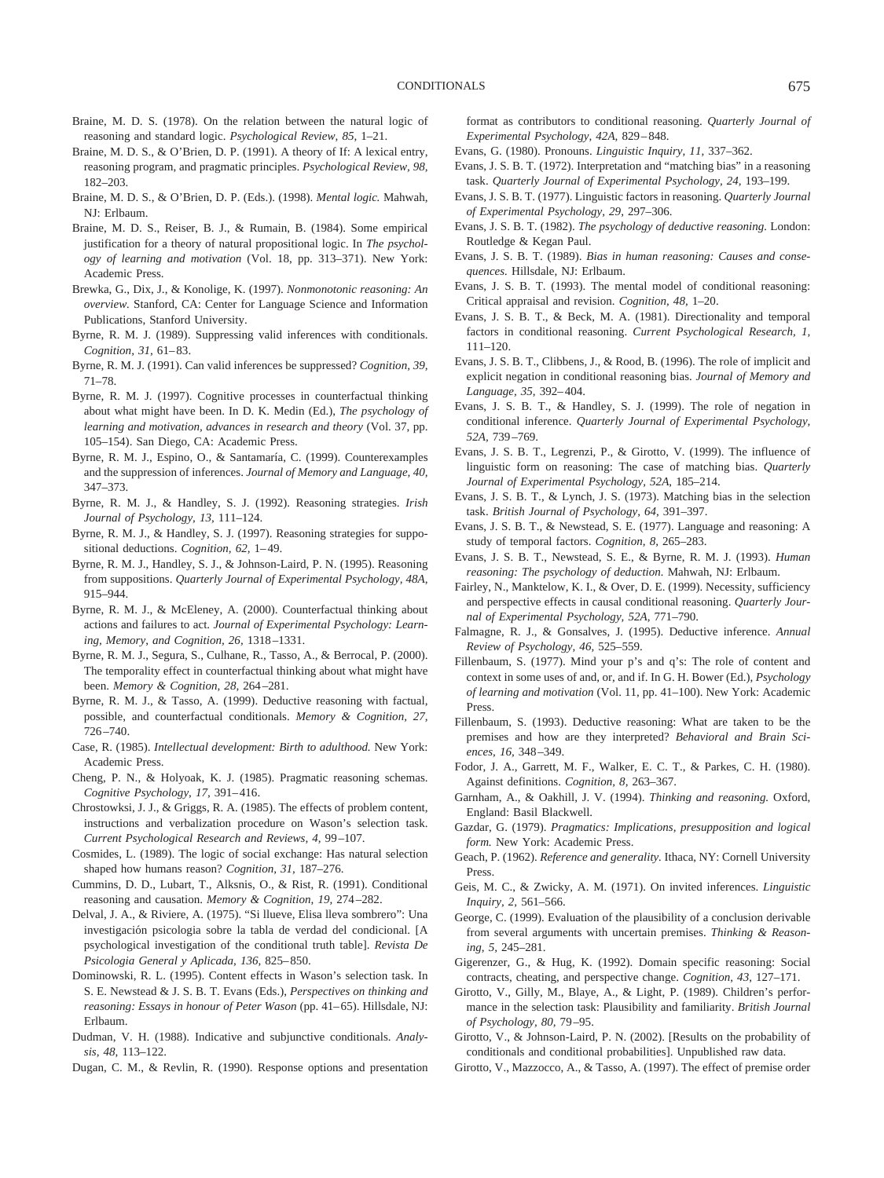- Braine, M. D. S. (1978). On the relation between the natural logic of reasoning and standard logic. *Psychological Review, 85,* 1–21.
- Braine, M. D. S., & O'Brien, D. P. (1991). A theory of If: A lexical entry, reasoning program, and pragmatic principles. *Psychological Review, 98,* 182–203.
- Braine, M. D. S., & O'Brien, D. P. (Eds.). (1998). *Mental logic.* Mahwah, NJ: Erlbaum.
- Braine, M. D. S., Reiser, B. J., & Rumain, B. (1984). Some empirical justification for a theory of natural propositional logic. In *The psychology of learning and motivation* (Vol. 18, pp. 313–371). New York: Academic Press.
- Brewka, G., Dix, J., & Konolige, K. (1997). *Nonmonotonic reasoning: An overview.* Stanford, CA: Center for Language Science and Information Publications, Stanford University.
- Byrne, R. M. J. (1989). Suppressing valid inferences with conditionals. *Cognition, 31,* 61–83.
- Byrne, R. M. J. (1991). Can valid inferences be suppressed? *Cognition, 39,* 71–78.
- Byrne, R. M. J. (1997). Cognitive processes in counterfactual thinking about what might have been. In D. K. Medin (Ed.), *The psychology of learning and motivation, advances in research and theory* (Vol. 37, pp. 105–154). San Diego, CA: Academic Press.
- Byrne, R. M. J., Espino, O., & Santamaría, C. (1999). Counterexamples and the suppression of inferences. *Journal of Memory and Language, 40,* 347–373.
- Byrne, R. M. J., & Handley, S. J. (1992). Reasoning strategies. *Irish Journal of Psychology, 13,* 111–124.
- Byrne, R. M. J., & Handley, S. J. (1997). Reasoning strategies for suppositional deductions. *Cognition, 62,* 1–49.
- Byrne, R. M. J., Handley, S. J., & Johnson-Laird, P. N. (1995). Reasoning from suppositions. *Quarterly Journal of Experimental Psychology, 48A,* 915–944.
- Byrne, R. M. J., & McEleney, A. (2000). Counterfactual thinking about actions and failures to act. *Journal of Experimental Psychology: Learning, Memory, and Cognition, 26,* 1318–1331.
- Byrne, R. M. J., Segura, S., Culhane, R., Tasso, A., & Berrocal, P. (2000). The temporality effect in counterfactual thinking about what might have been. *Memory & Cognition, 28,* 264–281.
- Byrne, R. M. J., & Tasso, A. (1999). Deductive reasoning with factual, possible, and counterfactual conditionals. *Memory & Cognition, 27,* 726–740.
- Case, R. (1985). *Intellectual development: Birth to adulthood.* New York: Academic Press.
- Cheng, P. N., & Holyoak, K. J. (1985). Pragmatic reasoning schemas. *Cognitive Psychology, 17,* 391–416.
- Chrostowksi, J. J., & Griggs, R. A. (1985). The effects of problem content, instructions and verbalization procedure on Wason's selection task. *Current Psychological Research and Reviews, 4,* 99–107.
- Cosmides, L. (1989). The logic of social exchange: Has natural selection shaped how humans reason? *Cognition, 31,* 187–276.
- Cummins, D. D., Lubart, T., Alksnis, O., & Rist, R. (1991). Conditional reasoning and causation. *Memory & Cognition, 19,* 274–282.
- Delval, J. A., & Riviere, A. (1975). "Si llueve, Elisa lleva sombrero": Una investigación psicologia sobre la tabla de verdad del condicional. [A psychological investigation of the conditional truth table]. *Revista De Psicologia General y Aplicada, 136,* 825–850.
- Dominowski, R. L. (1995). Content effects in Wason's selection task. In S. E. Newstead & J. S. B. T. Evans (Eds.), *Perspectives on thinking and reasoning: Essays in honour of Peter Wason* (pp. 41–65). Hillsdale, NJ: Erlbaum.
- Dudman, V. H. (1988). Indicative and subjunctive conditionals. *Analysis, 48,* 113–122.
- Dugan, C. M., & Revlin, R. (1990). Response options and presentation

format as contributors to conditional reasoning. *Quarterly Journal of Experimental Psychology, 42A,* 829–848.

- Evans, G. (1980). Pronouns. *Linguistic Inquiry, 11,* 337–362.
- Evans, J. S. B. T. (1972). Interpretation and "matching bias" in a reasoning task. *Quarterly Journal of Experimental Psychology, 24,* 193–199.
- Evans, J. S. B. T. (1977). Linguistic factors in reasoning. *Quarterly Journal of Experimental Psychology, 29,* 297–306.
- Evans, J. S. B. T. (1982). *The psychology of deductive reasoning.* London: Routledge & Kegan Paul.
- Evans, J. S. B. T. (1989). *Bias in human reasoning: Causes and consequences.* Hillsdale, NJ: Erlbaum.
- Evans, J. S. B. T. (1993). The mental model of conditional reasoning: Critical appraisal and revision. *Cognition, 48,* 1–20.
- Evans, J. S. B. T., & Beck, M. A. (1981). Directionality and temporal factors in conditional reasoning. *Current Psychological Research, 1,* 111–120.
- Evans, J. S. B. T., Clibbens, J., & Rood, B. (1996). The role of implicit and explicit negation in conditional reasoning bias. *Journal of Memory and Language, 35,* 392–404.
- Evans, J. S. B. T., & Handley, S. J. (1999). The role of negation in conditional inference. *Quarterly Journal of Experimental Psychology, 52A,* 739–769.
- Evans, J. S. B. T., Legrenzi, P., & Girotto, V. (1999). The influence of linguistic form on reasoning: The case of matching bias. *Quarterly Journal of Experimental Psychology, 52A,* 185–214.
- Evans, J. S. B. T., & Lynch, J. S. (1973). Matching bias in the selection task. *British Journal of Psychology, 64,* 391–397.
- Evans, J. S. B. T., & Newstead, S. E. (1977). Language and reasoning: A study of temporal factors. *Cognition, 8,* 265–283.
- Evans, J. S. B. T., Newstead, S. E., & Byrne, R. M. J. (1993). *Human reasoning: The psychology of deduction.* Mahwah, NJ: Erlbaum.
- Fairley, N., Manktelow, K. I., & Over, D. E. (1999). Necessity, sufficiency and perspective effects in causal conditional reasoning. *Quarterly Journal of Experimental Psychology, 52A,* 771–790.
- Falmagne, R. J., & Gonsalves, J. (1995). Deductive inference. *Annual Review of Psychology, 46,* 525–559.
- Fillenbaum, S. (1977). Mind your p's and q's: The role of content and context in some uses of and, or, and if. In G. H. Bower (Ed.), *Psychology of learning and motivation* (Vol. 11, pp. 41–100). New York: Academic Press.
- Fillenbaum, S. (1993). Deductive reasoning: What are taken to be the premises and how are they interpreted? *Behavioral and Brain Sciences, 16,* 348–349.
- Fodor, J. A., Garrett, M. F., Walker, E. C. T., & Parkes, C. H. (1980). Against definitions. *Cognition, 8,* 263–367.
- Garnham, A., & Oakhill, J. V. (1994). *Thinking and reasoning.* Oxford, England: Basil Blackwell.
- Gazdar, G. (1979). *Pragmatics: Implications, presupposition and logical form.* New York: Academic Press.
- Geach, P. (1962). *Reference and generality.* Ithaca, NY: Cornell University Press.
- Geis, M. C., & Zwicky, A. M. (1971). On invited inferences. *Linguistic Inquiry, 2,* 561–566.
- George, C. (1999). Evaluation of the plausibility of a conclusion derivable from several arguments with uncertain premises. *Thinking & Reasoning, 5,* 245–281.
- Gigerenzer, G., & Hug, K. (1992). Domain specific reasoning: Social contracts, cheating, and perspective change. *Cognition, 43,* 127–171.
- Girotto, V., Gilly, M., Blaye, A., & Light, P. (1989). Children's performance in the selection task: Plausibility and familiarity. *British Journal of Psychology, 80,* 79–95.
- Girotto, V., & Johnson-Laird, P. N. (2002). [Results on the probability of conditionals and conditional probabilities]. Unpublished raw data.
- Girotto, V., Mazzocco, A., & Tasso, A. (1997). The effect of premise order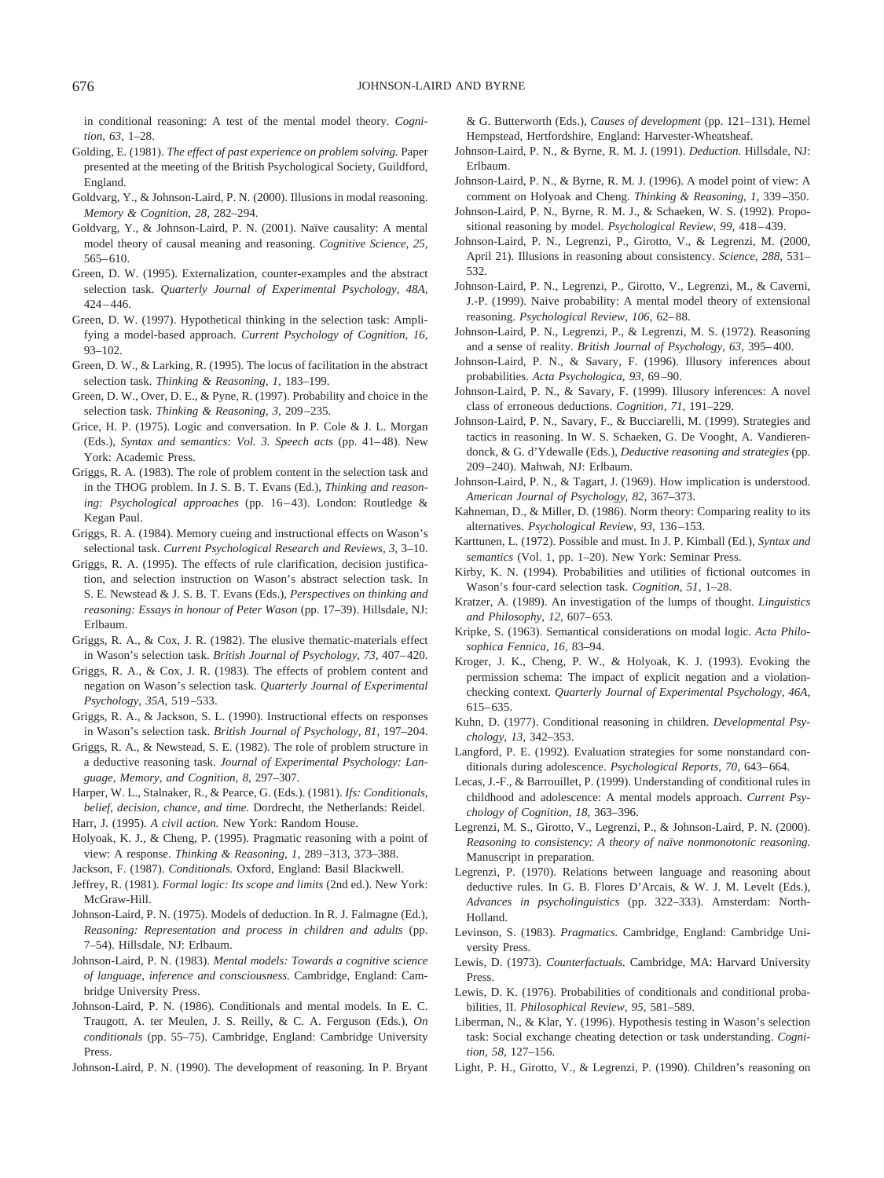in conditional reasoning: A test of the mental model theory. *Cognition, 63,* 1–28.

- Golding, E. (1981). *The effect of past experience on problem solving.* Paper presented at the meeting of the British Psychological Society, Guildford, England.
- Goldvarg, Y., & Johnson-Laird, P. N. (2000). Illusions in modal reasoning. *Memory & Cognition, 28,* 282–294.
- Goldvarg, Y., & Johnson-Laird, P. N. (2001). Naïve causality: A mental model theory of causal meaning and reasoning. *Cognitive Science, 25,* 565–610.
- Green, D. W. (1995). Externalization, counter-examples and the abstract selection task. *Quarterly Journal of Experimental Psychology, 48A,* 424–446.
- Green, D. W. (1997). Hypothetical thinking in the selection task: Amplifying a model-based approach. *Current Psychology of Cognition, 16,* 93–102.
- Green, D. W., & Larking, R. (1995). The locus of facilitation in the abstract selection task. *Thinking & Reasoning, 1,* 183–199.
- Green, D. W., Over, D. E., & Pyne, R. (1997). Probability and choice in the selection task. *Thinking & Reasoning, 3,* 209–235.
- Grice, H. P. (1975). Logic and conversation. In P. Cole & J. L. Morgan (Eds.), *Syntax and semantics: Vol. 3. Speech acts* (pp. 41–48). New York: Academic Press.
- Griggs, R. A. (1983). The role of problem content in the selection task and in the THOG problem. In J. S. B. T. Evans (Ed.), *Thinking and reasoning: Psychological approaches* (pp. 16–43). London: Routledge & Kegan Paul.
- Griggs, R. A. (1984). Memory cueing and instructional effects on Wason's selectional task. *Current Psychological Research and Reviews, 3,* 3–10.
- Griggs, R. A. (1995). The effects of rule clarification, decision justification, and selection instruction on Wason's abstract selection task. In S. E. Newstead & J. S. B. T. Evans (Eds.), *Perspectives on thinking and reasoning: Essays in honour of Peter Wason* (pp. 17–39). Hillsdale, NJ: Erlbaum.
- Griggs, R. A., & Cox, J. R. (1982). The elusive thematic-materials effect in Wason's selection task. *British Journal of Psychology, 73,* 407–420.
- Griggs, R. A., & Cox, J. R. (1983). The effects of problem content and negation on Wason's selection task. *Quarterly Journal of Experimental Psychology, 35A,* 519–533.
- Griggs, R. A., & Jackson, S. L. (1990). Instructional effects on responses in Wason's selection task. *British Journal of Psychology, 81,* 197–204.
- Griggs, R. A., & Newstead, S. E. (1982). The role of problem structure in a deductive reasoning task. *Journal of Experimental Psychology: Language, Memory, and Cognition, 8,* 297–307.
- Harper, W. L., Stalnaker, R., & Pearce, G. (Eds.). (1981). *Ifs: Conditionals, belief, decision, chance, and time.* Dordrecht, the Netherlands: Reidel.
- Harr, J. (1995). *A civil action.* New York: Random House.
- Holyoak, K. J., & Cheng, P. (1995). Pragmatic reasoning with a point of view: A response. *Thinking & Reasoning, 1,* 289–313, 373–388.
- Jackson, F. (1987). *Conditionals.* Oxford, England: Basil Blackwell.
- Jeffrey, R. (1981). *Formal logic: Its scope and limits* (2nd ed.). New York: McGraw-Hill.
- Johnson-Laird, P. N. (1975). Models of deduction. In R. J. Falmagne (Ed.), *Reasoning: Representation and process in children and adults* (pp. 7–54). Hillsdale, NJ: Erlbaum.
- Johnson-Laird, P. N. (1983). *Mental models: Towards a cognitive science of language, inference and consciousness.* Cambridge, England: Cambridge University Press.
- Johnson-Laird, P. N. (1986). Conditionals and mental models. In E. C. Traugott, A. ter Meulen, J. S. Reilly, & C. A. Ferguson (Eds.), *On conditionals* (pp. 55–75). Cambridge, England: Cambridge University Press.
- Johnson-Laird, P. N. (1990). The development of reasoning. In P. Bryant

& G. Butterworth (Eds.), *Causes of development* (pp. 121–131). Hemel Hempstead, Hertfordshire, England: Harvester-Wheatsheaf.

- Johnson-Laird, P. N., & Byrne, R. M. J. (1991). *Deduction.* Hillsdale, NJ: Erlbaum.
- Johnson-Laird, P. N., & Byrne, R. M. J. (1996). A model point of view: A comment on Holyoak and Cheng. *Thinking & Reasoning, 1,* 339–350. Johnson-Laird, P. N., Byrne, R. M. J., & Schaeken, W. S. (1992). Propo-
- sitional reasoning by model. *Psychological Review, 99,* 418–439.
- Johnson-Laird, P. N., Legrenzi, P., Girotto, V., & Legrenzi, M. (2000, April 21). Illusions in reasoning about consistency. *Science, 288,* 531– 532.
- Johnson-Laird, P. N., Legrenzi, P., Girotto, V., Legrenzi, M., & Caverni, J.-P. (1999). Naive probability: A mental model theory of extensional reasoning. *Psychological Review, 106,* 62–88.
- Johnson-Laird, P. N., Legrenzi, P., & Legrenzi, M. S. (1972). Reasoning and a sense of reality. *British Journal of Psychology, 63,* 395–400.
- Johnson-Laird, P. N., & Savary, F. (1996). Illusory inferences about probabilities. *Acta Psychologica, 93,* 69–90.
- Johnson-Laird, P. N., & Savary, F. (1999). Illusory inferences: A novel class of erroneous deductions. *Cognition, 71,* 191–229.
- Johnson-Laird, P. N., Savary, F., & Bucciarelli, M. (1999). Strategies and tactics in reasoning. In W. S. Schaeken, G. De Vooght, A. Vandierendonck, & G. d'Ydewalle (Eds.), *Deductive reasoning and strategies* (pp. 209–240). Mahwah, NJ: Erlbaum.
- Johnson-Laird, P. N., & Tagart, J. (1969). How implication is understood. *American Journal of Psychology, 82,* 367–373.
- Kahneman, D., & Miller, D. (1986). Norm theory: Comparing reality to its alternatives. *Psychological Review, 93,* 136–153.
- Karttunen, L. (1972). Possible and must. In J. P. Kimball (Ed.), *Syntax and semantics* (Vol. 1, pp. 1–20). New York: Seminar Press.
- Kirby, K. N. (1994). Probabilities and utilities of fictional outcomes in Wason's four-card selection task. *Cognition, 51,* 1–28.
- Kratzer, A. (1989). An investigation of the lumps of thought. *Linguistics and Philosophy, 12,* 607–653.
- Kripke, S. (1963). Semantical considerations on modal logic. *Acta Philosophica Fennica, 16,* 83–94.
- Kroger, J. K., Cheng, P. W., & Holyoak, K. J. (1993). Evoking the permission schema: The impact of explicit negation and a violationchecking context. *Quarterly Journal of Experimental Psychology, 46A,* 615–635.
- Kuhn, D. (1977). Conditional reasoning in children. *Developmental Psychology, 13,* 342–353.
- Langford, P. E. (1992). Evaluation strategies for some nonstandard conditionals during adolescence. *Psychological Reports, 70,* 643–664.
- Lecas, J.-F., & Barrouillet, P. (1999). Understanding of conditional rules in childhood and adolescence: A mental models approach. *Current Psychology of Cognition, 18,* 363–396.
- Legrenzi, M. S., Girotto, V., Legrenzi, P., & Johnson-Laird, P. N. (2000). *Reasoning to consistency: A theory of naı¨ve nonmonotonic reasoning.* Manuscript in preparation.
- Legrenzi, P. (1970). Relations between language and reasoning about deductive rules. In G. B. Flores D'Arcais, & W. J. M. Levelt (Eds.), *Advances in psycholinguistics* (pp. 322–333). Amsterdam: North-Holland.
- Levinson, S. (1983). *Pragmatics.* Cambridge, England: Cambridge University Press.
- Lewis, D. (1973). *Counterfactuals.* Cambridge, MA: Harvard University Press.
- Lewis, D. K. (1976). Probabilities of conditionals and conditional probabilities, II. *Philosophical Review, 95,* 581–589.
- Liberman, N., & Klar, Y. (1996). Hypothesis testing in Wason's selection task: Social exchange cheating detection or task understanding. *Cognition, 58,* 127–156.
- Light, P. H., Girotto, V., & Legrenzi, P. (1990). Children's reasoning on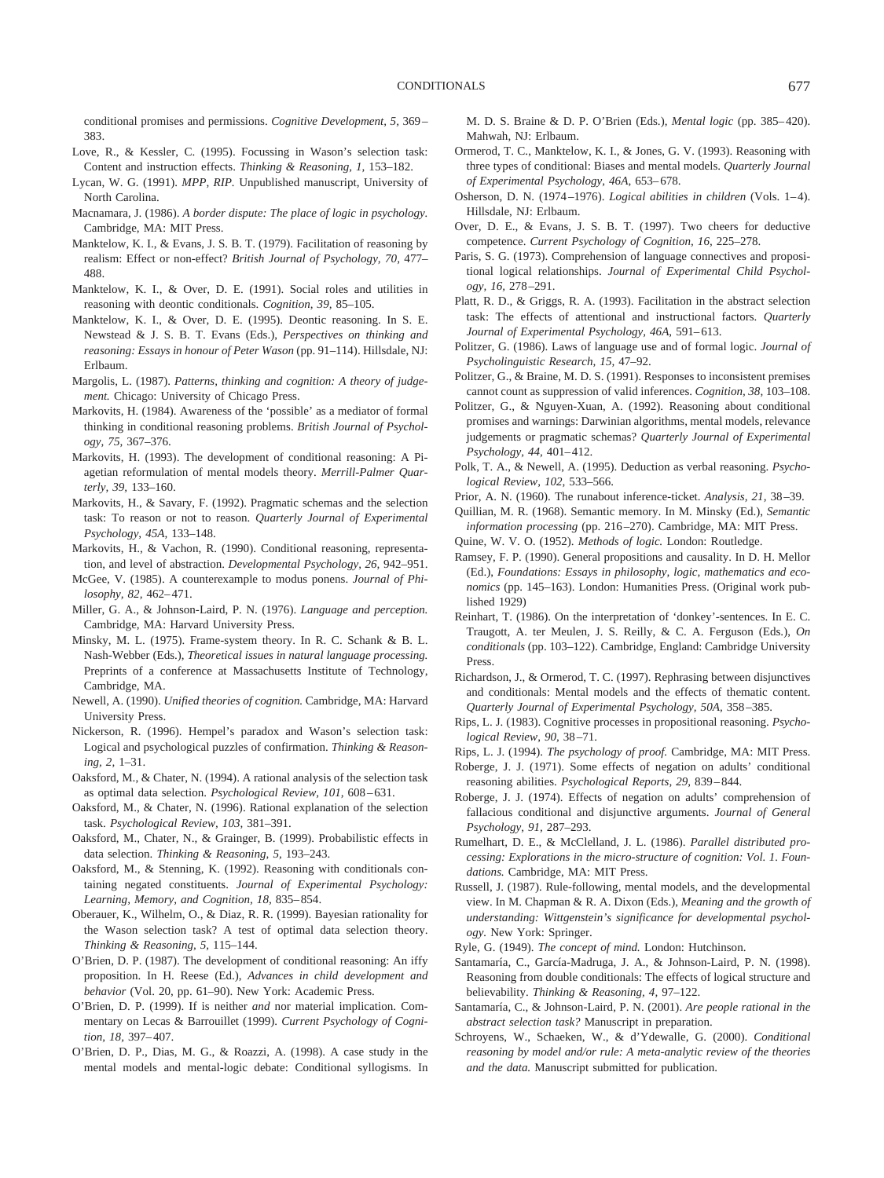conditional promises and permissions. *Cognitive Development, 5,* 369– 383.

- Love, R., & Kessler, C. (1995). Focussing in Wason's selection task: Content and instruction effects. *Thinking & Reasoning, 1,* 153–182.
- Lycan, W. G. (1991). *MPP, RIP.* Unpublished manuscript, University of North Carolina.
- Macnamara, J. (1986). *A border dispute: The place of logic in psychology.* Cambridge, MA: MIT Press.
- Manktelow, K. I., & Evans, J. S. B. T. (1979). Facilitation of reasoning by realism: Effect or non-effect? *British Journal of Psychology, 70,* 477– 488.
- Manktelow, K. I., & Over, D. E. (1991). Social roles and utilities in reasoning with deontic conditionals. *Cognition, 39,* 85–105.
- Manktelow, K. I., & Over, D. E. (1995). Deontic reasoning. In S. E. Newstead & J. S. B. T. Evans (Eds.), *Perspectives on thinking and reasoning: Essays in honour of Peter Wason* (pp. 91–114). Hillsdale, NJ: Erlbaum.
- Margolis, L. (1987). *Patterns, thinking and cognition: A theory of judgement.* Chicago: University of Chicago Press.
- Markovits, H. (1984). Awareness of the 'possible' as a mediator of formal thinking in conditional reasoning problems. *British Journal of Psychology, 75,* 367–376.
- Markovits, H. (1993). The development of conditional reasoning: A Piagetian reformulation of mental models theory. *Merrill-Palmer Quarterly, 39,* 133–160.
- Markovits, H., & Savary, F. (1992). Pragmatic schemas and the selection task: To reason or not to reason. *Quarterly Journal of Experimental Psychology, 45A,* 133–148.
- Markovits, H., & Vachon, R. (1990). Conditional reasoning, representation, and level of abstraction. *Developmental Psychology, 26,* 942–951.
- McGee, V. (1985). A counterexample to modus ponens. *Journal of Philosophy, 82,* 462–471.
- Miller, G. A., & Johnson-Laird, P. N. (1976). *Language and perception.* Cambridge, MA: Harvard University Press.
- Minsky, M. L. (1975). Frame-system theory. In R. C. Schank & B. L. Nash-Webber (Eds.), *Theoretical issues in natural language processing.* Preprints of a conference at Massachusetts Institute of Technology, Cambridge, MA.
- Newell, A. (1990). *Unified theories of cognition.* Cambridge, MA: Harvard University Press.
- Nickerson, R. (1996). Hempel's paradox and Wason's selection task: Logical and psychological puzzles of confirmation. *Thinking & Reasoning, 2,* 1–31.
- Oaksford, M., & Chater, N. (1994). A rational analysis of the selection task as optimal data selection. *Psychological Review, 101,* 608–631.
- Oaksford, M., & Chater, N. (1996). Rational explanation of the selection task. *Psychological Review, 103,* 381–391.
- Oaksford, M., Chater, N., & Grainger, B. (1999). Probabilistic effects in data selection. *Thinking & Reasoning, 5,* 193–243.
- Oaksford, M., & Stenning, K. (1992). Reasoning with conditionals containing negated constituents. *Journal of Experimental Psychology: Learning, Memory, and Cognition, 18,* 835–854.
- Oberauer, K., Wilhelm, O., & Diaz, R. R. (1999). Bayesian rationality for the Wason selection task? A test of optimal data selection theory. *Thinking & Reasoning, 5,* 115–144.
- O'Brien, D. P. (1987). The development of conditional reasoning: An iffy proposition. In H. Reese (Ed.), *Advances in child development and behavior* (Vol. 20, pp. 61–90). New York: Academic Press.
- O'Brien, D. P. (1999). If is neither *and* nor material implication. Commentary on Lecas & Barrouillet (1999). *Current Psychology of Cognition, 18,* 397–407.
- O'Brien, D. P., Dias, M. G., & Roazzi, A. (1998). A case study in the mental models and mental-logic debate: Conditional syllogisms. In

M. D. S. Braine & D. P. O'Brien (Eds.), *Mental logic* (pp. 385–420). Mahwah, NJ: Erlbaum.

- Ormerod, T. C., Manktelow, K. I., & Jones, G. V. (1993). Reasoning with three types of conditional: Biases and mental models. *Quarterly Journal of Experimental Psychology, 46A,* 653–678.
- Osherson, D. N. (1974–1976). *Logical abilities in children* (Vols. 1–4). Hillsdale, NJ: Erlbaum.
- Over, D. E., & Evans, J. S. B. T. (1997). Two cheers for deductive competence. *Current Psychology of Cognition, 16,* 225–278.
- Paris, S. G. (1973). Comprehension of language connectives and propositional logical relationships. *Journal of Experimental Child Psychology, 16,* 278–291.
- Platt, R. D., & Griggs, R. A. (1993). Facilitation in the abstract selection task: The effects of attentional and instructional factors. *Quarterly Journal of Experimental Psychology, 46A,* 591–613.
- Politzer, G. (1986). Laws of language use and of formal logic. *Journal of Psycholinguistic Research, 15,* 47–92.
- Politzer, G., & Braine, M. D. S. (1991). Responses to inconsistent premises cannot count as suppression of valid inferences. *Cognition, 38,* 103–108.
- Politzer, G., & Nguyen-Xuan, A. (1992). Reasoning about conditional promises and warnings: Darwinian algorithms, mental models, relevance judgements or pragmatic schemas? *Quarterly Journal of Experimental Psychology, 44,* 401–412.
- Polk, T. A., & Newell, A. (1995). Deduction as verbal reasoning. *Psychological Review, 102,* 533–566.
- Prior, A. N. (1960). The runabout inference-ticket. *Analysis, 21,* 38–39.
- Quillian, M. R. (1968). Semantic memory. In M. Minsky (Ed.), *Semantic*
- *information processing* (pp. 216–270). Cambridge, MA: MIT Press. Quine, W. V. O. (1952). *Methods of logic.* London: Routledge.
- Ramsey, F. P. (1990). General propositions and causality. In D. H. Mellor (Ed.), *Foundations: Essays in philosophy, logic, mathematics and economics* (pp. 145–163). London: Humanities Press. (Original work published 1929)
- Reinhart, T. (1986). On the interpretation of 'donkey'-sentences. In E. C. Traugott, A. ter Meulen, J. S. Reilly, & C. A. Ferguson (Eds.), *On conditionals* (pp. 103–122). Cambridge, England: Cambridge University Press.
- Richardson, J., & Ormerod, T. C. (1997). Rephrasing between disjunctives and conditionals: Mental models and the effects of thematic content. *Quarterly Journal of Experimental Psychology, 50A,* 358–385.
- Rips, L. J. (1983). Cognitive processes in propositional reasoning. *Psychological Review, 90,* 38–71.
- Rips, L. J. (1994). *The psychology of proof.* Cambridge, MA: MIT Press.
- Roberge, J. J. (1971). Some effects of negation on adults' conditional reasoning abilities. *Psychological Reports, 29,* 839–844.
- Roberge, J. J. (1974). Effects of negation on adults' comprehension of fallacious conditional and disjunctive arguments. *Journal of General Psychology, 91,* 287–293.
- Rumelhart, D. E., & McClelland, J. L. (1986). *Parallel distributed processing: Explorations in the micro-structure of cognition: Vol. 1. Foundations.* Cambridge, MA: MIT Press.
- Russell, J. (1987). Rule-following, mental models, and the developmental view. In M. Chapman & R. A. Dixon (Eds.), *Meaning and the growth of understanding: Wittgenstein's significance for developmental psychology.* New York: Springer.
- Ryle, G. (1949). *The concept of mind.* London: Hutchinson.
- Santamaría, C., García-Madruga, J. A., & Johnson-Laird, P. N. (1998). Reasoning from double conditionals: The effects of logical structure and believability. *Thinking & Reasoning, 4,* 97–122.
- Santamaría, C., & Johnson-Laird, P. N. (2001). *Are people rational in the abstract selection task?* Manuscript in preparation.
- Schroyens, W., Schaeken, W., & d'Ydewalle, G. (2000). *Conditional reasoning by model and/or rule: A meta-analytic review of the theories and the data.* Manuscript submitted for publication.